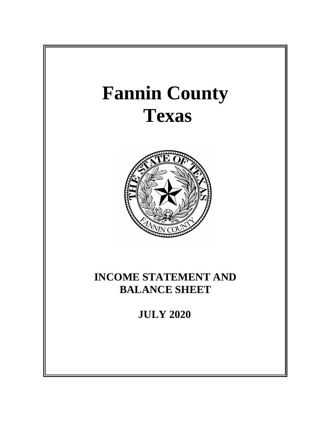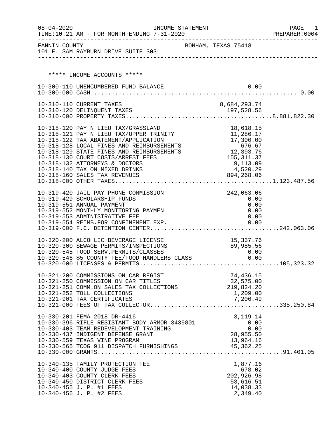| $08 - 04 - 2020$ | INCOME STATEMENT<br>TIME:10:21 AM - FOR MONTH ENDING 7-31-2020                          |                         | PAGE<br>1<br>PREPARER: 0004 |
|------------------|-----------------------------------------------------------------------------------------|-------------------------|-----------------------------|
|                  | FANNIN COUNTY<br>101 E. SAM RAYBURN DRIVE SUITE 303                                     | BONHAM, TEXAS 75418     |                             |
|                  |                                                                                         |                         |                             |
|                  | ***** INCOME ACCOUNTS *****                                                             |                         |                             |
|                  | 10-300-110 UNENCUMBERED FUND BALANCE                                                    | 0.00                    |                             |
|                  |                                                                                         |                         |                             |
|                  | 10-310-110 CURRENT TAXES                                                                | 8,684,293.74            |                             |
|                  | 10-310-120 DELINQUENT TAXES                                                             |                         |                             |
|                  |                                                                                         |                         |                             |
|                  | 10-318-120 PAY N LIEU TAX/GRASSLAND<br>10-318-121 PAY N LIEU TAX/UPPER TRINITY          | 18,618.15<br>11,286.17  |                             |
|                  | 10-318-122 TAX ABATEMENT/APPLICATION                                                    | 17,300.00               |                             |
|                  | 10-318-128 LOCAL FINES AND REIMBURSEMENTS<br>10-318-129 STATE FINES AND REIMBURSEMENTS  | 676.67<br>12,393.76     |                             |
|                  | 10-318-130 COURT COSTS/ARREST FEES                                                      | 155, 311.37             |                             |
|                  | 10-318-132 ATTORNEYS & DOCTORS                                                          | 9,113.09                |                             |
|                  | 10-318-140 TAX ON MIXED DRINKS<br>10-318-160 SALES TAX REVENUES                         | 4,520.29<br>894,268.06  |                             |
|                  |                                                                                         |                         |                             |
|                  | 10-319-420 JAIL PAY PHONE COMMISSION                                                    | 242,063.06              |                             |
|                  | 10-319-429 SCHOLARSHIP FUNDS                                                            | 0.00                    |                             |
|                  | 10-319-551 ANNUAL PAYMENT<br>10-319-552 MONTHLY MONITORING PAYMEN                       | 0.00<br>0.00            |                             |
|                  | 10-319-553 ADMINISTRATIVE FEE                                                           | 0.00                    |                             |
|                  | 10-319-554 REIMB.FOR CONFINEMENT EXP.                                                   | 0.00                    |                             |
|                  |                                                                                         |                         |                             |
|                  | 10-320-200 ALCOHLIC BEVERAGE LICENSE                                                    | 15, 337.76              |                             |
|                  | 10-320-300 SEWAGE PERMITS/INSPECTIONS                                                   | 89,985.56               |                             |
|                  |                                                                                         |                         |                             |
|                  |                                                                                         |                         |                             |
|                  | 10-321-200 COMMISSIONS ON CAR REGIST                                                    | 74,436.15               |                             |
|                  | 10-321-250 COMMISSION ON CAR TITLES<br>10-321-251 COMM.ON SALES TAX COLLECTIONS         | 32,575.00<br>219,824.20 |                             |
|                  | 10-321-252 TOLL COLLECTIONS                                                             | 1,209.00                |                             |
|                  | 10-321-901 TAX CERTIFICATES                                                             | 7,206.49                |                             |
|                  |                                                                                         |                         |                             |
|                  | 10-330-201 FEMA 2018 DR-4416                                                            | 3, 119. 14              |                             |
|                  | 10-330-396 RIFLE RESISTANT BODY ARMOR 3439801<br>10-330-403 TEAM REDEVELOPMENT TRAINING | 0.00<br>0.00            |                             |
|                  | 10-330-437 INDIGENT DEFENSE GRANT                                                       | 28,955.50               |                             |
|                  | 10-330-559 TEXAS VINE PROGRAM                                                           | 13,964.16               |                             |
|                  | 10-330-565 TCOG 911 DISPATCH FURNISHINGS                                                | 45,362.25               |                             |
|                  |                                                                                         |                         |                             |
|                  | 10-340-135 FAMILY PROTECTION FEE<br>10-340-400 COUNTY JUDGE FEES                        | 1,877.16<br>678.02      |                             |
|                  | 10-340-403 COUNTY CLERK FEES                                                            | 202,926.98              |                             |
|                  | 10-340-450 DISTRICT CLERK FEES<br>10-340-455 J. P. #1 FEES                              | 53,616.51<br>14,038.33  |                             |
|                  | 10-340-456 J. P. #2 FEES                                                                | 2,349.40                |                             |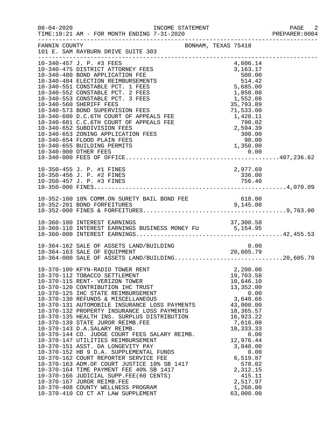| $08 - 04 - 2020$ |                                                                                                                                                                                                                                                                                                                                                                                                                                                                                                                                                                                                                                                                                                                                                                                                                                                                                                       |                     |          |                                                                                                                                                                                                                                         |                      | PAGE<br>2<br>PREPARER: 0004 |
|------------------|-------------------------------------------------------------------------------------------------------------------------------------------------------------------------------------------------------------------------------------------------------------------------------------------------------------------------------------------------------------------------------------------------------------------------------------------------------------------------------------------------------------------------------------------------------------------------------------------------------------------------------------------------------------------------------------------------------------------------------------------------------------------------------------------------------------------------------------------------------------------------------------------------------|---------------------|----------|-----------------------------------------------------------------------------------------------------------------------------------------------------------------------------------------------------------------------------------------|----------------------|-----------------------------|
| FANNIN COUNTY    | 101 E. SAM RAYBURN DRIVE SUITE 303                                                                                                                                                                                                                                                                                                                                                                                                                                                                                                                                                                                                                                                                                                                                                                                                                                                                    | BONHAM, TEXAS 75418 |          |                                                                                                                                                                                                                                         |                      |                             |
|                  | 10-340-457 J. P. #3 FEES<br>10-340-475 DISTRICT ATTORNEY FEES                                                                                                                                                                                                                                                                                                                                                                                                                                                                                                                                                                                                                                                                                                                                                                                                                                         |                     | 4,606.14 | 3, 163. 17                                                                                                                                                                                                                              |                      |                             |
|                  | 10-350-455 J. P. #1 FINES                                                                                                                                                                                                                                                                                                                                                                                                                                                                                                                                                                                                                                                                                                                                                                                                                                                                             | 2,977.69            |          |                                                                                                                                                                                                                                         |                      |                             |
|                  |                                                                                                                                                                                                                                                                                                                                                                                                                                                                                                                                                                                                                                                                                                                                                                                                                                                                                                       |                     |          |                                                                                                                                                                                                                                         |                      |                             |
|                  | 10-360-110 INTEREST EARNINGS BUSINESS MONEY FU<br>10-360-000 INTEREST EARNINGS BUSINESS MONEY FU<br>10-360-000 INTEREST EARNINGS                                                                                                                                                                                                                                                                                                                                                                                                                                                                                                                                                                                                                                                                                                                                                                      |                     |          |                                                                                                                                                                                                                                         |                      |                             |
|                  | 10-364-162 SALE OF ASSETS LAND/BUILDING<br>10-364-163 SALE OF EQUIPMENT 20,605.79<br>10-364-000 SALE OF ASSETS LAND/BUILDING20,605.79                                                                                                                                                                                                                                                                                                                                                                                                                                                                                                                                                                                                                                                                                                                                                                 |                     |          |                                                                                                                                                                                                                                         |                      |                             |
|                  | 10-370-100 KFYN-RADIO TOWER RENT<br>10-370-112 TOBACCO SETTLEMENT<br>10-370-115 RENT- VERIZON TOWER<br>10-370-120 CONTRIBUTION IHC TRUST<br>10-370-125 IHC STATE REIMBURSEMENT<br>10-370-130 REFUNDS & MISCELLANEOUS<br>10-370-131 AUTOMOBILE INSURANCE LOSS PAYMENTS<br>10-370-132 PROPERTY INSURANCE LOSS PAYMENTS<br>10-370-135 HEALTH INS. SURPLUS DISTRIBUTION<br>10-370-139 STATE JUROR REIMB.FEE<br>10-370-143 D.A.SALARY REIMB.<br>10-370-144 CO. JUDGE COURT FEES SALARY REIMB.<br>10-370-147 UTILITIES REIMBURSEMENT<br>10-370-151 ASST. DA LONGEVITY PAY<br>10-370-152 HB 9 D.A. SUPPLEMENTAL FUNDS<br>10-370-162 COURT REPORTER SERVICE FEE<br>10-370-163 ADM.OF COURT JUSTICE 10% SB 1417<br>10-370-164 TIME PAYMENT FEE 40% SB 1417<br>10-370-166 JUDICIAL SUPP.FEE(60 CENTS)<br>10-370-167 JUROR REIMB.FEE<br>10-370-408 COUNTY WELLNESS PROGRAM<br>10-370-410 CO CT AT LAW SUPPLEMENT |                     |          | 2,200.00<br>19,703.58<br>10,646.10<br>13,352.00<br>3,648.66<br>43,000.00<br>18,365.57<br>16,923.22<br>7,616.00<br>18, 333. 33<br>12,976.44<br>3,840.00<br>6,519.87<br>578.02<br>2,312.15<br>415.11<br>2,517.97<br>1,260.00<br>63,000.00 | 0.00<br>0.00<br>0.00 |                             |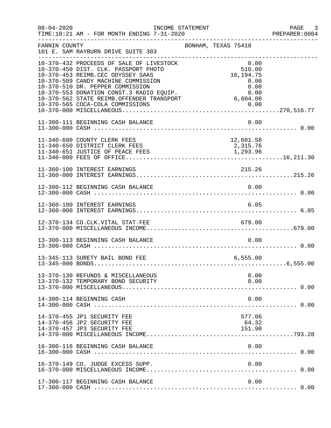| $08 - 04 - 2020$ | INCOME STATEMENT                                                                                                                                                                                                                                                                                                              |                     |                                                                           | PAGE 3<br>PREPARER:0004 |
|------------------|-------------------------------------------------------------------------------------------------------------------------------------------------------------------------------------------------------------------------------------------------------------------------------------------------------------------------------|---------------------|---------------------------------------------------------------------------|-------------------------|
| FANNIN COUNTY    | 101 E. SAM RAYBURN DRIVE SUITE 303                                                                                                                                                                                                                                                                                            | BONHAM, TEXAS 75418 |                                                                           |                         |
|                  | 10-370-432 PROCEEDS OF SALE OF LIVESTOCK<br>10-370-450 DIST. CLK. PASSPORT PHOTO<br>10-370-453 REIMB.CEC ODYSSEY SAAS<br>10-370-509 CANDY MACHINE COMMISSION<br>10-370-510 DR. PEPPER COMMISSION<br>10-370-553 DONATION CONST.3 RADIO EQUIP.<br>10-370-562 STATE REIMB.OFFENDER TRANSPORT<br>10-370-565 COCA-COLA COMMISSIONS |                     | 0.00<br>510.00<br>16, 194. 75<br>0.00<br>0.00<br>0.00<br>6,604.00<br>0.00 |                         |
|                  | 11-300-111 BEGINNING CASH BALANCE                                                                                                                                                                                                                                                                                             |                     | 0.00                                                                      |                         |
|                  | 11-340-600 COUNTY CLERK FEES<br>11-340-650 DISTRICT CLERK FEES                                                                                                                                                                                                                                                                |                     | 12,601.58<br>2,315.76                                                     |                         |
|                  | 11-360-100 INTEREST EARNINGS                                                                                                                                                                                                                                                                                                  |                     | 215.26                                                                    |                         |
|                  | 12-300-112 BEGINNING CASH BALANCE                                                                                                                                                                                                                                                                                             |                     | 0.00                                                                      |                         |
|                  | 12-360-100 INTEREST EARNINGS                                                                                                                                                                                                                                                                                                  |                     | 6.05                                                                      |                         |
|                  |                                                                                                                                                                                                                                                                                                                               |                     |                                                                           |                         |
|                  | 13-300-113 BEGINNING CASH BALANCE                                                                                                                                                                                                                                                                                             |                     | 0.00                                                                      |                         |
|                  | 13-345-113 SURETY BAIL BOND FEE                                                                                                                                                                                                                                                                                               |                     | 6, 555.00                                                                 |                         |
|                  | 13-370-130 REFUNDS & MISCELLANEOUS<br>13-370-132 TEMPORARY BOND SECURITY                                                                                                                                                                                                                                                      |                     | 0.00<br>0.00                                                              |                         |
|                  | 14-300-114 BEGINNING CASH                                                                                                                                                                                                                                                                                                     |                     | 0.00                                                                      |                         |
|                  | 14-370-455 JP1 SECURITY FEE<br>14-370-456 JP2 SECURITY FEE<br>14-370-457 JP3 SECURITY FEE                                                                                                                                                                                                                                     |                     | 577.06<br>64.32<br>151.90                                                 |                         |
|                  | 16-300-116 BEGINNING CASH BALANCE                                                                                                                                                                                                                                                                                             |                     | 0.00                                                                      |                         |
|                  | 16-370-149 CO. JUDGE EXCESS SUPP.                                                                                                                                                                                                                                                                                             |                     | 0.00                                                                      |                         |
|                  | 17-300-117 BEGINNING CASH BALANCE                                                                                                                                                                                                                                                                                             |                     | 0.00                                                                      |                         |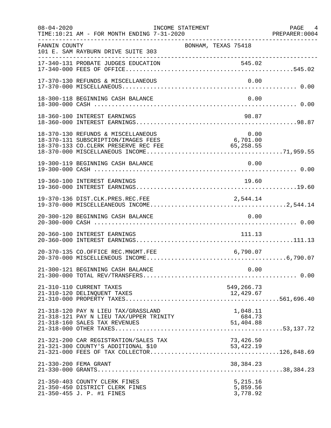| $08 - 04 - 2020$ | TIME:10:21 AM - FOR MONTH ENDING 7-31-2020<br>PREPARER:000 PREPARER:000 PREPARER:000                                                                                        | INCOME STATEMENT                  | PAGE 4<br>PREPARER: 0004 |
|------------------|-----------------------------------------------------------------------------------------------------------------------------------------------------------------------------|-----------------------------------|--------------------------|
| FANNIN COUNTY    | 101 E. SAM RAYBURN DRIVE SUITE 303                                                                                                                                          | BONHAM, TEXAS 75418               |                          |
|                  | 17-340-131 PROBATE JUDGES EDUCATION                                                                                                                                         | 545.02                            |                          |
|                  | 17-370-130 REFUNDS & MISCELLANEOUS                                                                                                                                          | 0.00                              |                          |
|                  | 18-300-118 BEGINNING CASH BALANCE                                                                                                                                           | 0.00                              |                          |
|                  | 18-360-100 INTEREST EARNINGS                                                                                                                                                | 98.87                             |                          |
|                  | 18-370-130 REFUNDS & MISCELLANEOUS<br>18-370-131 SUBSCRIPTION/IMAGES FEES<br>18-370-131 SUBSCRIPTION/IMAGES FEES 6,701.00<br>18-370-133 CO.CLERK PRESERVE REC FEE 65,258.55 | 0.00<br>0.00<br>6,701.00          |                          |
|                  | 19-300-119 BEGINNING CASH BALANCE                                                                                                                                           | 0.00                              |                          |
|                  | 19-360-100 INTEREST EARNINGS                                                                                                                                                | 19.60                             |                          |
|                  | 19-370-136 DIST.CLK.PRES.REC.FEE                                                                                                                                            | 2,544.14                          |                          |
|                  | 20-300-120 BEGINNING CASH BALANCE                                                                                                                                           | 0.00                              |                          |
|                  | 20-360-100 INTEREST EARNINGS                                                                                                                                                | 111.13                            |                          |
|                  | 20-370-135 CO.OFFICE REC.MNGMT.FEE                                                                                                                                          | 6,790.07                          |                          |
|                  | 21-300-121 BEGINNING CASH BALANCE                                                                                                                                           | 0.00                              |                          |
|                  | 21-310-110 CURRENT TAXES                                                                                                                                                    | 549,266.73                        |                          |
|                  | 21-318-120 PAY N LIEU TAX/GRASSLAND<br>21-318-121 PAY N LIEU TAX/UPPER TRINITY                                                                                              | 1,048.11<br>$684.73$<br>51,404.88 |                          |
|                  | 21-321-200 CAR REGISTRATION/SALES TAX<br>21-321-300 COUNTY'S ADDITIONAL \$10                                                                                                | 73,426.50<br>53, 422.19           |                          |
|                  | 21-330-200 FEMA GRANT                                                                                                                                                       |                                   |                          |
|                  | 21-350-403 COUNTY CLERK FINES<br>21-350-450 DISTRICT CLERK FINES<br>21-350-455 J. P. #1 FINES                                                                               | 5,215.16<br>5,859.56<br>3,778.92  |                          |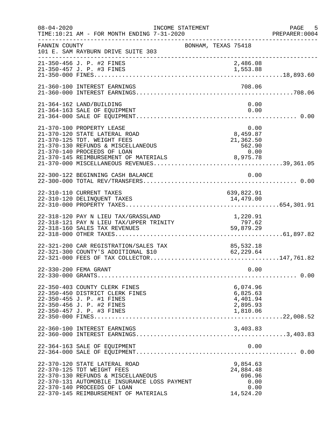| $08 - 04 - 2020$ | INCOME STATEMENT<br>TIME:10:21 AM - FOR MONTH ENDING 7-31-2020                                                                                                                                                            | PREPARER<br>---------------------------------                | PAGE<br>5<br>PREPARER: 0004 |
|------------------|---------------------------------------------------------------------------------------------------------------------------------------------------------------------------------------------------------------------------|--------------------------------------------------------------|-----------------------------|
| FANNIN COUNTY    | 101 E. SAM RAYBURN DRIVE SUITE 303                                                                                                                                                                                        | BONHAM, TEXAS 75418                                          |                             |
|                  | 21-350-456 J. P. #2 FINES<br>21-350-457 J. P. #3 FINES                                                                                                                                                                    | 2,486.08<br>1,553.88                                         |                             |
|                  | 21-360-100 INTEREST EARNINGS                                                                                                                                                                                              | 708.06                                                       |                             |
|                  | 21-364-162 LAND/BUILDING<br>21-364-163 SALE OF EQUIPMENT                                                                                                                                                                  | 0.00<br>0.00                                                 |                             |
|                  | 21-370-100 PROPERTY LEASE<br>21-370-120 STATE LATERAL ROAD<br>21-370-125 TDT. WEIGHT FEES<br>21-370-130 REFUNDS & MISCELLANEOUS<br>21-370-140 PROCEEDS OF LOAN                                                            | 8,459.87<br>21,362.50<br>562.90<br>0.00                      |                             |
|                  | 22-300-122 BEGINNING CASH BALANCE                                                                                                                                                                                         | 0.00                                                         |                             |
|                  | 22-310-110 CURRENT TAXES<br>22-310-120 DELINQUENT TAXES                                                                                                                                                                   | 639,822.91<br>14,479.00                                      |                             |
|                  | 22-318-120 PAY N LIEU TAX/GRASSLAND<br>22-318-121 PAY N LIEU TAX/UPPER TRINITY<br>22-318-160 SALES TAX REVENUES                                                                                                           | 1,220.91<br>797.62<br>59,879.29                              |                             |
|                  | 22-321-200 CAR REGISTRATION/SALES TAX<br>22-321-300 COUNTY'S ADDITIONAL \$10                                                                                                                                              | 85,532.18<br>62, 229.64                                      |                             |
|                  | 22-330-200 FEMA GRANT                                                                                                                                                                                                     | 0.00                                                         |                             |
|                  | 22-350-403 COUNTY CLERK FINES<br>22-350-450 DISTRICT CLERK FINES<br>22-350-455 J. P. #1 FINES<br>22-350-456 J. P. #2 FINES<br>22-350-457 J. P. #3 FINES                                                                   | 6,074.96<br>6,825.63<br>4,401.94<br>2,895.93<br>1,810.06     |                             |
|                  | 22-360-100 INTEREST EARNINGS                                                                                                                                                                                              | 3,403.83                                                     |                             |
|                  | 22-364-163 SALE OF EQUIPMENT                                                                                                                                                                                              | 0.00                                                         |                             |
|                  | 22-370-120 STATE LATERAL ROAD<br>22-370-125 TDT WEIGHT FEES<br>22-370-130 REFUNDS & MISCELLANEOUS<br>22-370-131 AUTOMOBILE INSURANCE LOSS PAYMENT<br>22-370-140 PROCEEDS OF LOAN<br>22-370-145 REIMBURSEMENT OF MATERIALS | 9,854.63<br>24,884.48<br>696.96<br>0.00<br>0.00<br>14,524.20 |                             |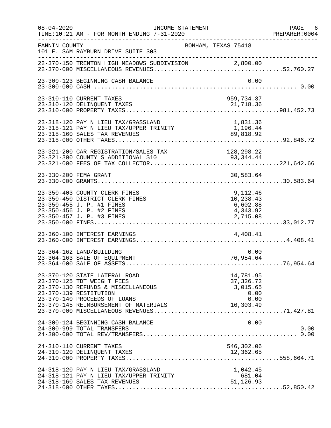| $08 - 04 - 2020$ | INCOME STATEMENT<br>TIME:10:21 AM - FOR MONTH ENDING 7-31-2020                                                                                                                                       | PREPARER<br>--------------------------------                      | PAGE 6<br>PREPARER:0004 |
|------------------|------------------------------------------------------------------------------------------------------------------------------------------------------------------------------------------------------|-------------------------------------------------------------------|-------------------------|
| FANNIN COUNTY    | 101 E. SAM RAYBURN DRIVE SUITE 303                                                                                                                                                                   | BONHAM, TEXAS 75418                                               |                         |
|                  | 22-370-150 TRENTON HIGH MEADOWS SUBDIVISION 2,800.00                                                                                                                                                 |                                                                   |                         |
|                  | 23-300-123 BEGINNING CASH BALANCE                                                                                                                                                                    | 0.00                                                              |                         |
|                  | 23-310-110 CURRENT TAXES                                                                                                                                                                             | 959,734.37                                                        |                         |
|                  | 23-318-120 PAY N LIEU TAX/GRASSLAND<br>23-318-120 PAY N LIEU TAX/GRASSLAND<br>23-318-121 PAY N LIEU TAX/UPPER TRINITY<br>23-318-160 SALES TAX REVENUES                                               | 1,831.36<br>$1,196.44$<br>$89,818$ and                            |                         |
|                  | 23-321-200 CAR REGISTRATION/SALES TAX<br>23-321-300 COUNTY'S ADDITIONAL \$10                                                                                                                         | 128,298.22<br>93, 344.44                                          |                         |
|                  | 23-330-200 FEMA GRANT                                                                                                                                                                                | 30,583.64                                                         |                         |
|                  | 23-350-403 COUNTY CLERK FINES<br>23-350-450 DISTRICT CLERK FINES<br>23-350-455 J. P. #1 FINES<br>23-350-456 J. P. #2 FINES<br>23-350-457 J. P. #3 FINES                                              | 9,112.46<br>10,238.43<br>6,602.88<br>4,343.92<br>2,715.08         |                         |
|                  | 23-360-100 INTEREST EARNINGS                                                                                                                                                                         | 4,408.41                                                          |                         |
|                  | 23-364-162 LAND/BUILDING<br>23-364-163 SALE OF EQUIPMENT                                                                                                                                             | 0.00<br>76,954.64                                                 |                         |
|                  | 23-370-120 STATE LATERAL ROAD<br>23-370-125 TDT WEIGHT FEES<br>23-370-130 REFUNDS & MISCELLANEOUS<br>23-370-139 RESTITUTION<br>23-370-140 PROCEEDS OF LOANS<br>23-370-145 REIMBURSEMENT OF MATERIALS | 14,781.95<br>37, 326. 72<br>3,015.65<br>0.00<br>0.00<br>16,303.49 |                         |
|                  | 24-300-124 BEGINNING CASH BALANCE<br>24-300-999 TOTAL TRANSFERS                                                                                                                                      | 0.00                                                              | 0.00                    |
|                  | 24-310-110 CURRENT TAXES                                                                                                                                                                             | 546,302.06                                                        |                         |
|                  | 24-318-120 PAY N LIEU TAX/GRASSLAND<br>24-318-121 PAY N LIEU TAX/UPPER TRINITY<br>24-318-160 SALES TAX REVENUES                                                                                      | 1,042.45<br>681.04<br>51,126.93                                   |                         |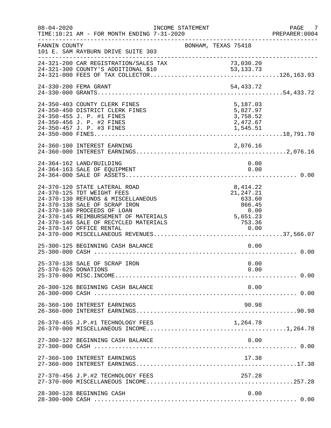| $08 - 04 - 2020$     | TIME:10:21 AM - FOR MONTH ENDING 7-31-2020                                                                                                                                                                                                          | INCOME STATEMENT |                                                                              | PAGE 7<br>PREPARER:0004 |
|----------------------|-----------------------------------------------------------------------------------------------------------------------------------------------------------------------------------------------------------------------------------------------------|------------------|------------------------------------------------------------------------------|-------------------------|
| FANNIN COUNTY        | 101 E. SAM RAYBURN DRIVE SUITE 303<br>_______________________                                                                                                                                                                                       |                  | BONHAM, TEXAS 75418                                                          |                         |
|                      | 24-321-200 CAR REGISTRATION/SALES TAX                                                                                                                                                                                                               |                  |                                                                              |                         |
|                      | 24-330-200 FEMA GRANT                                                                                                                                                                                                                               |                  | 54,433.72                                                                    |                         |
|                      | 24-350-403 COUNTY CLERK FINES<br>24-350-450 DISTRICT CLERK FINES<br>24-350-455 J. P. #1 FINES<br>24-350-456 J. P. #2 FINES<br>24-350-457 J. P. #3 FINES                                                                                             |                  | 5,187.03<br>5,827.97<br>3,758.52<br>2,472.67<br>1,545.51                     |                         |
|                      | 24-360-100 INTEREST EARNING                                                                                                                                                                                                                         |                  |                                                                              |                         |
|                      | 24-364-162 LAND/BUILDING<br>24-364-163 SALE OF EQUIPMENT                                                                                                                                                                                            |                  | 0.00                                                                         | 0.00                    |
|                      | 24-370-120 STATE LATERAL ROAD<br>24-370-125 TDT WEIGHT FEES<br>24-370-130 REFUNDS & MISCELLANEOUS<br>24-370-138 SALE OF SCRAP IRON<br>24-370-140 PROCEEDS OF LOAN<br>24-370-145 REIMBURSEMENT OF MATERIALS<br>24-370-146 SALE OF RECYCLED MATERIALS |                  | 8, 414.22<br>21, 247. 21<br>633.60<br>866.45<br>$0.00$<br>5,651.23<br>753.36 |                         |
|                      | 25-300-125 BEGINNING CASH BALANCE                                                                                                                                                                                                                   |                  |                                                                              | 0.00                    |
| 25-370-625 DONATIONS | 25-370-138 SALE OF SCRAP IRON                                                                                                                                                                                                                       |                  |                                                                              | 0.00<br>0.00            |
|                      | 26-300-126 BEGINNING CASH BALANCE                                                                                                                                                                                                                   |                  |                                                                              | 0.00                    |
|                      | 26-360-100 INTEREST EARNINGS                                                                                                                                                                                                                        |                  | 90.98                                                                        |                         |
|                      | 26-370-455 J.P.#1 TECHNOLOGY FEES                                                                                                                                                                                                                   |                  | 1,264.78                                                                     |                         |
|                      | 27-300-127 BEGINNING CASH BALANCE                                                                                                                                                                                                                   |                  |                                                                              | 0.00                    |
|                      | 27-360-100 INTEREST EARNINGS                                                                                                                                                                                                                        |                  | 17.38                                                                        |                         |
|                      | 27-370-456 J.P.#2 TECHNOLOGY FEES                                                                                                                                                                                                                   |                  | 257.28                                                                       |                         |
|                      | 28-300-128 BEGINNING CASH                                                                                                                                                                                                                           |                  |                                                                              | 0.00                    |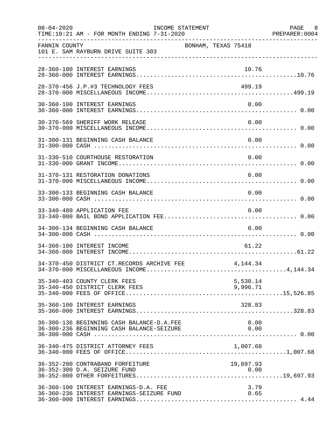| $08 - 04 - 2020$ | TIME:10:21 AM - FOR MONTH ENDING 7-31-2020                                                                                          | INCOME STATEMENT    |              | PAGE 8<br>PREPARER: 0004 |
|------------------|-------------------------------------------------------------------------------------------------------------------------------------|---------------------|--------------|--------------------------|
| FANNIN COUNTY    | 101 E. SAM RAYBURN DRIVE SUITE 303                                                                                                  | BONHAM, TEXAS 75418 |              |                          |
|                  | 28-360-100 INTEREST EARNINGS                                                                                                        |                     | 10.76        |                          |
|                  | 28-370-456 J.P.#3 TECHNOLOGY FEES                                                                                                   |                     | 499.19       |                          |
|                  | 30-360-100 INTEREST EARNINGS                                                                                                        |                     | 0.00         |                          |
|                  | 30-370-569 SHERIFF WORK RELEASE                                                                                                     |                     | 0.00         |                          |
|                  | 31-300-131 BEGINNING CASH BALANCE                                                                                                   |                     | 0.00         |                          |
|                  | 31-330-510 COURTHOUSE RESTORATION                                                                                                   |                     | 0.00         |                          |
|                  | 31-370-131 RESTORATION DONATIONS                                                                                                    |                     | 0.00         |                          |
|                  | 33-300-133 BEGINNING CASH BALANCE                                                                                                   |                     | 0.00         |                          |
|                  | 33-340-480 APPLICATION FEE                                                                                                          |                     | 0.00         |                          |
|                  | 34-300-134 BEGINNING CASH BALANCE                                                                                                   |                     | 0.00         |                          |
|                  | 34-360-100 INTEREST INCOME                                                                                                          |                     | 61.22        |                          |
|                  | 34-370-450 DISTRICT CT.RECORDS ARCHIVE FEE                                                                                          |                     | 4,144.34     |                          |
|                  | 35-340-403 COUNTY CLERK FEES                                                                                                        |                     | 5,530.14     |                          |
|                  | 35-360-100 INTEREST EARNINGS                                                                                                        |                     | 328.83       |                          |
|                  | 36-300-136 BEGINNING CASH BALANCE-D.A.FEE<br>36-300-136 BEGINNING CASH BALANCE-D.A.FEE<br>36-300-236 BEGINNING CASH BALANCE-SEIZURE |                     | 0.00<br>0.00 |                          |
|                  |                                                                                                                                     |                     |              |                          |
|                  | 36-352-200 CONTRABAND FORFEITURE<br>36-352-300 D.A. SEIZURE FUND                                                                    |                     | 19,697.93    |                          |
|                  | 36-360-100 INTEREST EARNINGS-D.A. FEE<br>36-360-236 INTEREST EARNINGS-SEIZURE FUND                                                  |                     | 3.79<br>0.65 |                          |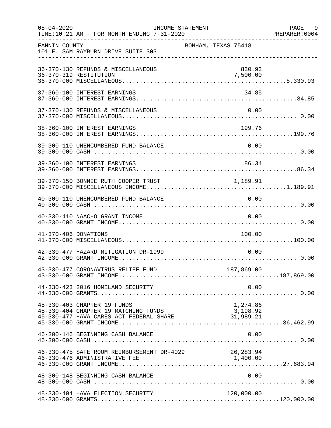| $08 - 04 - 2020$     | TIME:10:21 AM - FOR MONTH ENDING 7-31-2020                                                                               | INCOME STATEMENT |                     |                    | PAGE 9<br>PREPARER: 0004 |
|----------------------|--------------------------------------------------------------------------------------------------------------------------|------------------|---------------------|--------------------|--------------------------|
| FANNIN COUNTY        | 101 E. SAM RAYBURN DRIVE SUITE 303                                                                                       |                  | BONHAM, TEXAS 75418 |                    |                          |
|                      | 36-370-130 REFUNDS & MISCELLANEOUS<br>36-370-319 RESTITUTION                                                             |                  |                     | 830.93<br>7,500.00 |                          |
|                      | 37-360-100 INTEREST EARNINGS                                                                                             |                  |                     | 34.85              |                          |
|                      | 37-370-130 REFUNDS & MISCELLANEOUS                                                                                       |                  |                     | 0.00               |                          |
|                      | 38-360-100 INTEREST EARNINGS                                                                                             |                  |                     |                    |                          |
|                      | 39-300-110 UNENCUMBERED FUND BALANCE                                                                                     |                  |                     | 0.00               |                          |
|                      | 39-360-100 INTEREST EARNINGS                                                                                             |                  |                     | 86.34              |                          |
|                      | 39-370-150 BONNIE RUTH COOPER TRUST 1,189.91                                                                             |                  |                     |                    |                          |
|                      | 40-300-110 UNENCUMBERED FUND BALANCE                                                                                     |                  |                     | 0.00               |                          |
|                      | 40-330-410 NAACHO GRANT INCOME                                                                                           |                  |                     | 0.00               |                          |
| 41-370-406 DONATIONS |                                                                                                                          |                  |                     | 100.00             |                          |
|                      | 42-330-477 HAZARD MITIGATION DR-1999                                                                                     |                  |                     | 0.00               |                          |
|                      |                                                                                                                          |                  |                     |                    |                          |
|                      | 44-330-423 2016 HOMELAND SECURITY                                                                                        |                  |                     | 0.00               |                          |
|                      | 45-330-403 CHAPTER 19 FUNDS<br>45-330-404 CHAPTER 19 MATCHING FUNDS<br>45-330-477 HAVA CARES ACT FEDERAL SHARE 31,989.21 |                  |                     | 1,274.86           |                          |
|                      | 46-300-146 BEGINNING CASH BALANCE                                                                                        |                  |                     | 0.00               |                          |
|                      | 46-330-475 SAFE ROOM REIMBURSEMENT DR-4029 26,283.94<br>46-330-476 ADMINISTRATIVE FEE                                    |                  |                     | 1,400.00           |                          |
|                      | 48-300-148 BEGINNING CASH BALANCE                                                                                        |                  |                     | 0.00               |                          |
|                      | 48-330-404 HAVA ELECTION SECURITY                                                                                        |                  |                     | 120,000.00         |                          |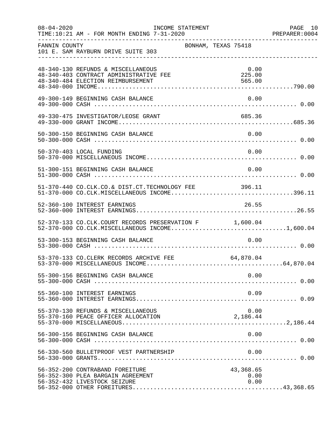| $08 - 04 - 2020$ | TIME:10:21 AM - FOR MONTH ENDING 7-31-2020                                                                                                    | INCOME STATEMENT    |  |                           |      | PAGE 10<br>PREPARER: 0004 |
|------------------|-----------------------------------------------------------------------------------------------------------------------------------------------|---------------------|--|---------------------------|------|---------------------------|
| FANNIN COUNTY    | 101 E. SAM RAYBURN DRIVE SUITE 303                                                                                                            | BONHAM, TEXAS 75418 |  |                           |      |                           |
|                  | 48-340-130 REFUNDS & MISCELLANEOUS<br>48-340-403 CONTRACT ADMINISTRATIVE FEE<br>48-340-484 ELECTION REIMBURSEMENT                             |                     |  | 0.00<br>225.00<br>565.00  |      |                           |
|                  | 49-300-149 BEGINNING CASH BALANCE                                                                                                             |                     |  |                           | 0.00 |                           |
|                  | 49-330-475 INVESTIGATOR/LEOSE GRANT                                                                                                           |                     |  | 685.36                    |      |                           |
|                  | 50-300-150 BEGINNING CASH BALANCE                                                                                                             |                     |  | 0.00                      |      |                           |
|                  | 50-370-403 LOCAL FUNDING                                                                                                                      |                     |  |                           | 0.00 |                           |
|                  | 51-300-151 BEGINNING CASH BALANCE                                                                                                             |                     |  | 0.00                      |      |                           |
|                  | 51-370-440 CO.CLK.CO.& DIST.CT.TECHNOLOGY FEE 396.11<br>51-370-000 CO.CLK.MISCELLANEOUS INCOME396.11                                          |                     |  |                           |      |                           |
|                  | 52-360-100 INTEREST EARNINGS<br>26.55 / 26.55 / 26.55 / 26.55 / 26.55 / 26.55 / 26.55 / 26.55 / 26.55 / 26.55 / 26.55 / 26.55 / 26.55 / 26.55 |                     |  | 26.55                     |      |                           |
|                  | 52-370-133 CO.CLK.COURT RECORDS PRESERVATION F 1,600.04<br>$52-370-000$ CO.CLK.MISCELLANEOUS INCOME1,600.04                                   |                     |  |                           |      |                           |
|                  | 53-300-153 BEGINNING CASH BALANCE                                                                                                             |                     |  | 0.00                      |      |                           |
|                  | 53-370-133 CO.CLERK RECORDS ARCHIVE FEE                                                                                                       | 64,870.04           |  |                           |      |                           |
|                  | 55-300-156 BEGINNING CASH BALANCE                                                                                                             |                     |  | 0.00                      |      |                           |
|                  | 55-360-100 INTEREST EARNINGS                                                                                                                  |                     |  |                           | 0.09 |                           |
|                  | 55-370-130 REFUNDS & MISCELLANEOUS<br>55-370-160 PEACE OFFICER ALLOCATION                                                                     |                     |  | 2,186.44                  | 0.00 |                           |
|                  | 56-300-156 BEGINNING CASH BALANCE                                                                                                             |                     |  |                           | 0.00 |                           |
|                  | 56-330-560 BULLETPROOF VEST PARTNERSHIP                                                                                                       |                     |  |                           | 0.00 |                           |
|                  | 56-352-200 CONTRABAND FOREITURE<br>56-352-300 PLEA BARGAIN AGREEMENT<br>56-352-432 LIVESTOCK SEIZURE                                          |                     |  | 43,368.65<br>0.00<br>0.00 |      |                           |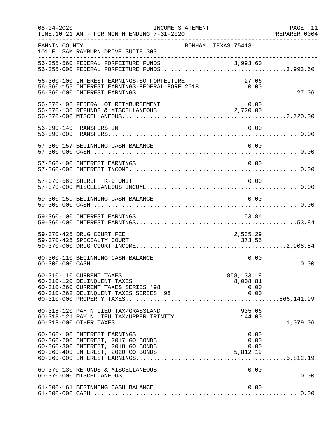| $08 - 04 - 2020$ | INCOME STATEMENT<br>TIME:10:21 AM - FOR MONTH ENDING 7-31-2020                                                                                 |                                          | PAGE 11<br>PREPARER: 0004 |
|------------------|------------------------------------------------------------------------------------------------------------------------------------------------|------------------------------------------|---------------------------|
| FANNIN COUNTY    | 101 E. SAM RAYBURN DRIVE SUITE 303                                                                                                             | BONHAM, TEXAS 75418                      | -----------------------   |
|                  | _________________________________<br>56-355-560 FEDERAL FORFEITURE FUNDS<br>56-355-000 FEDERAL FORFEITURE FUNDS3,993.60                        |                                          |                           |
|                  | 56-360-100 INTEREST EARNINGS-SO FORFEITURE 2018 27.06<br>56-360-159 INTEREST EARNINGS-FEDERAL FORF 2018 0.00                                   |                                          |                           |
|                  | 56-370-108 FEDERAL OT REIMBURSEMENT<br>56-370-130 REFUNDS & MISCELLANEOUS                                                                      | 0.00<br>2,720.00                         |                           |
|                  | 56-390-140 TRANSFERS IN                                                                                                                        |                                          | 0.00                      |
|                  | 57-300-157 BEGINNING CASH BALANCE                                                                                                              |                                          | 0.00                      |
|                  | 57-360-100 INTEREST EARNINGS                                                                                                                   |                                          | 0.00                      |
|                  | 57-370-560 SHERIFF K-9 UNIT                                                                                                                    |                                          | 0.00                      |
|                  | 59-300-159 BEGINNING CASH BALANCE                                                                                                              |                                          | 0.00                      |
|                  | 59-360-100 INTEREST EARNINGS                                                                                                                   |                                          | 53.84                     |
|                  | 59-370-425 DRUG COURT FEE<br>59-370-426 SPECIALTY COURT                                                                                        | 2,535.29<br>373.55                       |                           |
|                  | 60-300-110 BEGINNING CASH BALANCE                                                                                                              |                                          | 0.00                      |
|                  | 60-310-110 CURRENT TAXES<br>60-310-120 DELINQUENT TAXES<br>60-310-260 CURRENT TAXES SERIES '98<br>60-310-262 DELINQUENT TAXES SERIES '98       | 858, 133. 18<br>8,008.81<br>0.00<br>0.00 |                           |
|                  | 60-318-120 PAY N LIEU TAX/GRASSLAND<br>60-318-121 PAY N LIEU TAX/UPPER TRINITY                                                                 | 935.06<br>144.00                         |                           |
|                  | 60-360-100 INTEREST EARNINGS<br>60-360-200 INTEREST, 2017 GO BONDS<br>60-360-300 INTEREST, 2018 GO BONDS<br>60-360-400 INTEREST, 2020 CO BONDS | 5,812.19                                 | 0.00<br>0.00<br>0.00      |
|                  | 60-370-130 REFUNDS & MISCELLANEOUS                                                                                                             | 0.00                                     |                           |
|                  | 61-300-161 BEGINNING CASH BALANCE                                                                                                              |                                          | 0.00                      |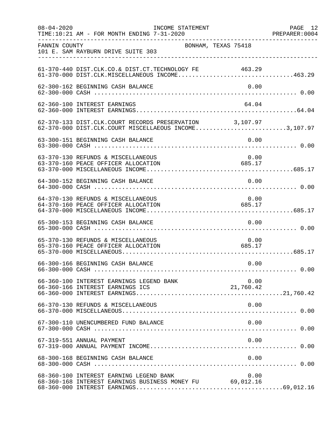| $08 - 04 - 2020$ | INCOME STATEMENT<br>TIME:10:21 AM - FOR MONTH ENDING 7-31-2020                                                                                    | PREPARER: 0004            | PAGE 12 |
|------------------|---------------------------------------------------------------------------------------------------------------------------------------------------|---------------------------|---------|
| FANNIN COUNTY    | 101 E. SAM RAYBURN DRIVE SUITE 303                                                                                                                | BONHAM, TEXAS 75418       |         |
|                  | 61-370-440 DIST.CLK.CO.& DIST.CT.TECHNOLOGY FE 463.29<br>61-370-000 DIST.CLK.MISCELLANEOUS INCOME463.29                                           |                           |         |
|                  | 62-300-162 BEGINNING CASH BALANCE                                                                                                                 | 0.00                      |         |
|                  | 62-360-100 INTEREST EARNINGS                                                                                                                      | 64.04                     |         |
|                  | 62-370-133 DIST.CLK.COURT RECORDS PRESERVATION 3,107.97<br>62-370-000 DIST.CLK.COURT MISCELLAEOUS INCOME3,107.97                                  |                           |         |
|                  | 63-300-151 BEGINNING CASH BALANCE                                                                                                                 | 0.00                      |         |
|                  | 63-370-130 REFUNDS & MISCELLANEOUS<br>63-370-160 PEACE OFFICER ALLOCATION                                                                         | 0.00<br>685.17            |         |
|                  | 64-300-152 BEGINNING CASH BALANCE                                                                                                                 | 0.00                      |         |
|                  | 64-370-130 REFUNDS & MISCELLANEOUS<br>64-370-160 PEACE OFFICER ALLOCATION                                                                         | 0.00<br>685.17            |         |
|                  | 65-300-153 BEGINNING CASH BALANCE                                                                                                                 | 0.00                      |         |
|                  | 65-370-130 REFUNDS & MISCELLANEOUS<br>65-370-160 PEACE OFFICER ALLOCATION                                                                         | 0.00<br>685.17            |         |
|                  | 66-300-166 BEGINNING CASH BALANCE                                                                                                                 | 0.00                      |         |
|                  | 66-360-100 INTEREST EARNINGS LEGEND BANK                                                                                                          | 0.00<br>0.00<br>21,760.42 |         |
|                  | 66-370-130 REFUNDS & MISCELLANEOUS                                                                                                                | 0.00                      |         |
|                  | 67-300-110 UNENCUMBERED FUND BALANCE                                                                                                              | 0.00                      |         |
|                  | 67-319-551 ANNUAL PAYMENT                                                                                                                         | 0.00                      |         |
|                  | 68-300-168 BEGINNING CASH BALANCE                                                                                                                 | 0.00                      |         |
|                  | 68-360-100 INTEREST EARNING LEGEND BANK<br>0.00 0 - 0.00 UNTEREST EARNING LEGEND BANK<br>68-360-168 INTEREST EARNINGS BUSINESS MONEY FU 69,012.16 | 0.00                      |         |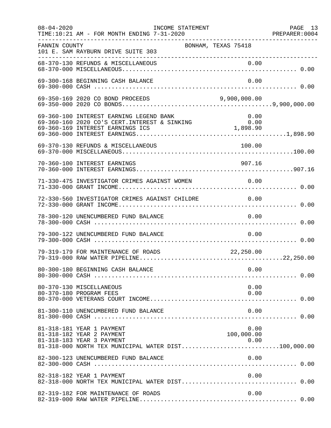| $08 - 04 - 2020$ | INCOME STATEMENT<br>TIME:10:21 AM - FOR MONTH ENDING 7-31-2020                                                                                                          |                            | PAGE 13 |
|------------------|-------------------------------------------------------------------------------------------------------------------------------------------------------------------------|----------------------------|---------|
| FANNIN COUNTY    | BONHAM, TEXAS 75418<br>101 E. SAM RAYBURN DRIVE SUITE 303                                                                                                               |                            |         |
|                  |                                                                                                                                                                         |                            |         |
|                  | 69-300-168 BEGINNING CASH BALANCE                                                                                                                                       | 0.00                       |         |
|                  |                                                                                                                                                                         | 9,900,000.00               |         |
|                  | 69-360-100 INTEREST EARNING LEGEND BANK                                                                                                                                 | 0.00                       |         |
|                  | 69-370-130 REFUNDS & MISCELLANEOUS                                                                                                                                      | 100.00                     |         |
|                  | 70-360-100 INTEREST EARNINGS                                                                                                                                            | 907.16                     |         |
|                  | 71-330-475 INVESTIGATOR CRIMES AGAINST WOMEN 0.00                                                                                                                       |                            |         |
|                  | 72-330-560 INVESTIGATOR CRIMES AGAINST CHILDRE 0.00                                                                                                                     |                            |         |
|                  | 78-300-120 UNENCUMBERED FUND BALANCE                                                                                                                                    | 0.00                       |         |
|                  | 79-300-122 UNENCUMBERED FUND BALANCE                                                                                                                                    | 0.00                       |         |
|                  | 79-319-179 FOR MAINTENANCE OF ROADS 22,250.00                                                                                                                           |                            |         |
|                  | 80-300-180 BEGINNING CASH BALANCE                                                                                                                                       | 0.00                       |         |
|                  | 80-370-130 MISCELLANEOUS<br>80-370-180 PROGRAM FEES                                                                                                                     | 0.00<br>0.00               |         |
|                  | 81-300-110 UNENCUMBERED FUND BALANCE                                                                                                                                    | 0.00                       |         |
|                  | 81-318-181 YEAR 1 PAYMENT<br>81-318-182 YEAR 2 PAYMENT<br>81-318-183 YEAR 3 PAYMENT<br>81-318-183 YEAR 3 PAYMENT<br>81-318-000 NORTH TEX MUNICIPAL WATER DIST100,000.00 | 0.00<br>100,000.00<br>0.00 |         |
|                  | 82-300-123 UNENCUMBERED FUND BALANCE                                                                                                                                    | 0.00                       |         |
|                  | 82-318-182 YEAR 1 PAYMENT                                                                                                                                               | 0.00                       |         |
|                  | 82-319-182 FOR MAINTENANCE OF ROADS                                                                                                                                     | 0.00                       |         |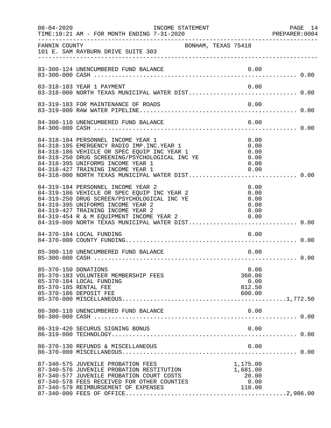| $08 - 04 - 2020$     | INCOME STATEMENT                                                                                                                                                                                                                                                                                                                                                |                                              | PAGE 14<br>PREPARER:0004 |
|----------------------|-----------------------------------------------------------------------------------------------------------------------------------------------------------------------------------------------------------------------------------------------------------------------------------------------------------------------------------------------------------------|----------------------------------------------|--------------------------|
| FANNIN COUNTY        | 101 E. SAM RAYBURN DRIVE SUITE 303                                                                                                                                                                                                                                                                                                                              | BONHAM, TEXAS 75418                          |                          |
|                      | 83-300-124 UNENCUMBERED FUND BALANCE                                                                                                                                                                                                                                                                                                                            | 0.00                                         |                          |
|                      | 83-318-183 YEAR 1 PAYMENT<br>83-318-000 NORTH TEXAS MUNICIPAL WATER DIST 0.00                                                                                                                                                                                                                                                                                   | 0.00                                         |                          |
|                      | 83-319-183 FOR MAINTENANCE OF ROADS                                                                                                                                                                                                                                                                                                                             | 0.00                                         |                          |
|                      | 84-300-110 UNENCUMBERED FUND BALANCE                                                                                                                                                                                                                                                                                                                            | 0.00                                         |                          |
|                      | 84-318-184 PERSONNEL INCOME YEAR 1<br>84-318-185 EMERGENCY RADIO IMP. INC. YEAR 1<br>84-318-186 VEHICLE OR SPEC EQUIP INC YEAR 1<br>84-318-186 VEHICLE OR SPEC EQUIP INC YEAR 1<br>84-318-250 DRUG SCREENING/PSYCHOLOGICAL INC YE<br>84-318-395 UNIFORMS INCOME YEAR 1<br>84-318-427 TRAINING INCOME YEAR 1<br>84-318-000 NORTH TEXAS MUNICIPAL WATER DIST 0.00 | 0.00<br>0.00<br>0.00<br>0.00<br>0.00<br>0.00 |                          |
|                      | 84-319-184 PERSONNEL INCOME YEAR 2<br>84-319-186 VEHICLE OR SPEC EQUIP INC YEAR 2<br>84-319-250 DRUG SCREEN/PSYCHOLOGICAL INC YE<br>84-319-395 UNIFORMS INCOME YEAR 2<br>84-319-427 TRAINING INCOME YEAR 2<br>84-319-454 R & M EQUIPMENT INCOME YEAR 2<br>84-319-000 NORTH TEXAS MUNICIPAL WATER DIST 0.00                                                      | 0.00<br>0.00<br>0.00<br>0.00<br>0.00<br>0.00 |                          |
|                      | 84-370-184 LOCAL FUNDING                                                                                                                                                                                                                                                                                                                                        | 0.00                                         |                          |
|                      | 85-300-110 UNENCUMBERED FUND BALANCE                                                                                                                                                                                                                                                                                                                            | 0.00                                         |                          |
| 85-370-150 DONATIONS | 85-370-183 VOLUNTEER MEMBERSHIP FEES<br>85-370-184 LOCAL FUNDING<br>85-370-185 RENTAL FEE<br>85-370-186 DEPOSIT FEE                                                                                                                                                                                                                                             | 0.00<br>360.00<br>0.00<br>812.50<br>600.00   |                          |
|                      | 86-300-110 UNENCUMBERED FUND BALANCE                                                                                                                                                                                                                                                                                                                            | 0.00                                         |                          |
|                      | 86-319-420 SECURUS SIGNING BONUS                                                                                                                                                                                                                                                                                                                                | 0.00                                         |                          |
|                      | 86-370-130 REFUNDS & MISCELLANEOUS                                                                                                                                                                                                                                                                                                                              | 0.00                                         |                          |
|                      | 87-340-575 JUVENILE PROBATION FEES<br>87-340-576 JUVENILE PROBATION RESTITUTION<br>87-340-577 JUVENILE PROBATION COURT COSTS<br>87-340-578 FEES RECEIVED FOR OTHER COUNTIES                                                                                                                                                                                     | 1,175.00<br>1,681.00<br>20.00<br>0.00        |                          |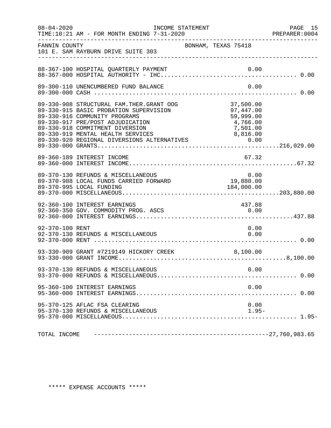| $08 - 04 - 2020$ | TIME:10:21 AM - FOR MONTH ENDING 7-31-2020                                                                                                                                                   | INCOME STATEMENT                                                          | PAGE 15<br>PREPARER: 0004 |
|------------------|----------------------------------------------------------------------------------------------------------------------------------------------------------------------------------------------|---------------------------------------------------------------------------|---------------------------|
| FANNIN COUNTY    | 101 E. SAM RAYBURN DRIVE SUITE 303                                                                                                                                                           | BONHAM, TEXAS 75418                                                       |                           |
|                  |                                                                                                                                                                                              |                                                                           |                           |
|                  | 89-300-110 UNENCUMBERED FUND BALANCE                                                                                                                                                         | 0.00                                                                      |                           |
|                  | 89-330-908 STRUCTURAL FAM. THER. GRANT OOG<br>89-330-915 BASIC PROBATION SUPERVISION<br>89-330-916 COMMUNITY PROGRAMS<br>89-330-917 PRE/POST ADJUDICATION<br>89-330-918 COMMITMENT DIVERSION | 37,500.00<br>97,447.00<br>59,999.00<br>$\frac{4}{5}$ , 766.00<br>7,501.00 |                           |
|                  | 89-360-189 INTEREST INCOME                                                                                                                                                                   | 67.32                                                                     |                           |
|                  |                                                                                                                                                                                              |                                                                           |                           |
|                  | 92-360-100 INTEREST EARNINGS<br>92-360-350 GOV. COMMODITY PROG. ASCS                                                                                                                         | 437.88<br>0.00                                                            |                           |
| 92-370-100 RENT  | 92-370-130 REFUNDS & MISCELLANEOUS                                                                                                                                                           | 0.00<br>0.00                                                              |                           |
|                  | 93-330-909 GRANT #7219149 HICKORY CREEK                                                                                                                                                      | 8,100.00                                                                  |                           |
|                  | 93-370-130 REFUNDS & MISCELLANEOUS                                                                                                                                                           | 0.00                                                                      |                           |
|                  | 95-360-100 INTEREST EARNINGS                                                                                                                                                                 | 0.00                                                                      |                           |
|                  | 95-370-125 AFLAC FSA CLEARING<br>95-370-130 REFUNDS & MISCELLANEOUS                                                                                                                          | 0.00<br>$1.95-$                                                           |                           |
|                  |                                                                                                                                                                                              |                                                                           |                           |

\*\*\*\*\* EXPENSE ACCOUNTS \*\*\*\*\*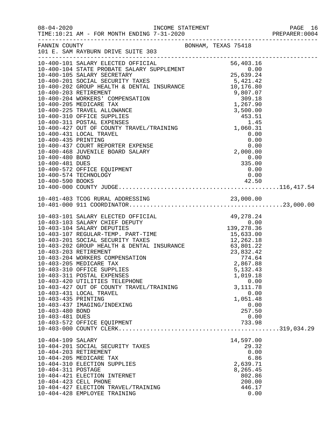| $08 - 04 - 2020$      |                                                                                                                                                                                                                                                                                                                                                                         |                   | PAGE 16<br>PREPARER: 0004 |
|-----------------------|-------------------------------------------------------------------------------------------------------------------------------------------------------------------------------------------------------------------------------------------------------------------------------------------------------------------------------------------------------------------------|-------------------|---------------------------|
|                       | FANNIN COUNTY                                                                                                                                                                                                                                                                                                                                                           |                   |                           |
|                       | $\begin{tabular}{l c c c} \hline \texttt{{\small 10-400-101}} & \texttt{S6,4031-AIV} & \texttt{S6,40316} \\ \hline 10-400-101 & \texttt{SALARY} & \texttt{ECCRETRAY} & \texttt{0.00} \\ 10-400-105 & \texttt{SALARY} & \texttt{SCCETRARY} & \texttt{35,639.24} \\ 10-400-201 & \texttt{SOCIAL} & \texttt{SECURITY} & \texttt{TXES} & \texttt{5,421.42} \\ 10-400-202 &$ |                   |                           |
|                       |                                                                                                                                                                                                                                                                                                                                                                         |                   |                           |
|                       |                                                                                                                                                                                                                                                                                                                                                                         |                   |                           |
|                       |                                                                                                                                                                                                                                                                                                                                                                         |                   |                           |
|                       |                                                                                                                                                                                                                                                                                                                                                                         |                   |                           |
|                       |                                                                                                                                                                                                                                                                                                                                                                         |                   |                           |
|                       |                                                                                                                                                                                                                                                                                                                                                                         |                   |                           |
|                       |                                                                                                                                                                                                                                                                                                                                                                         |                   |                           |
|                       |                                                                                                                                                                                                                                                                                                                                                                         |                   |                           |
|                       |                                                                                                                                                                                                                                                                                                                                                                         |                   |                           |
|                       |                                                                                                                                                                                                                                                                                                                                                                         |                   |                           |
|                       |                                                                                                                                                                                                                                                                                                                                                                         |                   |                           |
|                       |                                                                                                                                                                                                                                                                                                                                                                         |                   |                           |
|                       |                                                                                                                                                                                                                                                                                                                                                                         |                   |                           |
|                       |                                                                                                                                                                                                                                                                                                                                                                         |                   |                           |
| 10-400-480 BOND       |                                                                                                                                                                                                                                                                                                                                                                         | 0.00              |                           |
| 10-400-481 DUES       |                                                                                                                                                                                                                                                                                                                                                                         | 335.00            |                           |
|                       | 10-400-572 OFFICE EQUIPMENT                                                                                                                                                                                                                                                                                                                                             | 0.00              |                           |
|                       | 10-400-574 TECHNOLOGY                                                                                                                                                                                                                                                                                                                                                   | 0.00              |                           |
|                       |                                                                                                                                                                                                                                                                                                                                                                         |                   |                           |
|                       |                                                                                                                                                                                                                                                                                                                                                                         |                   |                           |
|                       |                                                                                                                                                                                                                                                                                                                                                                         |                   |                           |
|                       |                                                                                                                                                                                                                                                                                                                                                                         |                   |                           |
|                       |                                                                                                                                                                                                                                                                                                                                                                         |                   |                           |
|                       |                                                                                                                                                                                                                                                                                                                                                                         |                   |                           |
|                       |                                                                                                                                                                                                                                                                                                                                                                         |                   |                           |
|                       |                                                                                                                                                                                                                                                                                                                                                                         |                   |                           |
|                       |                                                                                                                                                                                                                                                                                                                                                                         |                   |                           |
|                       |                                                                                                                                                                                                                                                                                                                                                                         |                   |                           |
|                       |                                                                                                                                                                                                                                                                                                                                                                         |                   |                           |
|                       |                                                                                                                                                                                                                                                                                                                                                                         |                   |                           |
|                       |                                                                                                                                                                                                                                                                                                                                                                         |                   |                           |
|                       | 10-403-310 OFFICE SUPPLIES                                                                                                                                                                                                                                                                                                                                              | 5, 132. 43        |                           |
|                       | 10-403-311 POSTAL EXPENSES<br>10-403-420 UTILITIES TELEPHONE                                                                                                                                                                                                                                                                                                            | 1,019.18          |                           |
|                       | 10-403-427 OUT OF COUNTY TRAVEL/TRAINING                                                                                                                                                                                                                                                                                                                                | 0.00<br>3, 111.78 |                           |
|                       | 10-403-431 LOCAL TRAVEL                                                                                                                                                                                                                                                                                                                                                 | 0.00              |                           |
| 10-403-435 PRINTING   |                                                                                                                                                                                                                                                                                                                                                                         | 1,051.48          |                           |
|                       | 10-403-437 IMAGING/INDEXING                                                                                                                                                                                                                                                                                                                                             | 0.00              |                           |
| 10-403-480 BOND       |                                                                                                                                                                                                                                                                                                                                                                         | 257.50            |                           |
| 10-403-481 DUES       |                                                                                                                                                                                                                                                                                                                                                                         | 0.00              |                           |
|                       | 10-403-572 OFFICE EQUIPMENT                                                                                                                                                                                                                                                                                                                                             | 733.98            |                           |
|                       |                                                                                                                                                                                                                                                                                                                                                                         |                   |                           |
| 10-404-109 SALARY     |                                                                                                                                                                                                                                                                                                                                                                         | 14,597.00         |                           |
|                       | 10-404-201 SOCIAL SECURITY TAXES                                                                                                                                                                                                                                                                                                                                        | 29.32             |                           |
|                       | 10-404-203 RETIREMENT                                                                                                                                                                                                                                                                                                                                                   | 0.00              |                           |
|                       | 10-404-205 MEDICARE TAX                                                                                                                                                                                                                                                                                                                                                 | 6.86              |                           |
|                       | 10-404-310 ELECTION SUPPLIES                                                                                                                                                                                                                                                                                                                                            | 2,639.71          |                           |
| 10-404-311 POSTAGE    |                                                                                                                                                                                                                                                                                                                                                                         | 8,265.45          |                           |
|                       | 10-404-421 ELECTION INTERNET                                                                                                                                                                                                                                                                                                                                            | 802.86            |                           |
| 10-404-423 CELL PHONE |                                                                                                                                                                                                                                                                                                                                                                         | 200.00            |                           |
|                       | 10-404-427 ELECTION TRAVEL/TRAINING                                                                                                                                                                                                                                                                                                                                     | 446.17            |                           |
|                       | 10-404-428 EMPLOYEE TRAINING                                                                                                                                                                                                                                                                                                                                            | 0.00              |                           |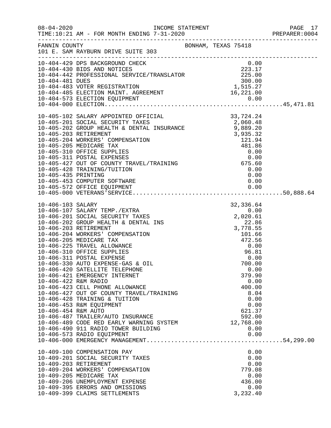|                                             |                                                                                                                                                                                                                                                                                                                                                                             |                                                                                              | PAGE 17<br>PREPARER:0004<br>PAGE 17 |
|---------------------------------------------|-----------------------------------------------------------------------------------------------------------------------------------------------------------------------------------------------------------------------------------------------------------------------------------------------------------------------------------------------------------------------------|----------------------------------------------------------------------------------------------|-------------------------------------|
|                                             | FANNIN COUNTY<br>101 E. SAM RAYBURN DRIVE SUITE 303                                                                                                                                                                                                                                                                                                                         |                                                                                              |                                     |
|                                             | 10-404-429 DPS BACKGROUND CHECK<br>10-404-429 DPS BACKGROUND CHECK<br>10-404-442 PROFESSIONAL SERVICE/TRANSLATOR<br>10-404-481 DUES<br>10-404-481 DUES<br>10-404-483 VOTER REGISTRATION<br>10-404-485 ELECTION MAINT. AGREEMENT<br>16,221.00                                                                                                                                |                                                                                              |                                     |
|                                             |                                                                                                                                                                                                                                                                                                                                                                             |                                                                                              |                                     |
| 10-406-422 R&M RADIO<br>10-406-454 R&M AUTO | 10-406-420 SATELLITE TELEPHONE<br>10-406-421 EMERGENCY INTERNET<br>10-406-423 CELL PHONE ALLOWANCE<br>10-406-427 OUT OF COUNTY TRAVEL/TRAINING<br>10-406-428 TRAINING & TUITION<br>10-406-453 R&M EQUIPMENT<br>10-406-487 TRAILER/AUTO INSURANCE<br>10-406-489 CODE RED EARLY WARNING SYSTEM 12,768.00<br>10-406-490 911 RADIO TOWER BUILDING<br>10-406-573 RADIO EQUIPMENT | 0.00<br>379.90<br>0.00<br>400.00<br>8.04<br>0.00<br>0.00<br>621.37<br>592.00<br>0.00<br>0.00 |                                     |
|                                             | 10-409-100 COMPENSATION PAY<br>10-409-201 SOCIAL SECURITY TAXES<br>10-409-203 RETIREMENT<br>10-409-204 WORKERS' COMPENSATION<br>10-409-205 MEDICARE TAX<br>10-409-206 UNEMPLOYMENT EXPENSE<br>10-409-395 ERRORS AND OMISSIONS<br>10-409-399 CLAIMS SETTLEMENTS                                                                                                              | 0.00<br>0.00<br>0.00<br>779.08<br>0.00<br>436.00<br>0.00<br>3,232.40                         |                                     |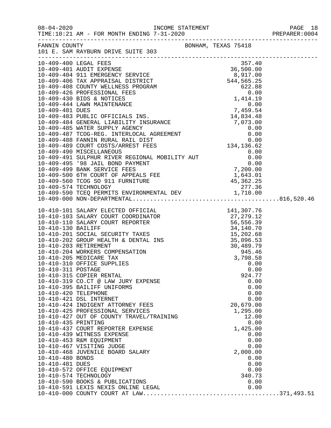08-04-2020 INCOME STATEMENT PAGE 18

TIME:10:21 AM - FOR MONTH ENDING 7-31-2020 PREPARER:0004

| FANNIN COUNTY         | BONHAM, TEXAS 75418<br>101 E. SAM RAYBURN DRIVE SUITE 303                                                                                                                                                                                                                                                                         |              |  |
|-----------------------|-----------------------------------------------------------------------------------------------------------------------------------------------------------------------------------------------------------------------------------------------------------------------------------------------------------------------------------|--------------|--|
|                       | $\begin{tabular}{l c c c} \hline 1-0.409-400&LEGL & 357.40 \\ \hline 10-409-400&LEGL & 357.40 \\ \hline 10-409-400&LEGL & 357.40 \\ \hline 10-409-400& SEGL & 357.40 \\ \hline 10-409-406& COMYT WELINKES & 367.40 \\ \hline 10-409-408& COMYT WELINKES & 367.40 \\ \hline 10-409-408& COMYT WELINKES & 368.40 \\ \hline 10-409-$ |              |  |
|                       |                                                                                                                                                                                                                                                                                                                                   |              |  |
|                       |                                                                                                                                                                                                                                                                                                                                   |              |  |
|                       |                                                                                                                                                                                                                                                                                                                                   |              |  |
|                       |                                                                                                                                                                                                                                                                                                                                   |              |  |
|                       |                                                                                                                                                                                                                                                                                                                                   |              |  |
|                       |                                                                                                                                                                                                                                                                                                                                   |              |  |
|                       |                                                                                                                                                                                                                                                                                                                                   |              |  |
|                       |                                                                                                                                                                                                                                                                                                                                   |              |  |
|                       |                                                                                                                                                                                                                                                                                                                                   |              |  |
|                       |                                                                                                                                                                                                                                                                                                                                   |              |  |
|                       |                                                                                                                                                                                                                                                                                                                                   |              |  |
|                       |                                                                                                                                                                                                                                                                                                                                   |              |  |
|                       |                                                                                                                                                                                                                                                                                                                                   |              |  |
|                       |                                                                                                                                                                                                                                                                                                                                   |              |  |
|                       |                                                                                                                                                                                                                                                                                                                                   |              |  |
|                       |                                                                                                                                                                                                                                                                                                                                   |              |  |
|                       |                                                                                                                                                                                                                                                                                                                                   |              |  |
|                       |                                                                                                                                                                                                                                                                                                                                   |              |  |
|                       |                                                                                                                                                                                                                                                                                                                                   |              |  |
|                       |                                                                                                                                                                                                                                                                                                                                   |              |  |
|                       |                                                                                                                                                                                                                                                                                                                                   |              |  |
|                       |                                                                                                                                                                                                                                                                                                                                   |              |  |
|                       |                                                                                                                                                                                                                                                                                                                                   |              |  |
|                       |                                                                                                                                                                                                                                                                                                                                   |              |  |
|                       |                                                                                                                                                                                                                                                                                                                                   |              |  |
|                       |                                                                                                                                                                                                                                                                                                                                   |              |  |
|                       |                                                                                                                                                                                                                                                                                                                                   |              |  |
|                       |                                                                                                                                                                                                                                                                                                                                   |              |  |
|                       |                                                                                                                                                                                                                                                                                                                                   |              |  |
|                       |                                                                                                                                                                                                                                                                                                                                   |              |  |
|                       |                                                                                                                                                                                                                                                                                                                                   |              |  |
|                       |                                                                                                                                                                                                                                                                                                                                   |              |  |
|                       |                                                                                                                                                                                                                                                                                                                                   |              |  |
|                       |                                                                                                                                                                                                                                                                                                                                   |              |  |
|                       |                                                                                                                                                                                                                                                                                                                                   |              |  |
|                       | 10-410-319 CO.CT @ LAW JURY EXPENSE                                                                                                                                                                                                                                                                                               | 0.00         |  |
|                       | 10-410-395 BAILIFF UNIFORMS                                                                                                                                                                                                                                                                                                       | 0.00         |  |
| 10-410-420 TELEPHONE  |                                                                                                                                                                                                                                                                                                                                   | 0.00         |  |
|                       | 10-410-421 DSL INTERNET                                                                                                                                                                                                                                                                                                           | 0.00         |  |
|                       | 10-410-424 INDIGENT ATTORNEY FEES                                                                                                                                                                                                                                                                                                 | 20,679.00    |  |
|                       | 10-410-425 PROFESSIONAL SERVICES                                                                                                                                                                                                                                                                                                  | 1,295.00     |  |
|                       | 10-410-427 OUT OF COUNTY TRAVEL/TRAINING                                                                                                                                                                                                                                                                                          | 12.00        |  |
| 10-410-435 PRINTING   |                                                                                                                                                                                                                                                                                                                                   | 0.00         |  |
|                       | 10-410-437 COURT REPORTER EXPENSE                                                                                                                                                                                                                                                                                                 | 1,425.00     |  |
|                       | 10-410-439 WITNESS EXPENSE                                                                                                                                                                                                                                                                                                        | 0.00         |  |
|                       | 10-410-453 R&M EQUIPMENT                                                                                                                                                                                                                                                                                                          | 0.00         |  |
|                       | 10-410-467 VISITING JUDGE                                                                                                                                                                                                                                                                                                         | 0.00         |  |
|                       | 10-410-468 JUVENILE BOARD SALARY                                                                                                                                                                                                                                                                                                  | 2,000.00     |  |
| 10-410-480 BONDS      |                                                                                                                                                                                                                                                                                                                                   | 0.00         |  |
| 10-410-481 DUES       |                                                                                                                                                                                                                                                                                                                                   | 0.00         |  |
|                       | 10-410-572 OFFICE EQUIPMENT                                                                                                                                                                                                                                                                                                       | 0.00         |  |
| 10-410-574 TECHNOLOGY |                                                                                                                                                                                                                                                                                                                                   | 340.73       |  |
|                       | 10-410-590 BOOKS & PUBLICATIONS<br>10-410-591 LEXIS NEXIS ONLINE LEGAL                                                                                                                                                                                                                                                            | 0.00<br>0.00 |  |
|                       |                                                                                                                                                                                                                                                                                                                                   |              |  |
|                       |                                                                                                                                                                                                                                                                                                                                   |              |  |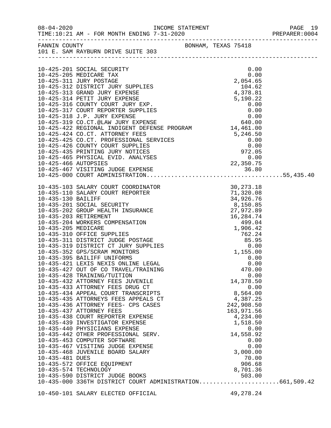| FANNIN COUNTY   | FANNIN COUNTY<br>101 E. SAM RAYBURN DRIVE SUITE 303                                                                                                                                                                                          |                    |  |
|-----------------|----------------------------------------------------------------------------------------------------------------------------------------------------------------------------------------------------------------------------------------------|--------------------|--|
|                 |                                                                                                                                                                                                                                              | 0.00               |  |
|                 |                                                                                                                                                                                                                                              |                    |  |
|                 |                                                                                                                                                                                                                                              |                    |  |
|                 |                                                                                                                                                                                                                                              |                    |  |
|                 |                                                                                                                                                                                                                                              |                    |  |
|                 |                                                                                                                                                                                                                                              |                    |  |
|                 |                                                                                                                                                                                                                                              |                    |  |
|                 |                                                                                                                                                                                                                                              |                    |  |
|                 |                                                                                                                                                                                                                                              |                    |  |
|                 | 10-425-318 J.P. JURY EXPENSE<br>10-425-319 CO.CT.@LAW JURY EXPENSE<br>10-425-422 REGIONAL INDIGENT DEFENSE PROGRAM 14,461.00                                                                                                                 |                    |  |
|                 |                                                                                                                                                                                                                                              |                    |  |
|                 |                                                                                                                                                                                                                                              |                    |  |
|                 |                                                                                                                                                                                                                                              |                    |  |
|                 |                                                                                                                                                                                                                                              |                    |  |
|                 |                                                                                                                                                                                                                                              |                    |  |
|                 |                                                                                                                                                                                                                                              |                    |  |
|                 |                                                                                                                                                                                                                                              |                    |  |
|                 | 10-425-424 CO.CT. ATTORNEY FEES<br>10-425-425 CO.CT. PROFESSIONAL SERVICES<br>10-425-426 COUNTY COURT SUPPLIES<br>10-425-435 PRINTING JURY NOTICES<br>10-425-465 PHYSICAL EVID. ANALYSES<br>10-425-466 AUTOPSIES<br>10-425-466 AUTOPSIES<br> |                    |  |
|                 |                                                                                                                                                                                                                                              |                    |  |
|                 |                                                                                                                                                                                                                                              |                    |  |
|                 |                                                                                                                                                                                                                                              |                    |  |
|                 |                                                                                                                                                                                                                                              |                    |  |
|                 |                                                                                                                                                                                                                                              |                    |  |
|                 |                                                                                                                                                                                                                                              |                    |  |
|                 |                                                                                                                                                                                                                                              |                    |  |
|                 |                                                                                                                                                                                                                                              |                    |  |
|                 |                                                                                                                                                                                                                                              |                    |  |
|                 |                                                                                                                                                                                                                                              |                    |  |
|                 |                                                                                                                                                                                                                                              |                    |  |
|                 | 10-435-395 BAILIFF UNIFORMS                                                                                                                                                                                                                  |                    |  |
|                 | 10-435-421 LEXIS NEXIS ONLINE LEGAL                                                                                                                                                                                                          | 0.00<br>0.00       |  |
|                 | 10-435-427 OUT OF CO TRAVEL/TRAINING                                                                                                                                                                                                         | 470.00             |  |
|                 | 10-435-428 TRAINING/TUITION                                                                                                                                                                                                                  | 0.00               |  |
|                 | 10-435-432 ATTORNEY FEES JUVENILE                                                                                                                                                                                                            | 14,378.50          |  |
|                 | 10-435-433 ATTORNEY FEES DRUG CT                                                                                                                                                                                                             | 0.00               |  |
|                 | 10-435-434 APPEAL COURT TRANSCRIPTS                                                                                                                                                                                                          | 8,564.00           |  |
|                 | 10-435-435 ATTORNEYS FEES APPEALS CT                                                                                                                                                                                                         | 4,387.25           |  |
|                 | 10-435-436 ATTORNEY FEES- CPS CASES                                                                                                                                                                                                          | 242,908.50         |  |
|                 | 10-435-437 ATTORNEY FEES                                                                                                                                                                                                                     | 163,971.56         |  |
|                 | 10-435-438 COURT REPORTER EXPENSE                                                                                                                                                                                                            | 4,234.00           |  |
|                 | 10-435-439 INVESTIGATOR EXPENSE                                                                                                                                                                                                              | 1,518.50           |  |
|                 | 10-435-440 PHYSICIANS EXPENSE                                                                                                                                                                                                                | 0.00               |  |
|                 | 10-435-442 OTHER PROFESSIONAL SERV.                                                                                                                                                                                                          | 14,558.92          |  |
|                 | 10-435-453 COMPUTER SOFTWARE                                                                                                                                                                                                                 | 0.00               |  |
|                 | 10-435-467 VISITING JUDGE EXPENSE                                                                                                                                                                                                            | 0.00               |  |
|                 | 10-435-468 JUVENILE BOARD SALARY                                                                                                                                                                                                             | 3,000.00           |  |
| 10-435-481 DUES |                                                                                                                                                                                                                                              | 70.00              |  |
|                 | 10-435-572 OFFICE EQUIPMENT                                                                                                                                                                                                                  | 906.68             |  |
|                 | 10-435-574 TECHNOLOGY<br>10-435-590 DISTRICT JUDGE BOOKS                                                                                                                                                                                     | 8,701.36<br>503.00 |  |
|                 | 10-435-000 336TH DISTRICT COURT ADMINISTRATION661,509.42                                                                                                                                                                                     |                    |  |
|                 |                                                                                                                                                                                                                                              |                    |  |
|                 |                                                                                                                                                                                                                                              |                    |  |

10-450-101 SALARY ELECTED OFFICIAL 49,278.24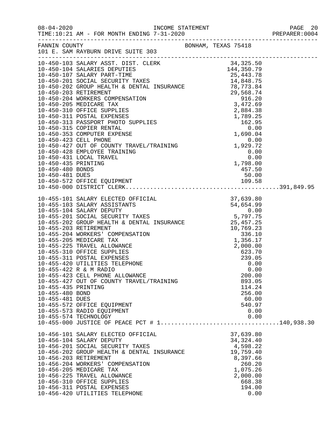08-04-2020 INCOME STATEMENT PAGE 20

| FRAFARAR • VVVI |  |  |  |  |  |
|-----------------|--|--|--|--|--|
|                 |  |  |  |  |  |

| FANNIN COUNTY                                             | 101 E. SAM RAYBURN DRIVE SUITE 303                                                                                                                                                                                                                                                                                                                                    | BONHAM, TEXAS 75418                                                                                                        |  |
|-----------------------------------------------------------|-----------------------------------------------------------------------------------------------------------------------------------------------------------------------------------------------------------------------------------------------------------------------------------------------------------------------------------------------------------------------|----------------------------------------------------------------------------------------------------------------------------|--|
|                                                           |                                                                                                                                                                                                                                                                                                                                                                       |                                                                                                                            |  |
|                                                           |                                                                                                                                                                                                                                                                                                                                                                       |                                                                                                                            |  |
|                                                           | 10-450-103 SALARY ASSTRIPTING<br>10-450-103 SALARY ASSTRIPTING<br>10-450-103 SALARY ASSTRIPTING<br>10-450-201 SOCIAL SECURITY TAXES<br>10-450-201 SOCIAL SECURITY TAXES<br>10-450-201 SOCIAL SECURITY TAXES<br>10-450-201 SOCIAL SECURITY                                                                                                                             |                                                                                                                            |  |
|                                                           |                                                                                                                                                                                                                                                                                                                                                                       |                                                                                                                            |  |
| 10-455-435 PRINTING<br>10-455-480 BOND<br>10-455-481 DUES | 10-455-423 CELL PHONE ALLOWANCE<br>10-455-427 OUT OF COUNTY TRAVEL/TRAINING<br>10-455-572 OFFICE EQUIPMENT<br>10-455-573 RADIO EQUIPMENT<br>10-455-574 TECHNOLOGY<br>10-455-000 JUSTICE OF PEACE PCT # 1140,938.30                                                                                                                                                    | 200.00<br>893.05<br>114.24<br>256.00<br>60.00<br>540.97<br>0.00<br>0.00                                                    |  |
|                                                           | 10-456-101 SALARY ELECTED OFFICIAL<br>10-456-104 SALARY DEPUTY<br>10-456-201 SOCIAL SECURITY TAXES<br>10-456-202 GROUP HEALTH & DENTAL INSURANCE<br>10-456-203 RETIREMENT<br>10-456-204 WORKERS' COMPENSATION<br>10-456-205 MEDICARE TAX<br>10-456-225 TRAVEL ALLOWANCE<br>10-456-310 OFFICE SUPPLIES<br>10-456-311 POSTAL EXPENSES<br>10-456-420 UTILITIES TELEPHONE | 37,639.80<br>34, 324.40<br>4,598.22<br>19,759.40<br>8,397.66<br>260.20<br>1,075.26<br>2,000.00<br>668.38<br>194.00<br>0.00 |  |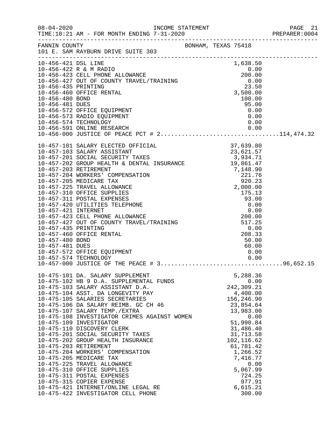|                                        |                                                                                                                                                                                                                                                                                                                                                                                                                                                                                                                                                                                                                                                                                                                                                 |                  |                                                                                                                                                                                                                            |                      | PREPARER: 0004 |
|----------------------------------------|-------------------------------------------------------------------------------------------------------------------------------------------------------------------------------------------------------------------------------------------------------------------------------------------------------------------------------------------------------------------------------------------------------------------------------------------------------------------------------------------------------------------------------------------------------------------------------------------------------------------------------------------------------------------------------------------------------------------------------------------------|------------------|----------------------------------------------------------------------------------------------------------------------------------------------------------------------------------------------------------------------------|----------------------|----------------|
|                                        | FANNIN COUNTY BONHAM, TEXAS 75418<br>101 E. SAM RAYBURN DRIVE SUITE 303                                                                                                                                                                                                                                                                                                                                                                                                                                                                                                                                                                                                                                                                         |                  |                                                                                                                                                                                                                            |                      |                |
| 10-456-421 DSL LINE<br>10-456-481 DUES | 10-456-422 R & M RADIO<br>10-456-423 CELL PHONE ALLOWANCE<br>10-456-423 CELL PHONE ALLOWANCE<br>10-456-427 OUT OF COUNTY TRAVEL/TRAINING<br>10-456-435 PRINTING<br>10-456-460 OFFICE RENTAL<br>10-456-480 BOND<br>10-456-480 BOND<br>10-456-48<br>10-456-572 OFFICE EQUIPMENT<br>10-456-573 RADIO EQUIPMENT<br>10-456-574 TECHNOLOGY<br>10-456-591 ONLINE RESEARCH 0.00<br>10-456-000 JUSTICE OF PEACE PCT # 2114,474.32                                                                                                                                                                                                                                                                                                                        | $0.00$<br>$0.00$ | 1,638.50<br>95.00                                                                                                                                                                                                          | 0.00                 |                |
| 10-457-480 BOND<br>10-457-481 DUES     | 10-457-101 SALARY ELECTED OFFICIAL                                                                                                                                                                                                                                                                                                                                                                                                                                                                                                                                                                                                                                                                                                              | 37,639.80        | 50.00<br>60.00                                                                                                                                                                                                             |                      |                |
|                                        | 10-475-101 DA. SALARY SUPPLEMENT<br>10-475-102 HB 9 D.A. SUPPLEMENTAL FUNDS<br>10-475-103 SALARY ASSISTANT D.A.<br>10-475-104 ASST. DA LONGEVITY PAY<br>10-475-105 SALARIES SECRETARIES<br>10-475-106 DA SALARY REIMB. GC CH 46<br>10-475-107 SALARY TEMP./EXTRA<br>10-475-108 INVESTIGATOR CRIMES AGAINST WOMEN<br>10-475-109 INVESTIGATOR<br>10-475-110 DISCOVERY CLERK<br>10-475-201 SOCIAL SECURITY TAXES<br>10-475-202 GROUP HEALTH INSURANCE<br>10-475-203 RETIREMENT<br>10-475-204 WORKERS' COMPENSATION<br>10-475-205 MEDICARE TAX<br>10-475-225 TRAVEL ALLOWANCE<br>10-475-310 OFFICE SUPPLIES<br>10-475-311 POSTAL EXPENSES<br>10-475-315 COPIER EXPENSE<br>10-475-421 INTERNET/ONLINE LEGAL RE<br>10-475-422 INVESTIGATOR CELL PHONE |                  | 5,288.36<br>242,309.21<br>4,400.00<br>156,246.90<br>23,854.64<br>13,983.00<br>51,990.84<br>31,486.40<br>31,713.58<br>102,116.62<br>61,781.42<br>1,266.52<br>7,416.77<br>5,067.99<br>724.25<br>977.91<br>6,615.21<br>300.00 | 0.00<br>0.00<br>0.00 |                |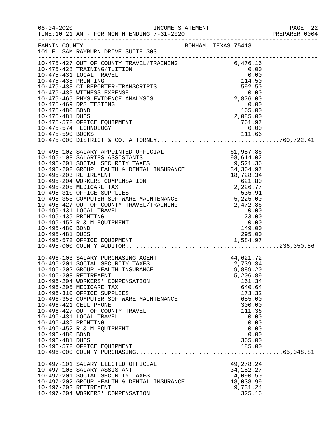| $08 - 04 - 2020$                                          | TIME:10:21 AM - FOR MONTH ENDING 7-31-2020                                                                                                                                                                                                                                                                                                                                                                                                                           | INCOME STATEMENT<br>7 21 2020 |                                                                                                                                                               | PAGE 22<br>PREPARER: 0004 |
|-----------------------------------------------------------|----------------------------------------------------------------------------------------------------------------------------------------------------------------------------------------------------------------------------------------------------------------------------------------------------------------------------------------------------------------------------------------------------------------------------------------------------------------------|-------------------------------|---------------------------------------------------------------------------------------------------------------------------------------------------------------|---------------------------|
|                                                           | FANNIN COUNTY                                                                                                                                                                                                                                                                                                                                                                                                                                                        |                               |                                                                                                                                                               |                           |
|                                                           | 10-475-427 OUT OF COUNTY TRAVEL/TRAINING 6,476.16<br>10-475-428 TRAINING/TUITION 0.00<br>10-475-431 LOCAL TRAVEL 0.00<br>10-475-435 PRINTING 114.50<br>10-475-438 CT.REPORTER-TRANSCRIPTS 592.50<br>10-475-439 WITNESS EXPENSE 0.00<br>10-                                                                                                                                                                                                                           |                               |                                                                                                                                                               |                           |
| 10-475-480 BOND<br>10-475-481 DUES                        | 10-475-469 DPS TESTING<br>10-475-572 OFFICE EQUIPMENT<br>10-475-574 TECHNOLOGY                                                                                                                                                                                                                                                                                                                                                                                       | $0.00$<br>165.00<br>2,085.00  | 0.00<br>761.97<br>0.00                                                                                                                                        |                           |
| 10-495-435 PRINTING<br>10-495-480 BOND<br>10-495-481 DUES | $10-495-102 \text{ SALARY APPLICATION} \text{ 61,} 987.86\n10-495-103 SALARIES ASSISTANTS & 98,614.02\n10-495-201 SOCIAL SECURITY TAKES & 98,614.02\n10-495-202 GROUP HEALTH & DENTAL INSURANCE & 34,364.97\n10-495-203 RETIREMENT & DENTAL INSURANCE & 34,364.97\n10-495-203 RETIREMENT & 18,728.34\n10-495-205 MEDICARE TAX &$<br>10-495-427 OUT OF COUNTY TRAVEL/TRAINING<br>10-495-431 LOCAL TRAVEL<br>10-495-452 R & M EQUIPMENT<br>10-495-572 OFFICE EQUIPMENT |                               | 2,472.86<br>0.00<br>$\begin{array}{r} 23.00\ 0.00\ 149.00 \end{array}$<br>295.00                                                                              |                           |
| 10-496-435 PRINTING<br>10-496-480 BOND<br>10-496-481 DUES | 10-496-103 SALARY PURCHASING AGENT<br>10-496-201 SOCIAL SECURITY TAXES<br>10-496-202 GROUP HEALTH INSURANCE<br>10-496-203 RETIREMENT<br>10-496-204 WORKERS' COMPENSATION<br>10-496-205 MEDICARE TAX<br>10-496-310 OFFICE SUPPLIES<br>10-496-353 COMPUTER SOFTWARE MAINTENANCE<br>10-496-421 CELL PHONE<br>10-496-427 OUT OF COUNTY TRAVEL<br>10-496-431 LOCAL TRAVEL<br>10-496-452 R & M EQUIPMENT<br>10-496-572 OFFICE EQUIPMENT                                    |                               | 44,621.72<br>2,739.34<br>9,889.20<br>5,206.89<br>161.34<br>640.64<br>173.32<br>655.00<br>300.00<br>111.36<br>0.00<br>0.00<br>0.00<br>0.00<br>365.00<br>185.00 |                           |
|                                                           | 10-497-101 SALARY ELECTED OFFICIAL<br>10-497-103 SALARY ASSISTANT<br>10-497-201 SOCIAL SECURITY TAXES<br>10-497-202 GROUP HEALTH & DENTAL INSURANCE<br>10-497-203 RETIREMENT<br>10-497-204 WORKERS' COMPENSATION                                                                                                                                                                                                                                                     |                               | 49,278.24<br>34, 182. 27<br>4,090.50<br>18,038.99<br>9,731.24<br>325.16                                                                                       |                           |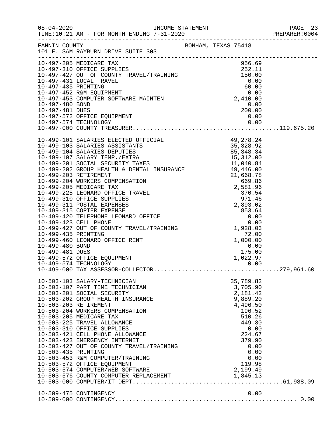|                                    |                                                                                                                                                                                           |                                                                         | PAGE 23 |
|------------------------------------|-------------------------------------------------------------------------------------------------------------------------------------------------------------------------------------------|-------------------------------------------------------------------------|---------|
|                                    | FANNIN COUNTY<br>101 E. SAM RAYBURN DRIVE SUITE 303                                                                                                                                       |                                                                         |         |
|                                    |                                                                                                                                                                                           |                                                                         |         |
|                                    |                                                                                                                                                                                           |                                                                         |         |
| 10-497-481 DUES                    | 10-497-572 OFFICE EQUIPMENT                                                                                                                                                               | 0.00<br>$200.00$<br>0.00<br>0.00                                        |         |
|                                    | 10-497-574 TECHNOLOGY                                                                                                                                                                     |                                                                         |         |
|                                    |                                                                                                                                                                                           |                                                                         |         |
|                                    |                                                                                                                                                                                           |                                                                         |         |
|                                    |                                                                                                                                                                                           |                                                                         |         |
|                                    | 10-499-460 LEONARD OFFICE RENT                                                                                                                                                            |                                                                         |         |
| 10-499-480 BOND<br>10-499-481 DUES | 10-499-572 OFFICE EQUIPMENT<br>10-499-574 TECHNOLOGY                                                                                                                                      | 1,928.03<br>72.00<br>1,000.00<br>1,000.00<br>175.00<br>1,022.97<br>0.00 |         |
|                                    | 10-503-103 SALARY-TECHNICIAN                                                                                                                                                              | 35,789.82                                                               |         |
|                                    | 10-503-107 PART TIME TECHNICIAN<br>10-503-201 SOCIAL SECURITY<br>10-503-202 GROUP HEALTH INSURANCE<br>10-503-203 RETIREMENT<br>10-503-204 WORKERS COMPENSATION<br>10-503-205 MEDICARE TAX | 3,705.90<br>2,181.42<br>9,889.20<br>4,496.50<br>196.52<br>510.26        |         |
|                                    | 10-503-225 TRAVEL ALLOWANCE<br>10-503-310 OFFICE SUPPLIES<br>10-503-421 CELL PHONE ALLOWANCE<br>10-503-423 EMERGENCY INTERNET<br>10-503-427 OUT OF COUNTY TRAVEL/TRAINING                 | 449.30<br>0.00<br>224.67<br>379.90<br>0.00                              |         |
| 10-503-435 PRINTING                | 10-503-453 R&M COMPUTER/TRAINING<br>10-503-572 OFFICE EQUIPMENT<br>10-503-574 COMPUTER/WEB SOFTWARE                                                                                       | 0.00<br>0.00<br>119.98<br>2,199.49                                      |         |
|                                    |                                                                                                                                                                                           | 0.00                                                                    |         |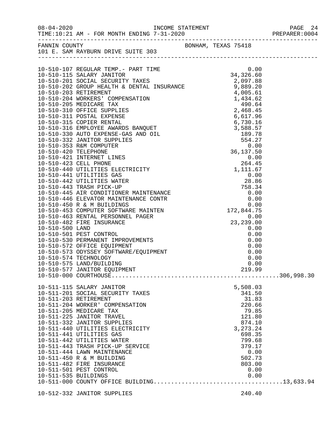| FANNIN COUNTY<br>101 E. SAM RAYBURN DRIVE SUITE 303        |                 |  |
|------------------------------------------------------------|-----------------|--|
|                                                            |                 |  |
|                                                            |                 |  |
|                                                            |                 |  |
|                                                            |                 |  |
|                                                            |                 |  |
|                                                            |                 |  |
|                                                            |                 |  |
|                                                            |                 |  |
|                                                            |                 |  |
|                                                            |                 |  |
|                                                            |                 |  |
|                                                            |                 |  |
|                                                            |                 |  |
|                                                            |                 |  |
|                                                            |                 |  |
|                                                            |                 |  |
|                                                            |                 |  |
|                                                            |                 |  |
|                                                            |                 |  |
|                                                            |                 |  |
|                                                            |                 |  |
|                                                            |                 |  |
|                                                            |                 |  |
|                                                            |                 |  |
|                                                            |                 |  |
|                                                            |                 |  |
|                                                            |                 |  |
|                                                            |                 |  |
|                                                            |                 |  |
|                                                            |                 |  |
| 10-510-574 TECHNOLOGY<br>10-510-575 LAND/BUILDING          | 0.00            |  |
| 10-510-577 JANITOR EQUIPMENT                               | 0.00<br>219.99  |  |
|                                                            |                 |  |
|                                                            |                 |  |
| 10-511-115 SALARY JANITOR                                  | 5,508.03        |  |
| 10-511-201 SOCIAL SECURITY TAXES                           | 341.50          |  |
| 10-511-203 RETIREMENT                                      | 31.83           |  |
| 10-511-204 WORKER' COMPENSATION<br>10-511-205 MEDICARE TAX | 220.66          |  |
| 10-511-225 JANITOR TRAVEL                                  | 79.85<br>121.80 |  |
| 10-511-332 JANITOR SUPPLIES                                | 874.10          |  |
| 10-511-440 UTILITIES ELECTRICITY                           | 3, 273. 24      |  |
| 10-511-441 UTILITIES GAS                                   | 698.35          |  |
| 10-511-442 UTILITIES WATER                                 | 799.68          |  |
| 10-511-443 TRASH PICK-UP SERVICE                           | 379.17          |  |
| 10-511-444 LAWN MAINTENANCE                                | 0.00            |  |
| 10-511-450 R & M BUILDING                                  | 502.73          |  |
| 10-511-482 FIRE INSURANCE<br>10-511-501 PEST CONTROL       | 803.00<br>0.00  |  |
|                                                            |                 |  |
|                                                            |                 |  |
|                                                            |                 |  |

10-512-332 JANITOR SUPPLIES 240.40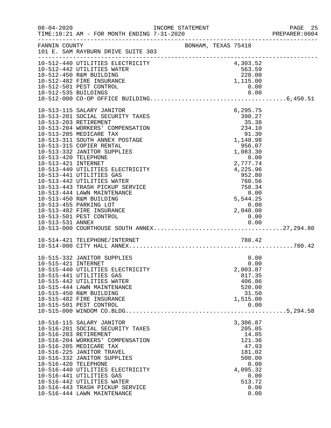| $08 - 04 - 2020$                            |                                                                | INCOME STATEMENT |                     |                              | PAGE 25 |
|---------------------------------------------|----------------------------------------------------------------|------------------|---------------------|------------------------------|---------|
| FANNIN COUNTY                               | 101 E. SAM RAYBURN DRIVE SUITE 303                             |                  | BONHAM, TEXAS 75418 |                              |         |
|                                             | 10-512-440 UTILITIES ELECTRICITY<br>10-512-442 UTILITIES WATER |                  |                     | 4,303.52<br>563.59<br>228.00 |         |
|                                             | 10-512-450 R&M BUILDING<br>10-512-482 FIRE INSURANCE           |                  |                     | 1,115.00                     |         |
| 10-512-535 BUILDINGS                        | 10-512-501 PEST CONTROL                                        |                  |                     | 0.00<br>0.00                 |         |
|                                             |                                                                |                  |                     |                              |         |
|                                             | 10-513-115 SALARY JANITOR<br>10-513-201 SOCIAL SECURITY TAXES  |                  |                     | 6,295.75<br>390.27           |         |
|                                             | 10-513-203 RETIREMENT<br>10-513-204 WORKERS' COMPENSATION      |                  |                     | 35.38<br>234.10              |         |
|                                             | 10-513-205 MEDICARE TAX                                        |                  |                     | 91.30                        |         |
|                                             | 10-513-311 SOUTH ANNEX POSTAGE<br>10-513-315 COPIER RENTAL     |                  |                     | 1,148.98<br>956.07           |         |
|                                             | 10-513-332 JANITOR SUPPLIES                                    |                  |                     | 1,083.30                     |         |
| 10-513-420 TELEPHONE<br>10-513-421 INTERNET |                                                                |                  |                     | 0.00<br>2,777.74             |         |
|                                             | 10-513-440 UTILITIES ELECTRICITY                               |                  |                     | 4,225.96                     |         |
|                                             | 10-513-441 UTILITIES GAS                                       |                  |                     | 952.80                       |         |
|                                             | 10-513-442 UTILITIES WATER<br>10-513-443 TRASH PICKUP SERVICE  |                  |                     | 760.56<br>758.34             |         |
|                                             | 10-513-444 LAWN MAINTENANCE                                    |                  |                     | 0.00                         |         |
|                                             | 10-513-450 R&M BUILDING<br>10-513-455 PARKING LOT              |                  |                     | 5,544.25<br>0.00             |         |
|                                             | 10-513-482 FIRE INSURANCE                                      |                  |                     | 2,040.00                     |         |
|                                             | 10-513-501 PEST CONTROL                                        |                  |                     | 0.00                         |         |
|                                             |                                                                |                  |                     |                              |         |
|                                             | 10-514-421 TELEPHONE/INTERNET                                  |                  |                     | 780.42                       |         |
|                                             | 10-515-332 JANITOR SUPPLIES                                    |                  |                     | 0.00                         |         |
| 10-515-421 INTERNET                         |                                                                |                  |                     | 0.00                         |         |
|                                             | 10-515-440 UTILITIES ELECTRICITY<br>10-515-441 UTILITIES GAS   |                  |                     | 2,003.87<br>817.35           |         |
|                                             | 10-515-442 UTILITIES WATER                                     |                  |                     | 406.86                       |         |
|                                             | 10-515-444 LAWN MAINTENANCE<br>10-515-450 R&M BUILDING         |                  |                     | 520.00                       |         |
|                                             | 10-515-482 FIRE INSURANCE                                      |                  |                     | 31.50<br>1,515.00            |         |
|                                             | 10-515-501 PEST CONTROL                                        |                  |                     | 0.00                         |         |
|                                             |                                                                |                  |                     |                              |         |
|                                             | 10-516-115 SALARY JANITOR<br>10-516-201 SOCIAL SECURITY TAXES  |                  |                     | 3,306.87<br>205.05           |         |
|                                             | 10-516-203 RETIREMENT                                          |                  |                     | 14.85                        |         |
|                                             | 10-516-204 WORKERS' COMPENSATION<br>10-516-205 MEDICARE TAX    |                  |                     | 121.36<br>47.93              |         |
|                                             | 10-516-225 JANITOR TRAVEL                                      |                  |                     | 181.02                       |         |
|                                             | 10-516-332 JANITOR SUPPLIES                                    |                  |                     | 500.00                       |         |
| 10-516-420 TELEPHONE                        | 10-516-440 UTILITIES ELECTRICITY                               |                  |                     | 0.00<br>4,095.32             |         |
|                                             | 10-516-441 UTILITIES GAS                                       |                  |                     | 0.00                         |         |
|                                             | 10-516-442 UTILITIES WATER<br>10-516-443 TRASH PICKUP SERVICE  |                  |                     | 513.72<br>0.00               |         |
|                                             | 10-516-444 LAWN MAINTENANCE                                    |                  |                     | 0.00                         |         |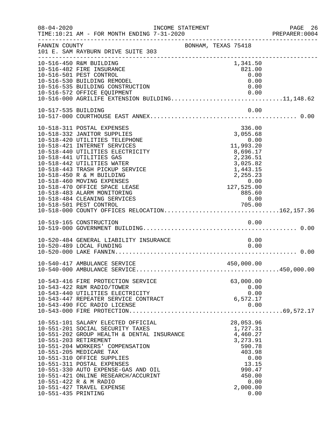|                     |                                                                                                                                                                                                                                                                                                                                                                                                                                                                                                             |                     |                                                                                                                                                                   | PREPARER: 0004 |
|---------------------|-------------------------------------------------------------------------------------------------------------------------------------------------------------------------------------------------------------------------------------------------------------------------------------------------------------------------------------------------------------------------------------------------------------------------------------------------------------------------------------------------------------|---------------------|-------------------------------------------------------------------------------------------------------------------------------------------------------------------|----------------|
| FANNIN COUNTY       | 101 E. SAM RAYBURN DRIVE SUITE 303                                                                                                                                                                                                                                                                                                                                                                                                                                                                          | BONHAM, TEXAS 75418 |                                                                                                                                                                   |                |
|                     | 10-516-450 R&M BUILDING<br>10-516-482 FIRE INSURANCE<br>10-516-501 PEST CONTROL<br>10-516-530 BUILDING REMODEL<br>10-516-535 BUILDING CONSTRUCTION<br>10-516-572 OFFICE EQUIPMENT<br>10-516-572 OFFICE EQUIPMENT 0.00<br>10-516-000 AGRILIFE EXTENSION BUILDING11,148.62                                                                                                                                                                                                                                    |                     | 1,341.50<br>821.00<br>0.00<br>0.00<br>0.00                                                                                                                        |                |
| 10-517-535 BUILDING |                                                                                                                                                                                                                                                                                                                                                                                                                                                                                                             |                     | 0.00                                                                                                                                                              |                |
|                     | 10-518-311 POSTAL EXPENSES<br>10-518-332 JANITOR SUPPLIES<br>10-518-420 UTILITIES TELEPHONE<br>10-518-421 INTERNET SERVICES<br>10-518-440 UTILITIES ELECTRICITY<br>10-518-441 UTILITIES GAS<br>10-518-442 UTILITIES WATER<br>10-518-443 TRASH PICKUP SERVICE<br>10-518-450 R & M BUILDING<br>10-518-460 MOVING EXPENSES<br>10-518-470 OFFICE SPACE LEASE<br>10-518-483 ALARM MONITORING<br>10-518-484 CLEANING SERVICES<br>10-518-501 PEST CONTROL 705.00<br>10-518-000 COUNTY OFFICES RELOCATION162,157.36 |                     | 336.00<br>3,055.68<br>0.00<br>$0.00$<br>11,993.20<br>8,696.17<br>2,236.51<br>3,025.82<br>1,443.15<br>$2, 255.23$<br>0.00<br>127, 525.00<br>885.60<br>0.00<br>0.00 |                |
|                     | 10-519-165 CONSTRUCTION                                                                                                                                                                                                                                                                                                                                                                                                                                                                                     |                     | 0.00                                                                                                                                                              |                |
|                     | 10-520-484 GENERAL LIABILITY INSURANCE<br>10-520-489 LOCAL FUNDING                                                                                                                                                                                                                                                                                                                                                                                                                                          |                     | 0.00<br>0.00                                                                                                                                                      |                |
|                     | 10-540-417 AMBULANCE SERVICE                                                                                                                                                                                                                                                                                                                                                                                                                                                                                |                     | 450,000.00                                                                                                                                                        |                |
|                     | 10-543-416 FIRE PROTECTION SERVICE<br>10-543-422 R&M RADIO/TOWER<br>10-543-440 UTILITIES ELECTRICITY<br>10-543-447 REPEATER SERVICE CONTRACT<br>10-543-490 FCC RADIO LICENSE                                                                                                                                                                                                                                                                                                                                |                     | 63,000.00<br>0.00<br>0.00<br>6,572.17<br>0.00                                                                                                                     |                |
| 10-551-435 PRINTING | 10-551-101 SALARY ELECTED OFFICIAL<br>10-551-201 SOCIAL SECURITY TAXES<br>10-551-202 GROUP HEALTH & DENTAL INSURANCE 4,460.27<br>10-551-203 RETIREMENT<br>10-551-204 WORKERS' COMPENSATION<br>10-551-205 MEDICARE TAX<br>10-551-310 OFFICE SUPPLIES<br>10-551-311 POSTAL EXPENSES<br>10-551-330 AUTO EXPENSE-GAS AND OIL<br>10-551-421 ONLINE RESEARCH/ACCURINT<br>10-551-422 R & M RADIO<br>10-551-427 TRAVEL EXPENSE                                                                                      |                     | 28,053.96<br>1,727.31<br>3,273.91<br>590.78<br>403.98<br>0.00<br>13.15<br>990.47<br>450.00<br>0.00<br>2,000.00<br>0.00                                            |                |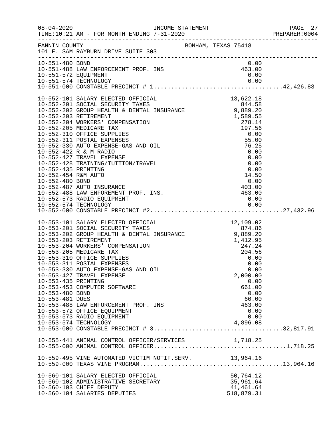|                                                           |                                                                                                                                                                                                                                                                                                                                                                                                                                                                                                                                                                   |                                                                                                                     | PREPARER: 0004 |
|-----------------------------------------------------------|-------------------------------------------------------------------------------------------------------------------------------------------------------------------------------------------------------------------------------------------------------------------------------------------------------------------------------------------------------------------------------------------------------------------------------------------------------------------------------------------------------------------------------------------------------------------|---------------------------------------------------------------------------------------------------------------------|----------------|
|                                                           | FANNIN COUNTY BONHAM, TEXAS 75418<br>101 E. SAM RAYBURN DRIVE SUITE 303                                                                                                                                                                                                                                                                                                                                                                                                                                                                                           |                                                                                                                     |                |
| 10-551-480 BOND                                           | 10-551-488 LAW ENFORCEMENT PROF. INS<br>10-551-572 EQUIPMENT<br>10-551-572 EQUIPMENT                                                                                                                                                                                                                                                                                                                                                                                                                                                                              | 0.00<br>463.00<br>0.00                                                                                              |                |
|                                                           | 10-552-454 R&M AUTO<br>10-552-480 BOND<br>10-552-487 AUTO INSURANCE<br>10-552-487 AUTO INSURANCE<br>10-552-488 LAW ENFOREMENT PROF. INS.<br>10-552-573 RADIO EQUIPMENT<br>10-552-573 RADIO EQUIPMENT<br>10-552-574 TECHNOLOGY                                                                                                                                                                                                                                                                                                                                     |                                                                                                                     |                |
| 10-553-435 PRINTING<br>10-553-480 BOND<br>10-553-481 DUES | 10-553-101 SALARY ELECTED OFFICIAL 12,109.02<br>10-553-201 SOCIAL SECURITY TAXES 874.86<br>10-553-202 GROUP HEALTH & DENTAL INSURANCE 9,889.20<br>10-553-203 RETIREMENT 1,412.95<br>10-553-204 WORKERS' COMPENSATION 247.24<br>10-553-20<br>10-553-205 MEDICARE TAX<br>10-553-310 OFFICE SUPPLIES<br>10-553-311 POSTAL EXPENSES<br>10-553-330 AUTO EXPENSE-GAS AND OIL<br>10-553-427 TRAVEL EXPENSE<br>10-553-453 COMPUTER SOFTWARE<br>10-553-488 LAW ENFORCEMENT PROF. INS<br>10-553-572 OFFICE EQUIPMENT<br>10-553-573 RADIO EQUIPMENT<br>10-553-574 TECHNOLOGY | 204.56<br>0.00<br>0.00<br>0.00<br>2,000.00<br>0.00<br>661.00<br>0.00<br>60.00<br>463.00<br>0.00<br>0.00<br>4,896.08 |                |
|                                                           | 10-555-441 ANIMAL CONTROL OFFICER/SERVICES 1,718.25                                                                                                                                                                                                                                                                                                                                                                                                                                                                                                               |                                                                                                                     |                |
|                                                           | 10-559-495 VINE AUTOMATED VICTIM NOTIF.SERV. 13,964.16                                                                                                                                                                                                                                                                                                                                                                                                                                                                                                            |                                                                                                                     |                |
|                                                           | 10-560-101 SALARY ELECTED OFFICIAL<br>10-560-102 ADMINISTRATIVE SECRETARY<br>10-560-103 CHIEF DEPUTY<br>10-560-104 SALARIES DEPUTIES                                                                                                                                                                                                                                                                                                                                                                                                                              | 50,764.12<br>35,961.64<br>41,461.64<br>518,879.31                                                                   |                |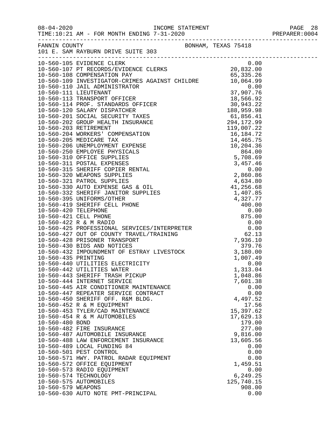| $08 - 04 - 2020$                                             | TIME:10:21 AM - FOR MONTH ENDING 7-31-2020                                                                                                                                                                                                                                                                                                                                                                                                                                                                                                                                                                                                                                                                                                                                                                          |                                                                                                                                                                                                                                                          |  |
|--------------------------------------------------------------|---------------------------------------------------------------------------------------------------------------------------------------------------------------------------------------------------------------------------------------------------------------------------------------------------------------------------------------------------------------------------------------------------------------------------------------------------------------------------------------------------------------------------------------------------------------------------------------------------------------------------------------------------------------------------------------------------------------------------------------------------------------------------------------------------------------------|----------------------------------------------------------------------------------------------------------------------------------------------------------------------------------------------------------------------------------------------------------|--|
| FANNIN COUNTY                                                | FANNIN COUNTY<br>101 E. SAM RAYBURN DRIVE SUITE 303                                                                                                                                                                                                                                                                                                                                                                                                                                                                                                                                                                                                                                                                                                                                                                 |                                                                                                                                                                                                                                                          |  |
|                                                              | 10-560-105 EVIDENCE CLERK<br>10-560-107 PT RECORDS/EVIDENCE CLERKS 20,832.00<br>10-560-108 COMPENSATION PAY 65,335.26                                                                                                                                                                                                                                                                                                                                                                                                                                                                                                                                                                                                                                                                                               | 0.00                                                                                                                                                                                                                                                     |  |
| 10-560-435 PRINTING<br>10-560-480 BOND<br>10-560-579 WEAPONS | 379.76<br>10-560-432 IMPOUNDMENT OF ESTRAY LIVESTOCK 3,180.00<br>10-560-435 PRINTING<br>10-560-440 UTILITIES ELECTRICITY<br>10-560-442 UTILITIES WATER<br>10-560-443 SHERIFF TRASH PICKUP<br>10-560-444 INTERNET SERVICE<br>10-560-445 AIR CONDITIONER MAINTENANCE<br>10-560-447 REPEATER SERVICE CONTRACT<br>10-560-450 SHERIFF OFF. R&M BLDG.<br>10-560-452 R & M EQUIPMENT<br>10-560-453 TYLER/CAD MAINTENANCE<br>10-560-454 R & M AUTOMOBILES<br>10-560-482 FIRE INSURANCE<br>10-560-487 AUTOMOBILE INSURANCE<br>10-560-488 LAW ENFORCEMENT INSURANCE<br>10-560-489 LOCAL FUNDING 84<br>10-560-501 PEST CONTROL<br>10-560-571 HWY. PATROL RADAR EQUIPMENT<br>10-560-572 OFFICE EQUIPMENT<br>10-560-573 RADIO EQUIPMENT<br>10-560-574 TECHNOLOGY<br>10-560-575 AUTOMOBILES<br>10-560-630 AUTO NOTE PMT-PRINCIPAL | 1,007.49<br>0.00<br>1,313.04<br>1,048.86<br>7,601.38<br>0.00<br>0.00<br>4,497.52<br>17.56<br>15,397.62<br>17,629.13<br>179.00<br>277.00<br>9,816.00<br>13,605.56<br>0.00<br>0.00<br>0.00<br>1,459.51<br>0.00<br>6,249.25<br>125,740.15<br>908.00<br>0.00 |  |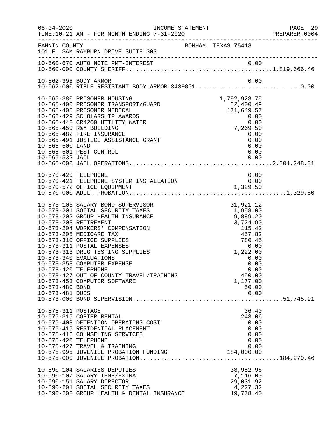| $08 - 04 - 2020$                                           | INCOME STATEMENT                                                                                                                                                                                                                                                                                                                                                                                                                        |                                                                                                                                                                | PAGE 29<br>PREPARER: 0004 |
|------------------------------------------------------------|-----------------------------------------------------------------------------------------------------------------------------------------------------------------------------------------------------------------------------------------------------------------------------------------------------------------------------------------------------------------------------------------------------------------------------------------|----------------------------------------------------------------------------------------------------------------------------------------------------------------|---------------------------|
| FANNIN COUNTY                                              | 101 E. SAM RAYBURN DRIVE SUITE 303                                                                                                                                                                                                                                                                                                                                                                                                      | BONHAM, TEXAS 75418                                                                                                                                            |                           |
|                                                            |                                                                                                                                                                                                                                                                                                                                                                                                                                         |                                                                                                                                                                |                           |
|                                                            | 10-562-396 BODY ARMOR<br>10-562-000 RIFLE RESISTANT BODY ARMOR 3439801 0.00                                                                                                                                                                                                                                                                                                                                                             | 0.00                                                                                                                                                           |                           |
| 10-565-500 LAND                                            | 10-565-380 PRISONER HOUSING<br>10-565-400 PRISONER TRANSPORT/GUARD<br>10-565-405 PRISONER MEDICAL<br>10-565-429 SCHOLARSHIP AWARDS<br>10-565-442 CR4200 UTILITY WATER<br>10-565-450 R&M BUILDING<br>10-565-482 FIRE INSURANCE<br>10-565-491 JUSTICE ASSISTANCE GRANT<br>10-565-501 PEST CONTROL                                                                                                                                         | 1,792,928.75<br>32,400.49<br>171,649.57<br>$\begin{array}{c} 0.00 \\ 0.00 \end{array}$<br>0.00<br>7,269.50<br>0.00<br>0.00<br>0.00<br>0.00                     |                           |
| 10-570-420 TELEPHONE                                       |                                                                                                                                                                                                                                                                                                                                                                                                                                         | 0.00                                                                                                                                                           |                           |
| 10-573-420 TELEPHONE<br>10-573-480 BOND<br>10-573-481 DUES | 10-573-103 SALARY-BOND SUPERVISOR<br>10-573-201 SOCIAL SECURITY TAXES<br>10-573-202 GROUP HEALTH INSURANCE<br>10-573-203 RETIREMENT<br>10-573-204 WORKERS' COMPENSATION<br>10-573-205 MEDICARE TAX<br>10-573-310 OFFICE SUPPLIES<br>10-573-311 POSTAL EXPENSES<br>10-573-313 DRUG TESTING SUPPLIES<br>10-573-340 EVALUATIONS<br>10-573-353 COMPUTER EXPENSE<br>10-573-427 OUT OF COUNTY TRAVEL/TRAINING<br>10-573-453 COMPUTER SOFTWARE | 31,921.12<br>1,958.00<br>9,889.20<br>3,724.90<br>115.42<br>457.82<br>780.45<br>0.00<br>1,222.00<br>0.00<br>0.00<br>0.00<br>450.00<br>1,177.00<br>50.00<br>0.00 |                           |
| 10-575-311 POSTAGE<br>10-575-420 TELEPHONE                 | 10-575-315 COPIER RENTAL<br>10-575-408 DETENTION OPERATING COST<br>10-575-415 RESIDENTIAL PLACEMENT<br>10-575-416 COUNSELING SERVICES<br>10-575-427 TRAVEL & TRAINING<br>10-575-995 JUVENILE PROBATION FUNDING<br>10-590-104 SALARIES DEPUTIES<br>10-590-107 SALARY TEMP/EXTRA<br>10-590-151 SALARY DIRECTOR                                                                                                                            | 36.40<br>243.06<br>0.00<br>0.00<br>0.00<br>0.00<br>0.00<br>184,000.00<br>33,982.96<br>7,116.00<br>29,031.92                                                    |                           |
|                                                            | 10-590-201 SOCIAL SECURITY TAXES<br>10-590-202 GROUP HEALTH & DENTAL INSURANCE                                                                                                                                                                                                                                                                                                                                                          | 4,227.32<br>19,778.40                                                                                                                                          |                           |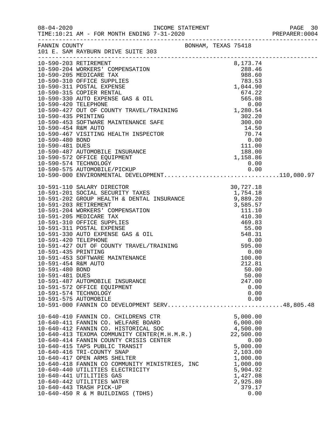|                                                                                  | FANNIN COUNTY<br>101 E. SAM RAYBURN DRIVE SUITE 303                                                                                                                                                                                                                                                                                                                                                                                                                                                                                                                   | BONHAM, TEXAS 75418 |  |                                                                                                                                                             |  |
|----------------------------------------------------------------------------------|-----------------------------------------------------------------------------------------------------------------------------------------------------------------------------------------------------------------------------------------------------------------------------------------------------------------------------------------------------------------------------------------------------------------------------------------------------------------------------------------------------------------------------------------------------------------------|---------------------|--|-------------------------------------------------------------------------------------------------------------------------------------------------------------|--|
|                                                                                  |                                                                                                                                                                                                                                                                                                                                                                                                                                                                                                                                                                       |                     |  |                                                                                                                                                             |  |
|                                                                                  |                                                                                                                                                                                                                                                                                                                                                                                                                                                                                                                                                                       |                     |  |                                                                                                                                                             |  |
| 10-591-435 PRINTING<br>10-591-454 R&M AUTO<br>10-591-480 BOND<br>10-591-481 DUES | 10-591-453 SOFTWARE MAINTENANCE<br>10-591-487 AUTOMOBILE INSURANCE<br>10-591-572 OFFICE EQUIPMENT<br>10-591-574 TECHNOLOGY<br>10-591-575 AUTOMOBILE<br>10-591-000 FANNIN CO DEVELOPMENT SERV48,805.48                                                                                                                                                                                                                                                                                                                                                                 |                     |  | 0.00<br>100.00<br>212.81<br>50.00<br>50.00<br>247.00<br>0.00<br>0.00<br>0.00                                                                                |  |
|                                                                                  | 10-640-410 FANNIN CO. CHILDRENS CTR<br>10-640-411 FANNIN CO. WELFARE BOARD<br>10-640-412 FANNIN CO. HISTORICAL SOC<br>10-640-412 FANNIN CO. HISTORICAL SOC<br>10-640-413 TEXOMA COMMUNITY CENTER(M.H.M.R.)<br>10-640-414 FANNIN COUNTY CRISIS CENTER<br>10-640-415 TAPS PUBLIC TRANSIT<br>10-640-416 TRI-COUNTY SNAP<br>10-640-417 OPEN ARMS SHELTER<br>10-640-418 FANNIN CO COMMUNITY MINISTRIES, INC<br>10-640-440 UTILITIES ELECTRICITY<br>10-640-441 UTILITIES GAS<br>10-640-442 UTILITIES WATER<br>10-640-443 TRASH PICK-UP<br>10-640-450 R & M BUILDINGS (TDHS) |                     |  | 5,000.00<br>6,000.00<br>4,500.00<br>22,500.00<br>0.00<br>5,000.00<br>2,103.00<br>1,000.00<br>1,000.00<br>5,904.92<br>1,427.08<br>2,925.80<br>379.17<br>0.00 |  |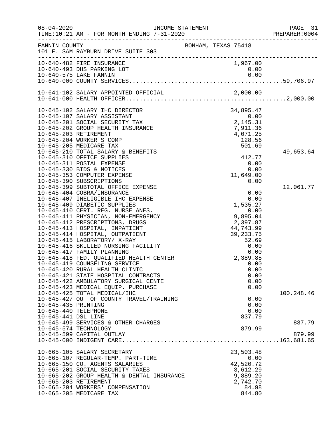| $08 - 04 - 2020$     | INCOME STATEMENT<br>TIME:10:21 AM - FOR MONTH ENDING 7-31-2020           |                                                                                 | PAGE 31<br>PREPARER: 0004 |
|----------------------|--------------------------------------------------------------------------|---------------------------------------------------------------------------------|---------------------------|
| FANNIN COUNTY        | 101 E. SAM RAYBURN DRIVE SUITE 303                                       | BONHAM, TEXAS 75418                                                             |                           |
|                      |                                                                          | 1,967.00                                                                        |                           |
|                      | 10-640-575 LAKE FANNIN                                                   | 0.00<br>0.00                                                                    |                           |
|                      |                                                                          |                                                                                 |                           |
|                      |                                                                          |                                                                                 |                           |
|                      |                                                                          |                                                                                 |                           |
|                      | 10-645-102 SALARY IHC DIRECTOR                                           | 34, 895.47<br>0.00<br>2, 145.31<br>7, 911.36<br>4, 071.25<br>128.56             |                           |
|                      | 10-645-107 SALARY ASSISTANT                                              |                                                                                 |                           |
|                      | 10-645-201 SOCIAL SECURITY TAX                                           |                                                                                 |                           |
|                      | 10-645-202 GROUP HEALTH INSURANCE<br>10-645-203 RETIREMENT               |                                                                                 |                           |
|                      | 10-645-204 WORKER'S COMP                                                 |                                                                                 |                           |
|                      | 10-645-205 MEDICARE TAX                                                  |                                                                                 |                           |
|                      | 10-645-210 TOTAL SALARY & BENEFITS                                       |                                                                                 | 49,653.64                 |
|                      | 10-645-310 OFFICE SUPPLIES                                               | 412.77                                                                          |                           |
|                      | 10-645-311 POSTAL EXPENSE                                                | 0.00                                                                            |                           |
|                      | 10-645-330 BIDS & NOTICES                                                | 0.00                                                                            |                           |
|                      | 10-645-353 COMPUTER EXPENSE                                              | 11,649.00                                                                       |                           |
|                      | 10-645-390 SUBSCRIPTIONS                                                 | 0.00                                                                            |                           |
|                      | 10-645-399 SUBTOTAL OFFICE EXPENSE                                       | $\begin{array}{c} 0.00 \\ 0.00 \\ 0.00 \\ 1,535.27 \end{array}$                 | 12,061.77                 |
|                      | 10-645-404 COBRA/INSURANCE                                               |                                                                                 |                           |
|                      | 10-645-407 INELIGIBLE IHC EXPENSE                                        |                                                                                 |                           |
|                      | 10-645-409 DIABETIC SUPPLIES                                             | 9,895.04<br>2,397.87<br>44,743.99<br>39,233.75<br>52.69<br>0.00<br>0.00<br>0.00 |                           |
|                      | 10-645-410 CERT. REG. NURSE ANES.<br>10-645-411 PHYSICIAN, NON-EMERGENCY |                                                                                 |                           |
|                      | 10-645-412 PRESCRIPTIONS, DRUGS                                          |                                                                                 |                           |
|                      | 10-645-413 HOSPITAL, INPATIENT                                           |                                                                                 |                           |
|                      | 10-645-414 HOSPITAL, OUTPATIENT                                          |                                                                                 |                           |
|                      | 10-645-415 LABORATORY/ X-RAY                                             |                                                                                 |                           |
|                      | 10-645-416 SKILLED NURSING FACILITY                                      |                                                                                 |                           |
|                      | 10-645-417 FAMILY PLANNING                                               |                                                                                 |                           |
|                      | 10-645-418 FED. QUALIFIED HEALTH CENTER                                  | 2,389.85                                                                        |                           |
|                      | 10-645-419 COUNSELING SERVICE                                            | 0.00                                                                            |                           |
|                      | 10-645-420 RURAL HEALTH CLINIC                                           | 0.00                                                                            |                           |
|                      | 10-645-421 STATE HOSPITAL CONTRACTS                                      | 0.00                                                                            |                           |
|                      | 10-645-422 AMBULATORY SURGICAL CENTE                                     | 0.00                                                                            |                           |
|                      | 10-645-423 MEDICAL EQUIP. PURCHASE<br>10-645-425 TOTAL MEDICAL/IHC       | 0.00                                                                            | 100,248.46                |
|                      | 10-645-427 OUT OF COUNTY TRAVEL/TRAINING                                 | 0.00                                                                            |                           |
| 10-645-435 PRINTING  |                                                                          | 0.00                                                                            |                           |
| 10-645-440 TELEPHONE |                                                                          | 0.00                                                                            |                           |
| 10-645-441 DSL LINE  |                                                                          | 837.79                                                                          |                           |
|                      | 10-645-499 SERVICES & OTHER CHARGES                                      |                                                                                 | 837.79                    |
|                      | 10-645-574 TECHNOLOGY                                                    | 879.99                                                                          |                           |
|                      | 10-645-599 CAPITAL OUTLAY                                                |                                                                                 | 879.99                    |
|                      |                                                                          |                                                                                 |                           |
|                      | 10-665-105 SALARY SECRETARY                                              | 23,503.48                                                                       |                           |
|                      | 10-665-107 REGULAR-TEMP. PART-TIME                                       | 0.00                                                                            |                           |
|                      | 10-665-150 CO. AGENTS SALARIES                                           | 42,520.72                                                                       |                           |
|                      | 10-665-201 SOCIAL SECURITY TAXES                                         | 3,612.29                                                                        |                           |
|                      | 10-665-202 GROUP HEALTH & DENTAL INSURANCE                               | 9,889.20                                                                        |                           |
|                      | 10-665-203 RETIREMENT                                                    | 2,742.70                                                                        |                           |
|                      | 10-665-204 WORKERS' COMPENSATION                                         | 84.98                                                                           |                           |
|                      | 10-665-205 MEDICARE TAX                                                  | 844.80                                                                          |                           |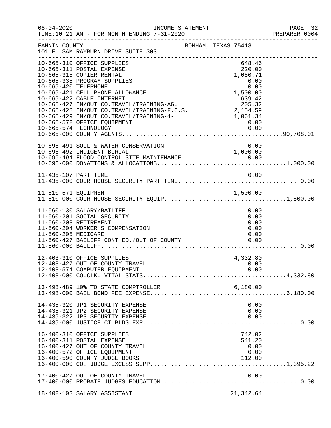| $08 - 04 - 2020$     | INCOME STATEMENT<br>TIME:10:21 AM - FOR MONTH ENDING 7-31-2020<br>--------------------------------------                                                                                                                                                                                                                                                                                                                               |                                                                                              | PAGE 32<br>PREPARER:0004 |
|----------------------|----------------------------------------------------------------------------------------------------------------------------------------------------------------------------------------------------------------------------------------------------------------------------------------------------------------------------------------------------------------------------------------------------------------------------------------|----------------------------------------------------------------------------------------------|--------------------------|
| FANNIN COUNTY        | BONHAM, TEXAS 75418<br>101 E. SAM RAYBURN DRIVE SUITE 303                                                                                                                                                                                                                                                                                                                                                                              |                                                                                              |                          |
| 10-665-420 TELEPHONE | 10-665-310 OFFICE SUPPLIES<br>10-665-311 POSTAL EXPENSE<br>10-665-315 COPIER RENTAL<br>10-665-335 PROGRAM SUPPLIES<br>10-665-421 CELL PHONE ALLOWANCE<br>10-665-422 CABLE INTERNET<br>10 000 422 CADE INTERNET<br>10-665-427 IN/OUT CO.TRAVEL/TRAINING-AG. 205.32<br>10-665-428 IN/OUT CO.TRAVEL/TRAINING-F.C.S. 2,154.59<br>10-665-429 IN/OUT CO.TRAVEL/TRAINING-4-H 1,061.34<br>10-665-572 OFFICE EQUIPMENT<br>10-665-574 TECHNOLOGY | 648.46<br>220.00<br>1,080.71<br>0.00<br>$0.00$<br>0.00<br>1,500.00<br>639.42<br>0.00<br>0.00 |                          |
|                      | 10-696-491 SOIL & WATER CONSERVATION<br>10-696-492 INDIGENT BURIAL                                                                                                                                                                                                                                                                                                                                                                     | 0.00<br>1,000.00                                                                             |                          |
| 11-435-107 PART TIME |                                                                                                                                                                                                                                                                                                                                                                                                                                        | 0.00                                                                                         |                          |
| 11-560-205 MEDICARE  | 11-560-130 SALARY/BAILIFF<br>11-560-201 SOCIAL SECURITY<br>11-560-203 RETIREMENT<br>11-560-204 WORKER'S COMPENSATION<br>11-560-427 BAILIFF CONT.ED./OUT OF COUNTY                                                                                                                                                                                                                                                                      | 0.00<br>0.00<br>0.00<br>0.00<br>0.00<br>0.00                                                 |                          |
|                      | 12-403-310 OFFICE SUPPLIES<br>12-403-427 OUT OF COUNTY TRAVEL                                                                                                                                                                                                                                                                                                                                                                          | 4,332.80<br>0.00                                                                             |                          |
|                      |                                                                                                                                                                                                                                                                                                                                                                                                                                        |                                                                                              |                          |
|                      | 14-435-320 JP1 SECURITY EXPENSE<br>14-435-321 JP2 SECURITY EXPENSE<br>14-435-322 JP3 SECURITY EXPENSE                                                                                                                                                                                                                                                                                                                                  | 0.00<br>0.00<br>0.00                                                                         |                          |
|                      | 16-400-310 OFFICE SUPPLIES<br>16-400-311 POSTAL EXPENSE<br>16-400-427 OUT OF COUNTY TRAVEL<br>16-400-572 OFFICE EQUIPMENT<br>16-400-590 COUNTY JUDGE BOOKS                                                                                                                                                                                                                                                                             | 742.02<br>541.20<br>0.00<br>0.00<br>112.00                                                   |                          |
|                      | 17-400-427 OUT OF COUNTY TRAVEL                                                                                                                                                                                                                                                                                                                                                                                                        | 0.00                                                                                         |                          |
|                      | 18-402-103 SALARY ASSISTANT                                                                                                                                                                                                                                                                                                                                                                                                            | 21,342.64                                                                                    |                          |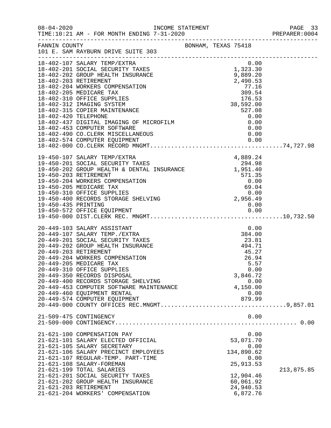|                     |                                                                                                                                                                                                                                                                                                                                                                                                                                                                                                                     |  |                                                                                                     | PAGE 33<br>PREPARER: 0004            |
|---------------------|---------------------------------------------------------------------------------------------------------------------------------------------------------------------------------------------------------------------------------------------------------------------------------------------------------------------------------------------------------------------------------------------------------------------------------------------------------------------------------------------------------------------|--|-----------------------------------------------------------------------------------------------------|--------------------------------------|
| FANNIN COUNTY       | 101 E. SAM RAYBURN DRIVE SUITE 303                                                                                                                                                                                                                                                                                                                                                                                                                                                                                  |  | BONHAM, TEXAS 75418                                                                                 |                                      |
|                     | 18-402-107 SALARY TEMP/EXTRA<br>18-402-201 SOCIAL SECURITY TAXES<br>18-402-202 GROUP HEALTH INSURANCE<br>18-402-203 RETIREMENT<br>18-402-204 WORKERS COMPENSATION<br>18-402-205 MEDICARE TAX<br>18-402-310 OFFICE SUPPLIES<br>18-402-312 IMAGING SYSTEM<br>18-402-315 COPIER MAINTENANCE<br>18-402-420 TELEPHONE<br>18-402-437 DIGITAL IMAGING OF MICROFILM<br>18-402-437 DIGITAL IMAGING OF MICROFILM<br>18-402-453 COMPUTER SOFTWARE<br>0.00<br>18-402-453 COMPUTER SOFTWARE<br>18-402-490 CO.CLERK MISCELLANEOUS |  | 0.00<br>$1,323.30$<br>a ega 20<br>9,889.20<br>2,490.53<br>77.16<br>309.54<br>176.53<br>0.00<br>0.00 |                                      |
| 19-450-435 PRINTING | 19-450-107 SALARY TEMP/EXTRA<br>19-450-201 SOCIAL SECURITY TAXES<br>19-450-202 GROUP HEALTH & DENTAL INSURANCE 1,951.40<br>1,951.40<br>571.35<br>19-450-203 RETIREMENT<br>19-450-204 WORKERS COMPENSATION<br>19-450-205 MEDICARE TAX<br>19-450-310 OFFICE SUPPLIES<br>19-450-400 RECORDS STORAGE SHELVING                                                                                                                                                                                                           |  | 571.35<br>$571.35$<br>0.00<br>69.04<br>0.00<br>2,956.49<br>0.00                                     |                                      |
|                     | 20-449-103 SALARY ASSISTANT<br>20-449-107 SALARY TEMP./EXTRA<br>20-449-201 SOCIAL SECURITY TAXES<br>20-449-202 GROUP HEALTH INSURANCE<br>20-449-203 RETIREMENT<br>20-449-204 WORKERS COMPENSATION<br>20-449-205 MEDICARE TAX<br>20-449-310 OFFICE SUPPLIES<br>20-449-350 RECORDS DISPOSAL<br>20-449-400 RECORDS STORAGE SHELVING<br>20-449-453 COMPUTER SOFTWARE MAINTENANCE<br>20-449-460 EQUIPMENT RENTAL                                                                                                         |  | 384.00<br>23.81<br>494.71<br>45.27<br>26.94<br>3,846.72<br>4,150.00                                 | 0.00<br>5.57<br>0.00<br>0.00<br>0.00 |
|                     | 21-509-475 CONTINGENCY                                                                                                                                                                                                                                                                                                                                                                                                                                                                                              |  |                                                                                                     | 0.00                                 |
|                     | 21-621-100 COMPENSATION PAY<br>21-621-101 SALARY ELECTED OFFICIAL<br>21-621-105 SALARY SECRETARY<br>21-621-106 SALARY PRECINCT EMPLOYEES<br>21-621-107 REGULAR-TEMP. PART-TIME<br>21-621-108 SALARY-FOREMAN<br>21-621-199 TOTAL SALARIES<br>21-621-201 SOCIAL SECURITY TAXES<br>21-621-202 GROUP HEALTH INSURANCE<br>21-621-203 RETIREMENT<br>21-621-204 WORKERS' COMPENSATION                                                                                                                                      |  | 53,071.70<br>134,890.62<br>25, 913.53<br>12,904.46<br>60,061.92<br>24,940.53<br>6,872.76            | 0.00<br>0.00<br>0.00<br>213,875.85   |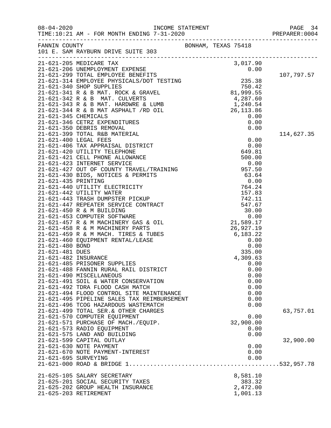|                      |                                                                                                                                                                                                                                                                                                                                                                                                                             |                     |                      | PAGE 34<br>PREPARER: 0004 |
|----------------------|-----------------------------------------------------------------------------------------------------------------------------------------------------------------------------------------------------------------------------------------------------------------------------------------------------------------------------------------------------------------------------------------------------------------------------|---------------------|----------------------|---------------------------|
|                      | FANNIN COUNTY<br>101 E. SAM RAYBURN DRIVE SUITE 303                                                                                                                                                                                                                                                                                                                                                                         | BONHAM, TEXAS 75418 |                      |                           |
|                      | 3,017.90<br>21-621-205 MEDICARE TAX<br>21-621-206 UNEMPLOYMENT EXPENSE<br>21-621-299 TOTAL EMPLOYMENT EXPENSE<br>21-621-314 EMPLOYMENT EXPENSE PHYSICALS/DOT TESTING<br>215-21-340 SHOP SUPPLIES<br>21-621-341 R & B MAT. ROCK & GRAVEL<br>2                                                                                                                                                                                |                     |                      |                           |
|                      |                                                                                                                                                                                                                                                                                                                                                                                                                             |                     |                      |                           |
|                      |                                                                                                                                                                                                                                                                                                                                                                                                                             |                     |                      | 107,797.57                |
|                      |                                                                                                                                                                                                                                                                                                                                                                                                                             |                     |                      |                           |
|                      | $\begin{tabular}{l c c c} & $\mathbb{M}^{\text{B}}$ & $\mathbb{M}^{\text{B}}$ & $\mathbb{M}^{\text{B}}$ & $\mathbb{M}^{\text{B}}$ & $\mathbb{M}^{\text{B}}$ & $\mathbb{M}^{\text{B}}$ & $\mathbb{M}^{\text{B}}$ & $\mathbb{M}^{\text{B}}$ & $\mathbb{M}^{\text{B}}$ & $\mathbb{M}^{\text{B}}$ & $\mathbb{M}^{\text{B}}$ & $\mathbb{M}^{\text{B}}$ & $\mathbb{M}^{\text{B}}$ & $\mathbb{M}^{\text{B}}$ & $\mathbb{M}^{\text$ |                     |                      |                           |
|                      |                                                                                                                                                                                                                                                                                                                                                                                                                             |                     |                      |                           |
|                      |                                                                                                                                                                                                                                                                                                                                                                                                                             |                     |                      |                           |
|                      |                                                                                                                                                                                                                                                                                                                                                                                                                             |                     |                      |                           |
|                      |                                                                                                                                                                                                                                                                                                                                                                                                                             |                     |                      |                           |
|                      |                                                                                                                                                                                                                                                                                                                                                                                                                             |                     |                      |                           |
|                      |                                                                                                                                                                                                                                                                                                                                                                                                                             |                     |                      |                           |
|                      |                                                                                                                                                                                                                                                                                                                                                                                                                             |                     |                      | 114,627.35                |
|                      |                                                                                                                                                                                                                                                                                                                                                                                                                             |                     |                      |                           |
|                      |                                                                                                                                                                                                                                                                                                                                                                                                                             |                     |                      |                           |
|                      |                                                                                                                                                                                                                                                                                                                                                                                                                             |                     |                      |                           |
|                      |                                                                                                                                                                                                                                                                                                                                                                                                                             |                     |                      |                           |
|                      |                                                                                                                                                                                                                                                                                                                                                                                                                             |                     |                      |                           |
|                      |                                                                                                                                                                                                                                                                                                                                                                                                                             |                     |                      |                           |
|                      |                                                                                                                                                                                                                                                                                                                                                                                                                             |                     |                      |                           |
|                      |                                                                                                                                                                                                                                                                                                                                                                                                                             |                     |                      |                           |
|                      |                                                                                                                                                                                                                                                                                                                                                                                                                             |                     |                      |                           |
|                      |                                                                                                                                                                                                                                                                                                                                                                                                                             |                     |                      |                           |
|                      |                                                                                                                                                                                                                                                                                                                                                                                                                             |                     |                      |                           |
|                      |                                                                                                                                                                                                                                                                                                                                                                                                                             |                     |                      |                           |
|                      |                                                                                                                                                                                                                                                                                                                                                                                                                             |                     |                      |                           |
|                      |                                                                                                                                                                                                                                                                                                                                                                                                                             |                     |                      |                           |
|                      |                                                                                                                                                                                                                                                                                                                                                                                                                             |                     |                      |                           |
|                      |                                                                                                                                                                                                                                                                                                                                                                                                                             |                     |                      |                           |
|                      |                                                                                                                                                                                                                                                                                                                                                                                                                             |                     |                      |                           |
|                      |                                                                                                                                                                                                                                                                                                                                                                                                                             |                     |                      |                           |
|                      |                                                                                                                                                                                                                                                                                                                                                                                                                             |                     |                      |                           |
|                      |                                                                                                                                                                                                                                                                                                                                                                                                                             |                     |                      |                           |
|                      |                                                                                                                                                                                                                                                                                                                                                                                                                             |                     |                      |                           |
|                      |                                                                                                                                                                                                                                                                                                                                                                                                                             |                     |                      |                           |
|                      | 21-621-492 TDRA FLOOD CASH MATCH<br>21-621-494 FLOOD CONTROL SITE MAINTENANCE                                                                                                                                                                                                                                                                                                                                               |                     | 0.00<br>0.00         |                           |
|                      | 21-621-495 PIPELINE SALES TAX REIMBURSEMENT                                                                                                                                                                                                                                                                                                                                                                                 |                     | 0.00                 |                           |
|                      | 21-621-496 TCOG HAZARDOUS WASTEMATCH                                                                                                                                                                                                                                                                                                                                                                                        |                     | 0.00                 |                           |
|                      | 21-621-499 TOTAL SER. & OTHER CHARGES                                                                                                                                                                                                                                                                                                                                                                                       |                     |                      | 63,757.01                 |
|                      | 21-621-570 COMPUTER EQUIPMENT                                                                                                                                                                                                                                                                                                                                                                                               |                     | 0.00                 |                           |
|                      | 21-621-571 PURCHASE OF MACH./EQUIP.                                                                                                                                                                                                                                                                                                                                                                                         |                     | 32,900.00            |                           |
|                      | 21-621-573 RADIO EQUIPMENT                                                                                                                                                                                                                                                                                                                                                                                                  |                     | 0.00                 |                           |
|                      | 21-621-575 LAND AND BUILDING<br>21-621-599 CAPITAL OUTLAY                                                                                                                                                                                                                                                                                                                                                                   |                     | 0.00                 | 32,900.00                 |
|                      | 21-621-630 NOTE PAYMENT                                                                                                                                                                                                                                                                                                                                                                                                     |                     | 0.00                 |                           |
|                      | 21-621-670 NOTE PAYMENT-INTEREST                                                                                                                                                                                                                                                                                                                                                                                            |                     | 0.00                 |                           |
| 21-621-695 SURVEYING |                                                                                                                                                                                                                                                                                                                                                                                                                             |                     | 0.00                 |                           |
|                      |                                                                                                                                                                                                                                                                                                                                                                                                                             |                     |                      |                           |
|                      | 21-625-105 SALARY SECRETARY                                                                                                                                                                                                                                                                                                                                                                                                 |                     | 8,581.10             |                           |
|                      | 21-625-201 SOCIAL SECURITY TAXES                                                                                                                                                                                                                                                                                                                                                                                            |                     | 383.32               |                           |
|                      | 21-625-202 GROUP HEALTH INSURANCE<br>21-625-203 RETIREMENT                                                                                                                                                                                                                                                                                                                                                                  |                     | 2,472.00<br>1,001.13 |                           |
|                      |                                                                                                                                                                                                                                                                                                                                                                                                                             |                     |                      |                           |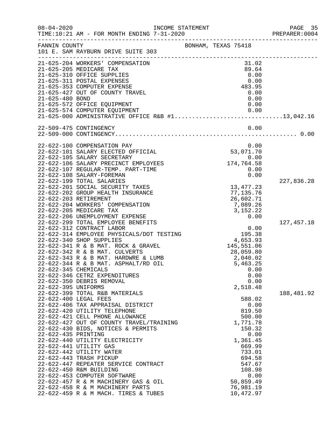| $08 - 04 - 2020$     | TIME:10:21 AM - FOR MONTH ENDING 7-31-2020                                     | INCOME STATEMENT         | PAGE 35<br>PREPARER: 0004 |
|----------------------|--------------------------------------------------------------------------------|--------------------------|---------------------------|
|                      | FANNIN COUNTY<br>101 E. SAM RAYBURN DRIVE SUITE 303                            | BONHAM, TEXAS 75418      |                           |
|                      | 21-625-204 WORKERS' COMPENSATION                                               | 31.02                    |                           |
|                      | 21-625-205 MEDICARE TAX                                                        | 89.64                    |                           |
|                      | 21-625-310 OFFICE SUPPLIES                                                     | 0.00                     |                           |
|                      | 21-625-311 POSTAL EXPENSES                                                     | 0.00                     |                           |
|                      | 21-625-353 COMPUTER EXPENSE                                                    | 483.95                   |                           |
|                      | 21-625-427 OUT OF COUNTY TRAVEL                                                | 0.00                     |                           |
| 21-625-480 BOND      |                                                                                | 0.00                     |                           |
|                      | 21-625-572 OFFICE EQUIPMENT<br>21-625-574 COMPUTER EQUIPMENT                   | 0.00<br>0.00             |                           |
|                      | 21-625-000 ADMINISTRATIVE OFFICE R&B #113,042.16                               |                          |                           |
|                      | 22-509-475 CONTINGENCY                                                         | 0.00                     |                           |
|                      |                                                                                |                          |                           |
|                      | 22-622-100 COMPENSATION PAY                                                    | 0.00                     |                           |
|                      | 22-622-101 SALARY ELECTED OFFICIAL                                             | 53,071.70                |                           |
|                      | 22-622-105 SALARY SECRETARY                                                    | 0.00                     |                           |
|                      | 22-622-106 SALARY PRECINCT EMPLOYEES                                           | 174,764.58               |                           |
|                      | 22-622-107 REGULAR-TEMP. PART-TIME                                             | 0.00                     |                           |
|                      | 22-622-108 SALARY-FOREMAN                                                      | 0.00                     |                           |
|                      | 22-622-199 TOTAL SALARIES                                                      |                          | 227,836.28                |
|                      | 22-622-201 SOCIAL SECURITY TAXES<br>22-622-202 GROUP HEALTH INSURANCE          | 13, 477. 23<br>77,135.76 |                           |
|                      | 22-622-203 RETIREMENT                                                          | 26,602.71                |                           |
|                      | 22-622-204 WORKERS' COMPENSATION                                               | 7,089.26                 |                           |
|                      | 22-622-205 MEDICARE TAX                                                        | 3, 152. 22               |                           |
|                      | 22-622-206 UNEMPLOYMENT EXPENSE                                                | 0.00                     |                           |
|                      | 22-622-299 TOTAL EMPLOYEE BENEFITS                                             |                          | 127, 457.18               |
|                      | 22-622-312 CONTRACT LABOR                                                      | 0.00                     |                           |
|                      | 22-622-314 EMPLOYEE PHYSICALS/DOT TESTING                                      | 195.38                   |                           |
|                      | 22-622-340 SHOP SUPPLIES                                                       | 4,653.93                 |                           |
|                      | 22-622-341 R & B MAT. ROCK & GRAVEL                                            | 145,551.06               |                           |
|                      | 22-622-342 R & B MAT. CULVERTS                                                 | 28,059.80                |                           |
|                      | 22-622-343 R & B MAT. HARDWRE & LUMB                                           | 2,040.02                 |                           |
|                      | 22-622-344 R & B MAT. ASPHALT/RD OIL                                           | 5,463.25                 |                           |
| 22-622-345 CHEMICALS |                                                                                | 0.00                     |                           |
|                      | 22-622-346 CETRZ EXPENDITURES                                                  | 0.00                     |                           |
|                      | 22-622-350 DEBRIS REMOVAL                                                      | 0.00                     |                           |
| 22-622-395 UNIFORMS  |                                                                                | 2,518.48                 |                           |
|                      | 22-622-399 TOTAL R&B MATERIALS                                                 |                          | 188,481.92                |
|                      | 22-622-400 LEGAL FEES                                                          | 588.02                   |                           |
|                      | 22-622-406 TAX APPRAISAL DISTRICT                                              | 0.00                     |                           |
|                      | 22-622-420 UTILITY TELEPHONE                                                   | 819.50                   |                           |
|                      | 22-622-421 CELL PHONE ALLOWANCE                                                | 500.00                   |                           |
|                      | 22-622-427 OUT OF COUNTY TRAVEL/TRAINING<br>22-622-430 BIDS, NOTICES & PERMITS | 1,771.78<br>150.32       |                           |
| 22-622-435 PRINTING  |                                                                                | 0.00                     |                           |
|                      | 22-622-440 UTILITY ELECTRICITY                                                 | 1,361.45                 |                           |
|                      | 22-622-441 UTILITY GAS                                                         | 669.99                   |                           |
|                      | 22-622-442 UTILITY WATER                                                       | 733.01                   |                           |
|                      | 22-622-443 TRASH PICKUP                                                        | 694.58                   |                           |
|                      | 22-622-447 REPEATER SERVICE CONTRACT                                           | 547.67                   |                           |
|                      | 22-622-450 R&M BUILDING                                                        | 108.98                   |                           |
|                      | 22-622-453 COMPUTER SOFTWARE                                                   | 0.00                     |                           |
|                      | 22-622-457 R & M MACHINERY GAS & OIL                                           | 50,859.49                |                           |
|                      | 22-622-458 R & M MACHINERY PARTS                                               | 76,981.19                |                           |
|                      | 22-622-459 R & M MACH. TIRES & TUBES                                           | 10,472.97                |                           |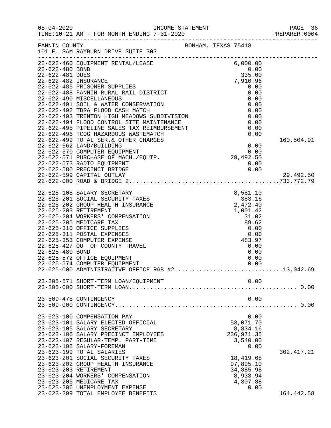|                                    | INCOME STATEMENT                                                                                                                                                                                                                                                                                                                                                                                                                                     |                                                                                      | PAGE 36<br>PREPARER:0004 |
|------------------------------------|------------------------------------------------------------------------------------------------------------------------------------------------------------------------------------------------------------------------------------------------------------------------------------------------------------------------------------------------------------------------------------------------------------------------------------------------------|--------------------------------------------------------------------------------------|--------------------------|
| FANNIN COUNTY                      | 101 E. SAM RAYBURN DRIVE SUITE 303                                                                                                                                                                                                                                                                                                                                                                                                                   | BONHAM, TEXAS 75418                                                                  |                          |
| 22-622-480 BOND<br>22-622-481 DUES | --------------<br>22-622-460 EQUIPMENT RENTAL/LEASE                                                                                                                                                                                                                                                                                                                                                                                                  | 6,000.00<br>$0.00$<br>335.00<br>7,910.96                                             |                          |
| 22-622-482 INSURANCE               | 22-622-485 PRISONER SUPPLIES<br>-- VII 103 FALDUNER SUPPLIES<br>22-622-488 FANNIN RURAL RAIL DISTRICT<br>22-622-490 MISCELLANEOUS<br>22-622-491 SOIL & WATER CONSERVATION<br>22-622-492 TDRA FLOOD CASH MATCH<br>22-622-493 TRENTON HIGH MEADOWS SUPPLUISTON                                                                                                                                                                                         | 0.00<br>0.00<br>0.00                                                                 |                          |
|                                    | 22-622-492 TDRA FLOOD CASH MATCH<br>22-622-492 TDRA FLOOD CASH MATCH<br>22-622-493 TRENTON HIGH MEADOWS SUBDIVISION                                                                                                                                                                                                                                                                                                                                  | 0.00<br>0.00<br>0.00                                                                 |                          |
|                                    |                                                                                                                                                                                                                                                                                                                                                                                                                                                      |                                                                                      | 160,504.91               |
|                                    | 22-622-599 CAPITAL OUTLAY                                                                                                                                                                                                                                                                                                                                                                                                                            |                                                                                      | 29,492.50                |
| 22-625-480 BOND                    | 22-625-105 SALARY SECRETARY<br>8,581.10<br>383.16<br>2,472.40<br>2,472.40<br>1.001.42<br>22-625-201 SOCIAL SECURITY TAXES<br>22-625-202 GROUP HEALTH INSURANCE<br>22-625-203 RETIREMENT<br>22-625-204 WORKERS' COMPENSATION<br>22-625-205 MEDICARE TAX<br>22-625-310 OFFICE SUPPLIES<br>22-625-311 POSTAL EXPENSES<br>22-625-353 COMPUTER EXPENSE<br>22-625-427 OUT OF COUNTY TRAVEL<br>22-625-572 OFFICE EQUIPMENT<br>22-625-574 COMPUTER EQUIPMENT | 1,001.42<br>31.02<br>89.62<br>0.00<br>0.00<br>483.97<br>0.00<br>0.00<br>0.00<br>0.00 |                          |
|                                    | 22-625-000 ADMINISTRATIVE OFFICE R&B #213,042.69<br>23-205-571 SHORT-TERM LOAN/EQUIPMENT                                                                                                                                                                                                                                                                                                                                                             | 0.00                                                                                 |                          |
|                                    | 23-509-475 CONTINGENCY                                                                                                                                                                                                                                                                                                                                                                                                                               | 0.00                                                                                 |                          |
|                                    | 23-623-100 COMPENSATION PAY<br>23-623-101 SALARY ELECTED OFFICIAL<br>23-623-105 SALARY SECRETARY<br>23-623-106 SALARY PRECINCT EMPLOYEES<br>23-623-107 REGULAR-TEMP. PART-TIME<br>23-623-108 SALARY-FOREMAN                                                                                                                                                                                                                                          | 0.00<br>53,071.70<br>8,834.16<br>236,971.35<br>3,540.00<br>0.00                      |                          |
|                                    | 23-623-199 TOTAL SALARIES<br>23-623-201 SOCIAL SECURITY TAXES<br>23-623-202 GROUP HEALTH INSURANCE<br>23-623-203 RETIREMENT<br>23-623-204 WORKERS' COMPENSATION<br>23-623-205 MEDICARE TAX<br>23-623-206 UNEMPLOYMENT EXPENSE                                                                                                                                                                                                                        | 18,419.68<br>97,895.10<br>34,885.98<br>8,933.94<br>4,307.88<br>0.00                  | 302, 417.21              |
|                                    | 23-623-299 TOTAL EMPLOYEE BENEFITS                                                                                                                                                                                                                                                                                                                                                                                                                   |                                                                                      | 164,442.58               |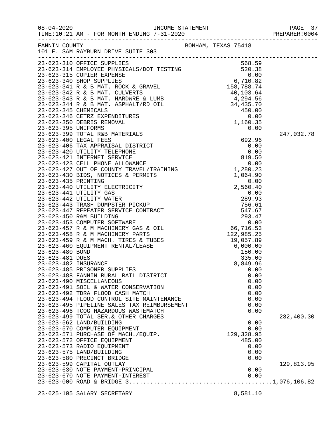|                     |                                                                                                                                                                                                                                            |              | PAGE 37<br>PREPARER: 0004 |
|---------------------|--------------------------------------------------------------------------------------------------------------------------------------------------------------------------------------------------------------------------------------------|--------------|---------------------------|
|                     |                                                                                                                                                                                                                                            |              |                           |
|                     | 23-623-310 OFFICE SUPPLIES<br>23-623-314 EMPLOYEE PHYSICALS/DOT TESTING<br>23-623-314 EMPLOYEE PHYSICALS/DOT TESTING<br>23-623-315 COPIER EXPENSE<br>23-623-341 R & B MAT. ROCK & GRAVEL<br>23-623-342 R & B MAT. CULVERTS<br>23-623-343 R |              |                           |
|                     |                                                                                                                                                                                                                                            |              |                           |
|                     |                                                                                                                                                                                                                                            |              |                           |
|                     |                                                                                                                                                                                                                                            |              |                           |
|                     |                                                                                                                                                                                                                                            |              |                           |
|                     |                                                                                                                                                                                                                                            |              |                           |
|                     |                                                                                                                                                                                                                                            |              |                           |
|                     |                                                                                                                                                                                                                                            |              |                           |
|                     |                                                                                                                                                                                                                                            |              |                           |
|                     |                                                                                                                                                                                                                                            |              |                           |
|                     |                                                                                                                                                                                                                                            |              |                           |
| 23-623-395 UNIFORMS |                                                                                                                                                                                                                                            | 0.00         |                           |
|                     |                                                                                                                                                                                                                                            |              | 247,032.78                |
|                     |                                                                                                                                                                                                                                            |              |                           |
|                     |                                                                                                                                                                                                                                            |              |                           |
|                     |                                                                                                                                                                                                                                            |              |                           |
|                     |                                                                                                                                                                                                                                            |              |                           |
|                     |                                                                                                                                                                                                                                            |              |                           |
|                     |                                                                                                                                                                                                                                            |              |                           |
|                     |                                                                                                                                                                                                                                            |              |                           |
|                     |                                                                                                                                                                                                                                            |              |                           |
|                     |                                                                                                                                                                                                                                            |              |                           |
|                     |                                                                                                                                                                                                                                            |              |                           |
|                     |                                                                                                                                                                                                                                            |              |                           |
|                     |                                                                                                                                                                                                                                            |              |                           |
|                     |                                                                                                                                                                                                                                            |              |                           |
|                     |                                                                                                                                                                                                                                            |              |                           |
|                     |                                                                                                                                                                                                                                            |              |                           |
|                     |                                                                                                                                                                                                                                            |              |                           |
|                     |                                                                                                                                                                                                                                            |              |                           |
|                     |                                                                                                                                                                                                                                            |              |                           |
|                     |                                                                                                                                                                                                                                            |              |                           |
|                     |                                                                                                                                                                                                                                            |              |                           |
|                     |                                                                                                                                                                                                                                            |              |                           |
|                     | 23-623-485 PRISONER SUPPLIES                                                                                                                                                                                                               | 0.00         |                           |
|                     | 23-623-488 FANNIN RURAL RAIL DISTRICT<br>23-623-490 MISCELLANEOUS                                                                                                                                                                          | 0.00<br>0.00 |                           |
|                     | 23-623-491 SOIL & WATER CONSERVATION                                                                                                                                                                                                       | 0.00         |                           |
|                     | 23-623-492 TDRA FLOOD CASH MATCH                                                                                                                                                                                                           | 0.00         |                           |
|                     | 23-623-494 FLOOD CONTROL SITE MAINTENANCE                                                                                                                                                                                                  | 0.00         |                           |
|                     | 23-623-495 PIPELINE SALES TAX REIMBURSEMENT                                                                                                                                                                                                | 0.00         |                           |
|                     | 23-623-496 TCOG HAZARDOUS WASTEMATCH                                                                                                                                                                                                       | 0.00         |                           |
|                     | 23-623-499 TOTAL SER. & OTHER CHARGES                                                                                                                                                                                                      |              | 232,400.30                |
|                     | 23-623-562 LAND/BUILDING                                                                                                                                                                                                                   | 0.00         |                           |
|                     | 23-623-570 COMPUTER EQUIPMENT                                                                                                                                                                                                              | 0.00         |                           |
|                     | 23-623-571 PURCHASE OF MACH./EQUIP.                                                                                                                                                                                                        | 129,328.95   |                           |
|                     | 23-623-572 OFFICE EQUIPMENT                                                                                                                                                                                                                | 485.00       |                           |
|                     | 23-623-573 RADIO EQUIPMENT                                                                                                                                                                                                                 | 0.00         |                           |
|                     | 23-623-575 LAND/BUILDING                                                                                                                                                                                                                   | 0.00         |                           |
|                     | 23-623-580 PRECINCT BRIDGE                                                                                                                                                                                                                 | 0.00         |                           |
|                     | 23-623-599 CAPITAL OUTLAY                                                                                                                                                                                                                  |              | 129,813.95                |
|                     | 23-623-630 NOTE PAYMENT-PRINCIPAL                                                                                                                                                                                                          | 0.00         |                           |
|                     | 23-623-670 NOTE PAYMENT-INTEREST                                                                                                                                                                                                           | 0.00         |                           |
|                     |                                                                                                                                                                                                                                            |              |                           |
|                     |                                                                                                                                                                                                                                            |              |                           |
|                     | 23-625-105 SALARY SECRETARY                                                                                                                                                                                                                | 8,581.10     |                           |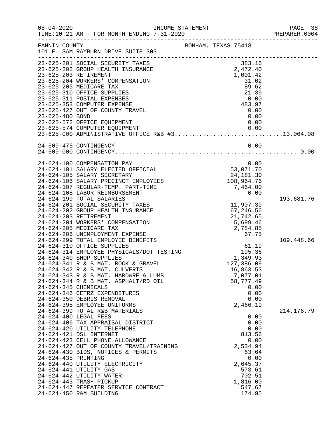| $08 - 04 - 2020$                            | TIME:10:21 AM - FOR MONTH ENDING 7-31-2020                                                                                                                                                                                                                                                                                                                                                                                                                                                                                                                                                                                                                                                                                                                                                                                                                                                                                                                                                                                                                                                                                                                                                        | INCOME STATEMENT                                  |                        |                                                                                                                                                                                                                                                                            | PAGE 38<br>PREPARER: 0004                |
|---------------------------------------------|---------------------------------------------------------------------------------------------------------------------------------------------------------------------------------------------------------------------------------------------------------------------------------------------------------------------------------------------------------------------------------------------------------------------------------------------------------------------------------------------------------------------------------------------------------------------------------------------------------------------------------------------------------------------------------------------------------------------------------------------------------------------------------------------------------------------------------------------------------------------------------------------------------------------------------------------------------------------------------------------------------------------------------------------------------------------------------------------------------------------------------------------------------------------------------------------------|---------------------------------------------------|------------------------|----------------------------------------------------------------------------------------------------------------------------------------------------------------------------------------------------------------------------------------------------------------------------|------------------------------------------|
| FANNIN COUNTY                               | 101 E. SAM RAYBURN DRIVE SUITE 303                                                                                                                                                                                                                                                                                                                                                                                                                                                                                                                                                                                                                                                                                                                                                                                                                                                                                                                                                                                                                                                                                                                                                                | BONHAM, TEXAS 75418                               |                        |                                                                                                                                                                                                                                                                            |                                          |
| 23-625-480 BOND                             | 23-625-201 SOCIAL SECURITY TAXES<br>23-625-202 GROUP HEALTH INSURANCE<br>23-625-203 RETIREMENT<br>23-625-204 WORKERS' COMPENSATION<br>23-625-205 MEDICARE TAX<br>23-625-310 OFFICE SUPPLIES<br>23-625-311 POSTAL EXPENSES<br>23-625-353 COMPUTER EXPENSE<br>23-625-427 OUT OF COUNTY TRAVEL<br>23-625-572 OFFICE EQUIPMENT<br>23-625-574 COMPUTER EQUIPMENT<br>23-625-000 ADMINISTRATIVE OFFICE R&B #313,064.08                                                                                                                                                                                                                                                                                                                                                                                                                                                                                                                                                                                                                                                                                                                                                                                   |                                                   |                        | 383.16<br>2,472.40<br>1,001.42<br>31.02<br>89.62<br>21.39<br>0.00<br>483.97<br>0.00<br>0.00<br>0.00                                                                                                                                                                        |                                          |
|                                             | 24-509-475 CONTINGENCY                                                                                                                                                                                                                                                                                                                                                                                                                                                                                                                                                                                                                                                                                                                                                                                                                                                                                                                                                                                                                                                                                                                                                                            |                                                   |                        | 0.00                                                                                                                                                                                                                                                                       |                                          |
| 24-624-345 CHEMICALS<br>24-624-435 PRINTING | 24-624-100 COMPENSATION PAY<br>24-624-101 SALARY ELECTED OFFICIAL<br>24-624-105 SALARY SECRETARY<br>24-624-106 SALARY PRECINCT EMPLOYEES<br>24-624-107 REGULAR-TEMP. PART-TIME<br>24-624-108 LABOR REIMBURSEMENT<br>24-624-199 TOTAL SALARIES<br>24-624-201 SOCIAL SECURITY TAXES<br>24-624-202 GROUP HEALTH INSURANCE<br>24-624-203 RETIREMENT<br>24-624-204 WORKERS' COMPENSATION<br>24-624-205 MEDICARE TAX<br>24-624-206 UNEMPLOYMENT EXPENSE<br>24-624-299 TOTAL EMPLOYEE BENEFITS<br>24-624-310 OFFICE SUPPLIES<br>24-624-314 EMPLOYEE PHYSICALS/DOT TESTING<br>24-624-340 SHOP SUPPLIES<br>24-624-341 R & B MAT. ROCK & GRAVEL<br>24-624-342 R & B MAT. CULVERTS<br>24-624-343 R & B MAT. HARDWRE & LUMB<br>24-624-344 R & B MAT. ASPHALT/RD OIL<br>24-624-346 CETRZ EXPENDITURES<br>24-624-350 DEBRIS REMOVAL<br>24-624-395 EMPLOYEE UNIFORMS<br>24-624-399 TOTAL R&B MATERIALS<br>24-624-400 LEGAL FEES<br>24-624-406 TAX APPRAISAL DISTRICT<br>24-624-420 UTILITY TELEPHONE<br>24-624-421 DSL INTERNET<br>24-624-423 CELL PHONE ALLOWANCE<br>24-624-427 OUT OF COUNTY TRAVEL/TRAINING<br>24-624-430 BIDS, NOTICES & PERMITS<br>24-624-440 UTILITY ELECTRICITY<br>24-624-441 UTILITY GAS | $0.00$<br>53, 071.70<br>24, 181.30<br>108, 964.76 | $195.36$<br>$1,349.93$ | 0.00<br>11,907.39<br>67,246.56<br>21,742.65<br>5,699.46<br>2,784.85<br>67.75<br>61.19<br>127,386.09<br>16,863.53<br>7,077.01<br>58,777.49<br>0.00<br>0.00<br>0.00<br>2,466.19<br>0.00<br>0.00<br>0.00<br>813.56<br>0.00<br>2,534.94<br>63.64<br>0.00<br>2,645.37<br>573.61 | 193,681.76<br>109,448.66<br>214, 176. 79 |
|                                             | 24-624-442 UTILITY WATER<br>24-624-443 TRASH PICKUP<br>24-624-447 REPEATER SERVICE CONTRACT<br>24-624-450 R&M BUILDING                                                                                                                                                                                                                                                                                                                                                                                                                                                                                                                                                                                                                                                                                                                                                                                                                                                                                                                                                                                                                                                                            |                                                   |                        | 702.51<br>1,816.00<br>547.67<br>174.95                                                                                                                                                                                                                                     |                                          |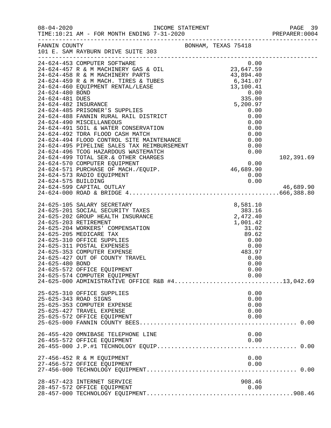| $08 - 04 - 2020$    | TIME:10:21 AM - FOR MONTH ENDING 7-31-2020<br>_____________________________________                                                                                                                                                                                                                                                                                                                                                            | INCOME STATEMENT<br>7-31-2020<br>---------------------------- |                                                                                      | PAGE 39<br>PREPARER: 0004<br>------------------- |
|---------------------|------------------------------------------------------------------------------------------------------------------------------------------------------------------------------------------------------------------------------------------------------------------------------------------------------------------------------------------------------------------------------------------------------------------------------------------------|---------------------------------------------------------------|--------------------------------------------------------------------------------------|--------------------------------------------------|
| FANNIN COUNTY       | 101 E. SAM RAYBURN DRIVE SUITE 303                                                                                                                                                                                                                                                                                                                                                                                                             | BONHAM, TEXAS 75418                                           |                                                                                      |                                                  |
|                     | 24-624-453 COMPUTER SOFTWARE<br>24-624-492 TDRA FLOOD CASH MATCH                                                                                                                                                                                                                                                                                                                                                                               |                                                               | 0.00<br>0.00<br>0.00<br>0.00                                                         |                                                  |
| 24-624-575 BUILDING | 24-624-492 IDRA FLOOD CASH MAICH<br>24-624-494 FLOOD CONTROL SITE MAINTENANCE<br>24-624-495 PIPELINE SALES TAX REIMBURSEMENT<br>24-624-496 TCOG HAZARDOUS WASTEMATCH<br>24-624-499 TOTAL SER.& OTHER CHARGES<br>24-624-570 COMPUTER EQUIPMENT<br>24-624-571 PURCHASE OF MACH./EQUIP.<br>24-624-573 RADIO EQUIPMENT<br>24-624-599 CAPITAL OUTLAY                                                                                                |                                                               | $rac{0.00}{S}$<br>$rac{0.00}{S}$<br>$rac{0.00}{S}$<br>0.00<br>0.00                   | 102,391.69<br>46,689.90                          |
| 24-625-480 BOND     | 24-625-105 SALARY SECRETARY<br>24-625-201 SOCIAL SECURITY TAXES<br>24-625-202 GROUP HEALTH INSURANCE<br>24-625-203 RETIREMENT<br>24-625-204 WORKERS' COMPENSATION<br>24-625-205 MEDICARE TAX<br>24-625-310 OFFICE SUPPLIES<br>24-625-311 POSTAL EXPENSES<br>24-625-353 COMPUTER EXPENSE<br>24-625-427 OUT OF COUNTY TRAVEL<br>24-625-572 OFFICE EQUIPMENT<br>24-625-574 COMPUTER EQUIPMENT<br>24-625-000 ADMINISTRATIVE OFFICE R&B #413,042.69 | $8,581.10$<br>$383.16$<br>$2,472.40$                          | 1,001.42<br>31.02<br>89.62<br>0.00<br>0.00<br>483.97<br>0.00<br>0.00<br>0.00<br>0.00 |                                                  |
|                     | 25-625-310 OFFICE SUPPLIES<br>25-625-343 ROAD SIGNS<br>25-625-353 COMPUTER EXPENSE<br>25-625-427 TRAVEL EXPENSE<br>25-625-572 OFFICE EQUIPMENT                                                                                                                                                                                                                                                                                                 |                                                               | 0.00<br>0.00<br>0.00<br>0.00<br>0.00                                                 |                                                  |
|                     | 26-455-420 OMNIBASE TELEPHONE LINE<br>26-455-572 OFFICE EQUIPMENT                                                                                                                                                                                                                                                                                                                                                                              |                                                               | 0.00<br>0.00                                                                         |                                                  |
|                     | 27-456-452 R & M EQUIPMENT<br>27-456-572 OFFICE EQUIPMENT                                                                                                                                                                                                                                                                                                                                                                                      |                                                               | 0.00<br>0.00                                                                         |                                                  |
|                     | 28-457-423 INTERNET SERVICE<br>28-457-572 OFFICE EQUIPMENT                                                                                                                                                                                                                                                                                                                                                                                     |                                                               | 908.46<br>0.00                                                                       |                                                  |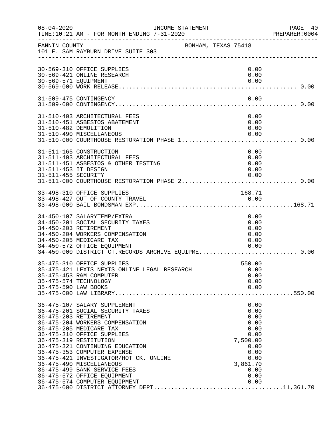| $08 - 04 - 2020$                            | INCOME STATEMENT<br>TIME:10:21 AM - FOR MONTH ENDING 7-31-2020                                                                                                                                                                                                                                                                                                                                                                                          |                                                                                                                      | PAGE 40<br>PREPARER:0004 |
|---------------------------------------------|---------------------------------------------------------------------------------------------------------------------------------------------------------------------------------------------------------------------------------------------------------------------------------------------------------------------------------------------------------------------------------------------------------------------------------------------------------|----------------------------------------------------------------------------------------------------------------------|--------------------------|
| FANNIN COUNTY                               | BONHAM, TEXAS 75418<br>101 E. SAM RAYBURN DRIVE SUITE 303                                                                                                                                                                                                                                                                                                                                                                                               |                                                                                                                      |                          |
| 30-569-571 EQUIPMENT                        | 30-569-310 OFFICE SUPPLIES<br>30-569-421 ONLINE RESEARCH                                                                                                                                                                                                                                                                                                                                                                                                | 0.00<br>0.00<br>0.00                                                                                                 |                          |
|                                             | 31-509-475 CONTINGENCY                                                                                                                                                                                                                                                                                                                                                                                                                                  | 0.00                                                                                                                 |                          |
|                                             | 31-510-403 ARCHITECTURAL FEES<br>31-510-451 ASBESTOS ABATEMENT<br>31-510-482 DEMOLITION<br>31-510-490 MISCELLANEOUS                                                                                                                                                                                                                                                                                                                                     | 0.00<br>0.00<br>0.00<br>0.00                                                                                         |                          |
| 31-511-453 IT DESIGN<br>31-511-455 SECURITY | 31-511-165 CONSTRUCTION<br>31-511-403 ARCHITECTURAL FEES<br>31-511-451 ASBESTOS & OTHER TESTING<br>31-511-000 COURTHOUSE RESTORATION PHASE 2 0.00                                                                                                                                                                                                                                                                                                       | 0.00<br>0.00<br>0.00<br>0.00<br>0.00                                                                                 |                          |
|                                             | 33-498-310 OFFICE SUPPLIES                                                                                                                                                                                                                                                                                                                                                                                                                              | 168.71                                                                                                               |                          |
|                                             | 34-450-107 SALARYTEMP/EXTRA<br>34-450-201 SOCIAL SECURITY TAXES<br>34-450-203 RETIREMENT<br>34-450-204 WORKERS COMPENSATION<br>34-450-205 MEDICARE TAX<br>34-450-572 OFFICE EQUIPMENT                                                                                                                                                                                                                                                                   | 0.00<br>0.00<br>0.00<br>0.00<br>0.00<br>0.00                                                                         |                          |
| 35-475-590 LAW BOOKS                        | 35-475-310 OFFICE SUPPLIES<br>35-475-421 LEXIS NEXIS ONLINE LEGAL RESEARCH<br>35-475-453 R&M COMPUTER<br>35-475-574 TECHNOLOGY                                                                                                                                                                                                                                                                                                                          | 550.00<br>0.00<br>0.00<br>0.00<br>0.00                                                                               |                          |
|                                             | 36-475-107 SALARY SUPPLEMENT<br>36-475-201 SOCIAL SECURITY TAXES<br>36-475-203 RETIREMENT<br>36-475-204 WORKERS COMPENSATION<br>36-475-205 MEDICARE TAX<br>36-475-310 OFFICE SUPPLIES<br>36-475-319 RESTITUTION<br>36-475-321 CONTINUING EDUCATION<br>36-475-353 COMPUTER EXPENSE<br>36-475-421 INVESTIGATOR/HOT CK. ONLINE<br>36-475-490 MISCELLANEOUS<br>36-475-499 BANK SERVICE FEES<br>36-475-572 OFFICE EQUIPMENT<br>36-475-574 COMPUTER EQUIPMENT | 0.00<br>0.00<br>0.00<br>0.00<br>0.00<br>0.00<br>7,500.00<br>0.00<br>0.00<br>0.00<br>3,861.70<br>0.00<br>0.00<br>0.00 |                          |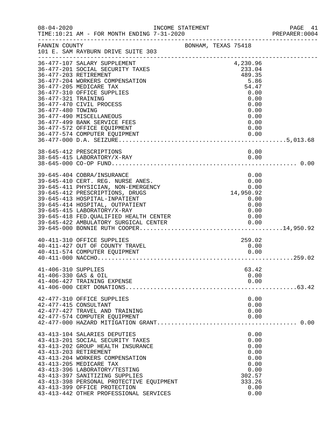| $08 - 04 - 2020$                            | INCOME STATEMENT<br>TIME:10:21 AM - FOR MONTH ENDING 7-31-2020                                                                                                                                                                                                |                     |  |                                              | PAGE 41<br>PREPARER: 0004 |
|---------------------------------------------|---------------------------------------------------------------------------------------------------------------------------------------------------------------------------------------------------------------------------------------------------------------|---------------------|--|----------------------------------------------|---------------------------|
| FANNIN COUNTY                               | 101 E. SAM RAYBURN DRIVE SUITE 303                                                                                                                                                                                                                            | BONHAM, TEXAS 75418 |  |                                              |                           |
| 36-477-203 RETIREMENT                       | 36-477-107 SALARY SUPPLEMENT<br>36-477-201 SOCIAL SECURITY TAXES<br>36-477-204 WORKERS COMPENSATION                                                                                                                                                           |                     |  | 4,230.96<br>233.04<br>489.35<br>5.86         |                           |
| 36-477-321 TRAINING                         | 36-477-205 MEDICARE TAX<br>36-477-310 OFFICE SUPPLIES<br>36-477-470 CIVIL PROCESS                                                                                                                                                                             |                     |  | 54.47<br>0.00<br>0.00<br>0.00                |                           |
| 36-477-480 TOWING                           | 36-477-490 MISCELLANEOUS<br>36-477-499 BANK SERVICE FEES                                                                                                                                                                                                      |                     |  | 0.00<br>0.00<br>0.00                         |                           |
|                                             | 36-477-572 OFFICE EQUIPMENT<br>0.00   0.00   0.00   0.00   0.00   0.00   0.00   0.00   0.00   0.00   0.00   0.00   0.00   0.00   0.00   0.00   0.00   0.00   0.00   0.00   0.00   0.00   0.00   0.00   0.00   0.00   0.00   0.00   0.00   0.00   0.00   0.000 |                     |  | 0.00                                         |                           |
|                                             | 38-645-412 PRESCRIPTIONS                                                                                                                                                                                                                                      |                     |  | 0.00                                         |                           |
|                                             | 39-645-404 COBRA/INSURANCE<br>39-645-410 CERT. REG. NURSE ANES.<br>39-645-411 PHYSICIAN, NON-EMERGENCY<br>39-645-412 PRESCRIPTIONS, DRUGS                                                                                                                     |                     |  | 0.00<br>$0.00$<br>0.00<br>14,950.92<br>0.00  |                           |
|                                             | 39-645-413 HOSPITAL-INPATIENT<br>39-645-414 HOSPITAL, OUTPATIENT<br>39-645-415 LABORATORY/X-RAY                                                                                                                                                               |                     |  | 0.00<br>0.00<br>0.00<br>0.00                 |                           |
|                                             | 39-645-418 FED.QUALIFIED HEALTH CENTER<br>39-645-422 AMBULATORY SURGICAL CENTER<br>40-411-310 OFFICE SUPPLIES                                                                                                                                                 |                     |  | 259.02                                       |                           |
|                                             | 40-411-427 OUT OF COUNTY TRAVEL<br>40-411-574 COMPUTER EQUIPMENT                                                                                                                                                                                              |                     |  | 0.00<br>0.00                                 |                           |
| 41-406-310 SUPPLIES<br>41-406-330 GAS & OIL | 41-406-427 TRAINING EXPENSE                                                                                                                                                                                                                                   |                     |  | 63.42<br>0.00<br>0.00                        |                           |
| 42-477-415 CONSULTANT                       | 42-477-310 OFFICE SUPPLIES<br>42-477-427 TRAVEL AND TRAINING<br>42-477-574 COMPUTER EQUIPMENT                                                                                                                                                                 |                     |  | 0.00<br>0.00<br>0.00<br>0.00                 |                           |
| 43-413-203 RETIREMENT                       | 43-413-104 SALARIES DEPUTIES<br>43-413-201 SOCIAL SECURITY TAXES<br>43-413-202 GROUP HEALTH INSURANCE<br>43-413-204 WORKERS COMPENSATION<br>43-413-205 MEDICARE TAX                                                                                           |                     |  | 0.00<br>0.00<br>0.00<br>0.00<br>0.00<br>0.00 |                           |
|                                             | 43-413-396 LABORATORY/TESTING<br>43-413-397 SANITIZING SUPPLIES<br>43-413-398 PERSONAL PROTECTIVE EQUIPMENT<br>43-413-399 OFFICE PROTECTION<br>43-413-442 OTHER PROFESSIONAL SERVICES                                                                         |                     |  | 0.00<br>302.57<br>333.26<br>0.00<br>0.00     |                           |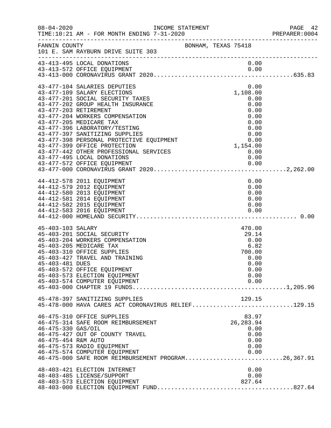|                     | INCOME STATEMENT                                                                     |                     |              | PAGE 42<br>PREPARER:0004 |
|---------------------|--------------------------------------------------------------------------------------|---------------------|--------------|--------------------------|
| FANNIN COUNTY       | 101 E. SAM RAYBURN DRIVE SUITE 303                                                   | BONHAM, TEXAS 75418 |              |                          |
|                     | 43-413-495 LOCAL DONATIONS                                                           |                     | 0.00         |                          |
|                     |                                                                                      |                     |              |                          |
|                     | 43-477-104 SALARIES DEPUTIES                                                         |                     | 0.00         |                          |
|                     | 43-477-109 SALARY ELECTIONS                                                          |                     | 1,108.00     |                          |
|                     | 43-477-201 SOCIAL SECURITY TAXES                                                     |                     | 0.00         |                          |
|                     | 43-477-202 GROUP HEALTH INSURANCE                                                    |                     | 0.00         |                          |
|                     | 43-477-203 RETIREMENT                                                                |                     | 0.00         |                          |
|                     | 43-477-204 WORKERS COMPENSATION                                                      |                     | 0.00         |                          |
|                     | 43-477-205 MEDICARE TAX                                                              |                     | 0.00         |                          |
|                     | 43-477-396 LABORATORY/TESTING                                                        |                     | 0.00         |                          |
|                     | 43-477-397 SANITIZING SUPPLIES                                                       |                     | 0.00         |                          |
|                     | 43-477-398 PERSONAL PROTECTIVE EQUIPMENT                                             |                     | 0.00         |                          |
|                     | 43-477-399 OFFICE PROTECTION                                                         |                     | 1,154.00     |                          |
|                     | 43-477-442 OTHER PROFESSIONAL SERVICES                                               |                     | 0.00         |                          |
|                     | 43-477-495 LOCAL DONATIONS                                                           |                     | 0.00         |                          |
|                     |                                                                                      |                     |              |                          |
|                     |                                                                                      |                     |              |                          |
|                     | 44-412-578 2011 EQUIPMENT                                                            |                     | 0.00         |                          |
|                     | 44-412-579 2012 EQUIPMENT                                                            |                     | 0.00         |                          |
|                     | 44-412-580 2013 EQUIPMENT                                                            |                     | 0.00         |                          |
|                     | 44-412-581 2014 EQUIPMENT                                                            |                     | 0.00         |                          |
|                     | 44-412-582 2015 EQUIPMENT                                                            |                     | 0.00         |                          |
|                     | 44-412-583 2016 EQUIPMENT                                                            |                     | 0.00         |                          |
|                     |                                                                                      |                     |              |                          |
|                     |                                                                                      |                     |              |                          |
| 45-403-103 SALARY   |                                                                                      |                     | 470.00       |                          |
|                     | 45-403-201 SOCIAL SECURITY<br>45-403-204 WORKERS COMPENSATION                        |                     | 29.14        |                          |
|                     | 45-403-205 MEDICARE TAX                                                              |                     | 0.00<br>6.82 |                          |
|                     | 45-403-310 OFFICE SUPPLIES                                                           |                     | 700.00       |                          |
|                     | 45-403-427 TRAVEL AND TRAINING                                                       |                     | 0.00         |                          |
| 45-403-481 DUES     |                                                                                      |                     | 0.00         |                          |
|                     | 45-403-572 OFFICE EQUIPMENT                                                          |                     | 0.00         |                          |
|                     | 45-403-573 ELECTION EQUIPMENT                                                        |                     | 0.00         |                          |
|                     | 45-403-574 COMPUTER EQUIPMENT                                                        |                     | 0.00         |                          |
|                     |                                                                                      |                     |              |                          |
|                     |                                                                                      |                     |              |                          |
|                     | 45-478-397 SANITIZING SUPPLIES<br>45-478-000 HAVA CARES ACT CORONAVIRUS RELIEF129.15 |                     | 129.15       |                          |
|                     |                                                                                      |                     |              |                          |
|                     | 46-475-310 OFFICE SUPPLIES                                                           |                     | 83.97        |                          |
|                     | 46-475-314 SAFE ROOM REIMBURSEMENT                                                   |                     | 26, 283.94   |                          |
| 46-475-330 GAS/OIL  |                                                                                      |                     | 0.00         |                          |
|                     | 46-475-427 OUT OF COUNTY TRAVEL                                                      |                     | 0.00         |                          |
| 46-475-454 R&M AUTO |                                                                                      |                     | 0.00         |                          |
|                     | 46-475-573 RADIO EQUIPMENT                                                           |                     | 0.00         |                          |
|                     | 46-475-574 COMPUTER EQUIPMENT                                                        |                     | 0.00         |                          |
|                     | 46-475-000 SAFE ROOM REIMBURSEMENT PROGRAM26,367.91                                  |                     |              |                          |
|                     | 48-403-421 ELECTION INTERNET                                                         |                     | 0.00         |                          |
|                     | 48-403-485 LICENSE/SUPPORT                                                           |                     | 0.00         |                          |
|                     | 48-403-573 ELECTION EQUIPMENT                                                        |                     | 827.64       |                          |
|                     |                                                                                      |                     |              |                          |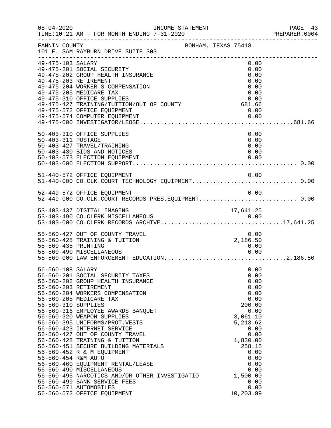|                                                                 | INCOME STATEMENT                                                                                                                                                                                                                                                                                                                                                                                                                                                                                                                                                                                                                                        |                     |                                                                                                                                                                                                       | PREPARER: 0004 |
|-----------------------------------------------------------------|---------------------------------------------------------------------------------------------------------------------------------------------------------------------------------------------------------------------------------------------------------------------------------------------------------------------------------------------------------------------------------------------------------------------------------------------------------------------------------------------------------------------------------------------------------------------------------------------------------------------------------------------------------|---------------------|-------------------------------------------------------------------------------------------------------------------------------------------------------------------------------------------------------|----------------|
| FANNIN COUNTY                                                   | 101 E. SAM RAYBURN DRIVE SUITE 303                                                                                                                                                                                                                                                                                                                                                                                                                                                                                                                                                                                                                      | BONHAM, TEXAS 75418 |                                                                                                                                                                                                       |                |
| 49-475-103 SALARY                                               | 49-475-201 SOCIAL SECURITY<br>49-475-202 GROUP HEALTH INSURANCE<br>49-475-203 RETIREMENT<br>49-475-204 WORKER'S COMPENSATION<br>49-475-205 MEDICARE TAX<br>49-475-310 OFFICE SUPPLIES<br>49-475-427 TRAINING/TUITION/OUT OF COUNTY 681.66<br>49-475-572 OFFICE EQUIPMENT<br>49-475-574 COMPUTER EQUIPMENT                                                                                                                                                                                                                                                                                                                                               |                     | 0.00<br>0.00<br>0.00<br>0.00<br>0.00<br>0.00<br>0.00<br>0.00<br>0.00                                                                                                                                  |                |
| 50-403-311 POSTAGE                                              | 50-403-310 OFFICE SUPPLIES<br>50-403-427 TRAVEL/TRAINING<br>50-403-430 BIDS AND NOTICES                                                                                                                                                                                                                                                                                                                                                                                                                                                                                                                                                                 |                     | 0.00<br>0.00<br>0.00<br>0.00                                                                                                                                                                          |                |
|                                                                 | 51-440-572 OFFICE EQUIPMENT                                                                                                                                                                                                                                                                                                                                                                                                                                                                                                                                                                                                                             |                     | 0.00                                                                                                                                                                                                  |                |
|                                                                 | 52-449-572 OFFICE EQUIPMENT<br>52-449-000 CO.CLK.COURT RECORDS PRES.EQUIPMENT 0.00                                                                                                                                                                                                                                                                                                                                                                                                                                                                                                                                                                      |                     | 0.00                                                                                                                                                                                                  |                |
|                                                                 | 53-403-437 DIGITAL IMAGING                                                                                                                                                                                                                                                                                                                                                                                                                                                                                                                                                                                                                              |                     | 17,641.25                                                                                                                                                                                             |                |
| 55-560-435 PRINTING                                             | 55-560-427 OUT OF COUNTY TRAVEL<br>55-560-428 TRAINING & TUITION<br>55-560-490 MISCELLANEOUS                                                                                                                                                                                                                                                                                                                                                                                                                                                                                                                                                            |                     | 0.00<br>2,186.50<br>0.00<br>0.00                                                                                                                                                                      |                |
| 56-560-108 SALARY<br>56-560-310 SUPPLIES<br>56-560-454 R&M AUTO | 56-560-201 SOCIAL SECURITY TAXES<br>56-560-202 GROUP HEALTH INSURANCE<br>56-560-203 RETIREMENT<br>56-560-204 WORKERS COMPENSATION<br>56-560-205 MEDICARE TAX<br>56-560-316 EMPLOYEE AWARDS BANQUET<br>56-560-320 WEAPON SUPPLIES<br>56-560-395 UNIFORMS/PROT.VESTS<br>56-560-423 INTERNET SERVICE<br>56-560-427 OUT OF COUNTY TRAVEL<br>56-560-428 TRAINING & TUITION<br>56-560-451 SECURE BUILDING MATERIALS<br>56-560-452 R & M EQUIPMENT<br>56-560-460 EQUIPMENT RENTAL/LEASE<br>56-560-490 MISCELLANEOUS<br>56-560-495 NARCOTICS AND/OR OTHER INVESTIGATIO<br>56-560-499 BANK SERVICE FEES<br>56-560-571 AUTOMOBILES<br>56-560-572 OFFICE EQUIPMENT |                     | 0.00<br>0.00<br>0.00<br>0.00<br>0.00<br>0.00<br>200.00<br>0.00<br>3,061.10<br>5,213.62<br>0.00<br>0.00<br>1,830.00<br>258.15<br>0.00<br>0.00<br>0.00<br>0.00<br>1,500.00<br>0.00<br>0.00<br>10,203.99 |                |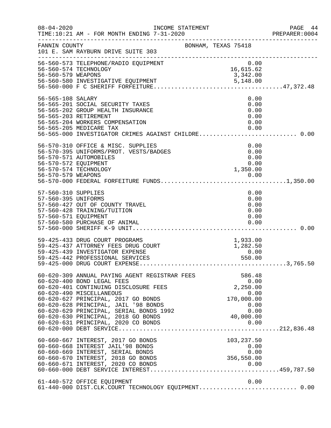| $08 - 04 - 2020$                                                   | INCOME STATEMENT<br>TIME:10:21 AM - FOR MONTH ENDING 7-31-2020                                                                                                                                                                                                                                                                                                                                                                        |                                              | PAGE 44<br>PREPARER: 0004 |
|--------------------------------------------------------------------|---------------------------------------------------------------------------------------------------------------------------------------------------------------------------------------------------------------------------------------------------------------------------------------------------------------------------------------------------------------------------------------------------------------------------------------|----------------------------------------------|---------------------------|
| FANNIN COUNTY                                                      | BONHAM, TEXAS 75418<br>101 E. SAM RAYBURN DRIVE SUITE 303                                                                                                                                                                                                                                                                                                                                                                             |                                              |                           |
| 56-560-579 WEAPONS                                                 | 56-560-573 TELEPHONE/RADIO EQUIPMENT<br>56-560-574 TECHNOLOGY                                                                                                                                                                                                                                                                                                                                                                         | $0.00$<br>16,615.62<br>3,342.00              |                           |
| 56-565-108 SALARY                                                  | 56-565-201 SOCIAL SECURITY TAXES<br>56-565-202 GROUP HEALTH INSURANCE<br>56-565-203 RETIREMENT<br>56-565-204 WORKERS COMPENSATION<br>56-565-205 MEDICARE TAX<br>56-565-000 INVESTIGATOR CRIMES AGAINST CHILDRE 0.00                                                                                                                                                                                                                   | 0.00<br>0.00<br>0.00<br>0.00<br>0.00<br>0.00 |                           |
| 56-570-572 EQUIPMENT                                               | 56-570-310 OFFICE & MISC. SUPPLIES<br>56-570-395 UNIFORMS/PROT. VESTS/BADGES<br>56-570-571 AUTOMOBILES<br>56-570-574 TECHNOLOGY                                                                                                                                                                                                                                                                                                       | 0.00<br>0.00<br>0.00<br>0.00<br>1,350.00     |                           |
| 57-560-310 SUPPLIES<br>57-560-395 UNIFORMS<br>57-560-571 EQUIPMENT | 57-560-427 OUT OF COUNTY TRAVEL<br>57-560-428 TRAINING/TUITION<br>57-560-580 PURCHASE OF ANIMAL                                                                                                                                                                                                                                                                                                                                       | 0.00<br>0.00<br>0.00<br>0.00<br>0.00<br>0.00 |                           |
|                                                                    | 59-425-433 DRUG COURT PROGRAMS<br>59-425-437 ATTORNEY FEES DRUG COURT<br>59-425-439 INVESTIGATOR EXPENSE<br>59-425-442 PROFESSIONAL SERVICES                                                                                                                                                                                                                                                                                          | $1,933.00$<br>$1,282.50$<br>0.00<br>550.00   |                           |
|                                                                    | 60-620-309 ANNUAL PAYING AGENT REGISTRAR FEES<br>60-620-400 BOND LEGAL FEES<br>60-620-401 CONTINUING DISCLOSURE FEES<br>60-620-490 MISCELLANEOUS<br>0.00<br>60-620-627 PRINCIPAL, 2017 GO BONDS<br>60-620-628 PRINCIPAL, JAIL '98 BONDS<br>60-620-629 PRINCIPAL, SERIAL BONDS<br>60-620-630 PRINCIPAL, 2018 GO BONDS<br>60-620-630 PRINCIPAL, 2018 GO BONDS<br>60-620-631 PRINCIPAL, 2018 GO B<br>60-620-631 PRINCIPAL, 2020 CO BONDS | 586.48<br>0.00<br>2,250.00<br>0.00<br>0.00   |                           |
|                                                                    | 60-660-667 INTEREST, 2017 GO BONDS<br>60-660-668 INTEREST JAIL'98 BONDS<br>60-660-669 INTEREST, SERIAL BONDS<br>60-660-670 INTEREST, 2018 GO BONDS<br>60-660-671 INTEREST, 2020 CO BONDS                                                                                                                                                                                                                                              | 103,237.50<br>0.00<br>0.00<br>356,550.00     |                           |
|                                                                    | 61-440-572 OFFICE EQUIPMENT                                                                                                                                                                                                                                                                                                                                                                                                           | 0.00                                         |                           |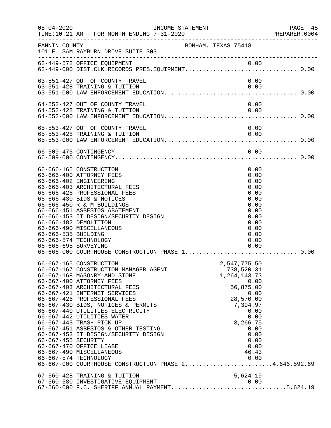| $08 - 04 - 2020$                            | INCOME STATEMENT<br>TIME:10:21 AM - FOR MONTH ENDING 7-31-2020<br>:FIME:10:21 AM - FOR MONTH ENDING 7-31-2020                                                                                                                                                                                                                                                                                                                                                                                                                                                                              |                     |                                                                                                                                                                                  | PAGE 45<br>PREPARER:0004 |
|---------------------------------------------|--------------------------------------------------------------------------------------------------------------------------------------------------------------------------------------------------------------------------------------------------------------------------------------------------------------------------------------------------------------------------------------------------------------------------------------------------------------------------------------------------------------------------------------------------------------------------------------------|---------------------|----------------------------------------------------------------------------------------------------------------------------------------------------------------------------------|--------------------------|
| FANNIN COUNTY                               | 101 E. SAM RAYBURN DRIVE SUITE 303                                                                                                                                                                                                                                                                                                                                                                                                                                                                                                                                                         | BONHAM, TEXAS 75418 |                                                                                                                                                                                  |                          |
|                                             |                                                                                                                                                                                                                                                                                                                                                                                                                                                                                                                                                                                            |                     |                                                                                                                                                                                  |                          |
|                                             | 63-551-427 OUT OF COUNTY TRAVEL<br>63-551-428 TRAINING & TUITION                                                                                                                                                                                                                                                                                                                                                                                                                                                                                                                           |                     | 0.00<br>0.00                                                                                                                                                                     |                          |
|                                             | 64-552-427 OUT OF COUNTY TRAVEL<br>64-552-428 TRAINING & TUITION                                                                                                                                                                                                                                                                                                                                                                                                                                                                                                                           |                     | 0.00<br>0.00                                                                                                                                                                     |                          |
|                                             | 65-553-427 OUT OF COUNTY TRAVEL<br>65-553-428 TRAINING & TUITION                                                                                                                                                                                                                                                                                                                                                                                                                                                                                                                           |                     | 0.00<br>0.00                                                                                                                                                                     |                          |
|                                             |                                                                                                                                                                                                                                                                                                                                                                                                                                                                                                                                                                                            |                     |                                                                                                                                                                                  |                          |
| 66-666-535 BUILDING<br>66-666-695 SURVEYING | 66-666-165 CONSTRUCTION<br>66-666-400 ATTORNEY FEES<br>66-666-402 ENGINEERING<br>66-666-403 ARCHITECTURAL FEES<br>66-666-426 PROFESSIONAL FEES<br>66-666-430 BIDS & NOTICES<br>66-666-450 R & M BUILDINGS<br>66-666-451 ASBESTOS ABATEMENT<br>66-666-453 IT DESIGN/SECURITY DESIGN<br>66-666-482 DEMOLITION<br>66-666-490 MISCELLANEOUS<br>66-666-574 TECHNOLOGY                                                                                                                                                                                                                           |                     | 0.00<br>0.00<br>0.00<br>0.00<br>0.00<br>0.00<br>0.00<br>0.00<br>0.00<br>0.00<br>0.00<br>0.00<br>0.00<br>0.00                                                                     |                          |
| 66-667-455 SECURITY                         | 66-667-165 CONSTRUCTION<br>66-667-167 CONSTRUCTION MANAGER AGENT<br>66-667-168 MASONRY AND STONE<br>66-667-400 ATTORNEY FEES<br>66-667-403 ARCHITECTURAL FEES<br>66-667-421 INTERNET SERVICES<br>66-667-426 PROFESSIONAL FEES<br>66-667-430 BIDS, NOTICES & PERMITS<br>66-667-440 UTILITIES ELECTRICITY<br>66-667-442 UTILITIES WATER<br>66-667-443 TRASH PICK UP<br>66-667-451 ASBESTOS & OTHER TESTING<br>66-667-453 IT DESIGN/SECURITY DESIGN<br>66-667-470 OFFICE LEASE<br>66-667-490 MISCELLANEOUS<br>66-667-574 TECHNOLOGY<br>66-667-000 COURTHOUSE CONSTRUCTION PHASE 24,646,592.69 |                     | 2,547,775.50<br>738,520.31<br>1, 264, 143. 73<br>0.00<br>56,875.00<br>0.00<br>28,570.00<br>7,394.97<br>0.00<br>0.00<br>3,266.75<br>0.00<br>0.00<br>0.00<br>0.00<br>46.43<br>0.00 |                          |
|                                             | 67-560-428 TRAINING & TUITION<br>67-560-580 INVESTIGATIVE EQUIPMENT 0.00<br>67-560-000 F.C. SHERIFF ANNUAL PAYMENT5,624.19                                                                                                                                                                                                                                                                                                                                                                                                                                                                 |                     | 5,624.19                                                                                                                                                                         |                          |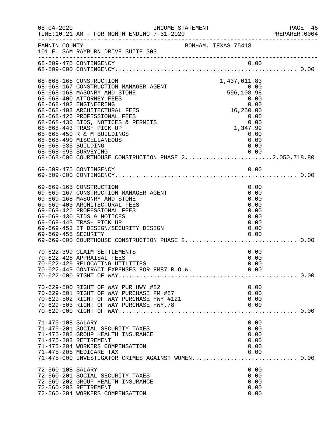| $08 - 04 - 2020$    | INCOME STATEMENT<br>------------------------------------                                                                                                                                                                                                           |                     |                                                                      | PAGE 46<br>PREPARER:0004 |
|---------------------|--------------------------------------------------------------------------------------------------------------------------------------------------------------------------------------------------------------------------------------------------------------------|---------------------|----------------------------------------------------------------------|--------------------------|
| FANNIN COUNTY       | 101 E. SAM RAYBURN DRIVE SUITE 303                                                                                                                                                                                                                                 | BONHAM, TEXAS 75418 |                                                                      |                          |
|                     | 68-509-475 CONTINGENCY                                                                                                                                                                                                                                             |                     | 0.00                                                                 |                          |
|                     | 68-668-165 CONSTRUCTION<br>68-668-167 CONSTRUCTION MANAGER AGENT<br>68-668-168 MASONRY AND STONE<br>68-668-400 ATTORNEY FEES<br>68-668-402 ENGINEERING                                                                                                             | 596, 10             | 1,437,011.83<br>0.00<br>596,108.98<br>0.00<br>0.00                   |                          |
| 68-668-535 BUILDING | 68-668-403 ARCHITECTURAL FEES<br>68-668-426 PROFESSIONAL FEES<br>68-668-430 BIDS, NOTICES & PERMITS<br>68-668-443 TRASH PICK UP<br>68-668-450 R & M BUILDINGS<br>68-668-490 MISCELLANEOUS                                                                          |                     | 16,250.00<br>$0.00$<br>1,347.99<br>0.00<br>0.00<br>0.00<br>0.00      |                          |
|                     | 69-509-475 CONTINGENCY                                                                                                                                                                                                                                             |                     | 0.00                                                                 |                          |
| 69-669-455 SECURITY | 69-669-165 CONSTRUCTION<br>69-669-167 CONSTRUCTION MANAGER AGENT<br>69-669-168 MASONRY AND STONE<br>69-669-403 ARCHITECTURAL FEES<br>69-669-426 PROFESSIONAL FEES<br>69-669-430 BIDS & NOTICES<br>69-669-443 TRASH PICK UP<br>69-669-453 IT DESIGN/SECURITY DESIGN |                     | 0.00<br>0.00<br>0.00<br>0.00<br>0.00<br>0.00<br>0.00<br>0.00<br>0.00 |                          |
|                     | 70-622-399 CLAIM SETTLEMENTS<br>70-622-426 APPRAISAL FEES<br>70-622-429 RELOCATING UTILITIES                                                                                                                                                                       |                     | 0.00<br>0.00<br>0.00                                                 |                          |
|                     | 70-629-500 RIGHT OF WAY PUR HWY #82<br>70-629-501 RIGHT OF WAY PURCHASE FM #87<br>70-629-502 RIGHT OF WAY PURCHASE HWY #121<br>70-629-503 RIGHT OF WAY PURCHASE HWY.78                                                                                             |                     | 0.00<br>0.00<br>0.00<br>0.00                                         |                          |
| 71-475-108 SALARY   | 71-475-201 SOCIAL SECURITY TAXES<br>71-475-202 GROUP HEALTH INSURANCE<br>71-475-203 RETIREMENT<br>71-475-204 WORKERS COMPENSATION<br>71-475-205 MEDICARE TAX                                                                                                       |                     | 0.00<br>0.00<br>0.00<br>0.00<br>0.00<br>0.00                         |                          |
| 72-560-108 SALARY   | 71-475-000 INVESTIGATOR CRIMES AGAINST WOMEN 0.00<br>72-560-201 SOCIAL SECURITY TAXES<br>72-560-202 GROUP HEALTH INSURANCE<br>72-560-203 RETIREMENT<br>72-560-204 WORKERS COMPENSATION                                                                             |                     | 0.00<br>0.00<br>0.00<br>0.00<br>0.00                                 |                          |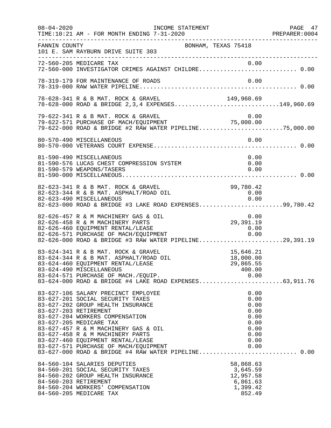| $08 - 04 - 2020$ | INCOME STATEMENT                                                                                                                                                                                                                                                                                                                                                                                                                                                               |                                                                              | PAGE 47<br>PREPARER:0004 |
|------------------|--------------------------------------------------------------------------------------------------------------------------------------------------------------------------------------------------------------------------------------------------------------------------------------------------------------------------------------------------------------------------------------------------------------------------------------------------------------------------------|------------------------------------------------------------------------------|--------------------------|
| FANNIN COUNTY    | 101 E. SAM RAYBURN DRIVE SUITE 303                                                                                                                                                                                                                                                                                                                                                                                                                                             | BONHAM, TEXAS 75418                                                          |                          |
|                  | 72-560-205 MEDICARE TAX 0.00<br>72-560-000 INVESTIGATOR CRIMES AGAINST CHILDRE 0.00                                                                                                                                                                                                                                                                                                                                                                                            |                                                                              |                          |
|                  | 78-319-179 FOR MAINTENANCE OF ROADS                                                                                                                                                                                                                                                                                                                                                                                                                                            | 0.00                                                                         |                          |
|                  | 78-628-341 R & B MAT. ROCK & GRAVEL<br>78-628-000 ROAD & BRIDGE 2, 3, 4 EXPENSES149, 960.69                                                                                                                                                                                                                                                                                                                                                                                    | 149,960.69                                                                   |                          |
|                  | 79-622-341 R & B MAT. ROCK & GRAVEL<br>$75-622-541$ K & B PHI. NOON & GRAVEL<br>79-622-571 PURCHASE OF MACH/EQUIPMENT<br>79-622-000 ROAD & BRIDGE #2 RAW WATER PIPELINE75,000.00                                                                                                                                                                                                                                                                                               | 0.00                                                                         |                          |
|                  |                                                                                                                                                                                                                                                                                                                                                                                                                                                                                |                                                                              |                          |
|                  | 81-590-490 MISCELLANEOUS<br>81-590-576 LUCAS CHEST COMPRESSION SYSTEM<br>81-590-579 WEAPONS/TASERS                                                                                                                                                                                                                                                                                                                                                                             | 0.00<br>0.00<br>0.00                                                         |                          |
|                  | 82-623-341 R & B MAT. ROCK & GRAVEL<br>82-623-344 R & B MAT. ASPHALT/ROAD OIL<br>82-623-490 MISCELLANEOUS<br>82-623-000 ROAD & BRIDGE #3 LAKE ROAD EXPENSES99,780.42                                                                                                                                                                                                                                                                                                           | 99,780.42<br>0.00<br>0.00                                                    |                          |
|                  | 82-626-457 R & M MACHINERY GAS & OIL<br>82-626-458 R & M MACHINERY PARTS<br>82-626-460 EQUIPMENT RENTAL/LEASE<br>82-626-571 PURCHASE OF MACH/EQUIPMENT 0.00<br>82-626-000 ROAD & BRIDGE #3 RAW WATER PIPELINE29,391.19                                                                                                                                                                                                                                                         | 0.00<br>29,391.19<br>0.00                                                    |                          |
|                  | 83-624-341 R & B MAT. ROCK & GRAVEL<br>83-624-344 R & B MAT. ASPHALT/ROAD OIL<br>83-624-460 EQUIPMENT RENTAL/LEASE<br>83-624-490 MISCELLANEOUS<br>83-624-571 PURCHASE OF MACH./EQUIP.                                                                                                                                                                                                                                                                                          | 15,646.21<br>18,000.00<br>29,865.55<br>400.00<br>0.00                        |                          |
|                  | 83-627-106 SALARY PRECINCT EMPLOYEE<br>83-627-201 SOCIAL SECURITY TAXES<br>83-627-202 GROUP HEALTH INSURANCE<br>83-627-203 RETIREMENT<br>83-627-204 WORKERS COMPENSATION<br>83-627-205 MEDICARE TAX<br>83-627-457 R & M MACHINERY GAS & OIL<br>83-627-458 R & M MACHINERY PARTS<br>83-627-460 EQUIPMENT RENTAL/LEASE<br>83-627-571 PURCHASE OF MACH/EQUIPMENT<br>83-627-571 PURCHASE OF MACH/EQUIPMENT             0.00<br>83-627-000 ROAD & BRIDGE #4 RAW WATER PIPELINE 0.00 | 0.00<br>0.00<br>0.00<br>0.00<br>0.00<br>0.00<br>0.00<br>0.00<br>0.00<br>0.00 |                          |
|                  | 84-560-104 SALARIES DEPUTIES<br>84-560-201 SOCIAL SECURITY TAXES<br>84-560-202 GROUP HEALTH INSURANCE<br>84-560-203 RETIREMENT<br>84-560-204 WORKERS' COMPENSATION<br>84-560-205 MEDICARE TAX                                                                                                                                                                                                                                                                                  | 58,868.63<br>3,645.59<br>12,957.58<br>6,861.63<br>1,399.42<br>852.49         |                          |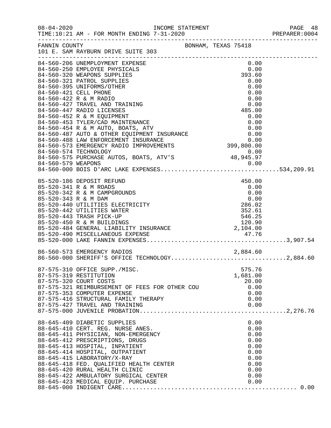| $08 - 04 - 2020$ |                                                                                                                                                                                                                                                                                                                              | INCOME STATEMENT    |                                                                                      | PAGE 48<br>PREPARER: 0004 |
|------------------|------------------------------------------------------------------------------------------------------------------------------------------------------------------------------------------------------------------------------------------------------------------------------------------------------------------------------|---------------------|--------------------------------------------------------------------------------------|---------------------------|
| FANNIN COUNTY    | 101 E. SAM RAYBURN DRIVE SUITE 303                                                                                                                                                                                                                                                                                           | BONHAM, TEXAS 75418 |                                                                                      |                           |
|                  | 84-560-206 UNEMPLOYMENT EXPENSE<br>84-560-250 EMPLOYEE PHYSICALS<br>84-560-320 WEAPONS SUPPLIES<br>84-560-321 PATROL SUPPLIES<br>84-560-395 UNIFORMS/OTHER<br>84-560-421 CELL PHONE                                                                                                                                          |                     | 0.00<br>0.00<br>393.60<br>0.00<br>0.00<br>0.00                                       |                           |
|                  | 84-560-422 R & M RADIO<br>84-560-427 TRAVEL AND TRAINING<br>84-560-447 RADIO LICENSES<br>84-560-452 R & M EQUIPMENT<br>84-560-453 TYLER/CAD MAINTENANCE                                                                                                                                                                      |                     | 0.00<br>0.00<br>485.00<br>0.00<br>0.00                                               |                           |
|                  | 84-560-453 ITLER/CAD MAINTENANCE<br>84-560-454 R & M AUTO, BOATS, ATV 0.00<br>84-560-487 AUTO & OTHER EQUIPMENT INSURANCE 0.00<br>84-560-488 LAW ENFORCEMENT INSURANCE 0.00<br>84-560-573 EMERGENCY RADIO IMPROVEMENTS 399,800.00<br>84-                                                                                     |                     |                                                                                      |                           |
|                  | 85-520-186 DEPOSIT REFUND<br>85-520-341 R & M ROADS<br>85-520-342 R & M CAMPGROUNDS<br>85-520-343 R & M DAM<br>85-520-440 UTILITIES ELECTRICITY<br>85-520-442 UTILITIES WATER<br>85-520-443 TRASH PICK-UP<br>85-520-450 R & M BUILDINGS<br>85-520-484 GENERAL LIABILITY INSURANCE<br>85-520-490 MISCELLANEOUS EXPENSE        |                     | 450.00<br>0.00<br>0.00<br>$0.00$<br>286.02<br>352.61<br>546.25<br>120.90<br>2,104.00 |                           |
|                  | 86-560-573 EMERGENCY RADIOS<br>86-560-573 EMERGENCY RADIOS 2,884.60<br>86-560-000 SHERIFF'S OFFICE TECHNOLOGY2,884.60                                                                                                                                                                                                        |                     |                                                                                      |                           |
|                  | 87-575-310 OFFICE SUPP./MISC.<br>87-575-319 RESTITUTION<br>87-575-320 COURT COSTS<br>87-575-321 REIMBURSEMENT OF FEES FOR OTHER COU<br>87-575-353 COMPUTER EXPENSE<br>87-575-416 STRUCTURAL FAMILY THERAPY                                                                                                                   |                     | 575.76<br>1,681.00<br>20.00<br>0.00<br>0.00<br>0.00                                  |                           |
|                  | 88-645-409 DIABETIC SUPPLIES<br>88-645-410 CERT. REG. NURSE ANES.<br>88-645-411 PHYSICIAN, NON-EMERGENCY<br>88-645-412 PRESCRIPTIONS, DRUGS<br>88-645-413 HOSPITAL, INPATIENT<br>88-645-414 HOSPITAL, OUTPATIENT<br>88-645-415 LABORATORY/X-RAY<br>88-645-418 FED. QUALIFIED HEALTH CENTER<br>88-645-420 RURAL HEALTH CLINIC |                     | 0.00<br>0.00<br>0.00<br>0.00<br>0.00<br>0.00<br>0.00<br>0.00<br>0.00                 |                           |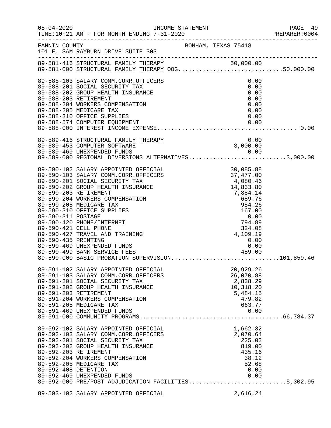|                                           |                                                                                                                                                                                                                                                                                                                                                                                                                                                                                            |                                                                                                                                                                                                                | PAGE 49<br>PREPARER:0004 |
|-------------------------------------------|--------------------------------------------------------------------------------------------------------------------------------------------------------------------------------------------------------------------------------------------------------------------------------------------------------------------------------------------------------------------------------------------------------------------------------------------------------------------------------------------|----------------------------------------------------------------------------------------------------------------------------------------------------------------------------------------------------------------|--------------------------|
| FANNIN COUNTY                             | BONHAM, TEXAS 75418<br>101 E. SAM RAYBURN DRIVE SUITE 303                                                                                                                                                                                                                                                                                                                                                                                                                                  |                                                                                                                                                                                                                |                          |
|                                           | 89-581-416 STRUCTURAL FAMILY THERAPY 50,000.00<br>89-581-000 STRUCTURAL FAMILY THERAPY OOG50,000.00                                                                                                                                                                                                                                                                                                                                                                                        |                                                                                                                                                                                                                |                          |
|                                           | 89-588-103 SALARY COMM.CORR.OFFICERS<br>89-588-201 SOCIAL SECURITY TAX<br>89-588-202 GROUP HEALTH INSURANCE<br>89-588-203 RETIREMENT<br>89-588-204 WORKERS COMPENSATION<br>89-588-205 MEDICARE TAX<br>89-588-310 OFFICE SUPPLIES<br>89-588-574 COMPUTER EQUIPMENT                                                                                                                                                                                                                          | 0.00<br>0.00<br>0.00<br>0.00<br>0.00<br>0.00<br>0.00<br>0.00                                                                                                                                                   |                          |
|                                           | 89-589-416 STRUCTURAL FAMILY THERAPY<br>89-589-416 STRUCTURAL FAMILY THERAPY<br>89-589-469 UNEXPENDED FUNDS<br>89-589-000 REGIONAL DIVERSIONS ALTERNATIVES3,000.00                                                                                                                                                                                                                                                                                                                         | 0.00<br>3,000.00                                                                                                                                                                                               |                          |
| 89-590-311 POSTAGE<br>89-590-435 PRINTING | 89-590-102 SALARY APPOINTED OFFICIAL<br>89-590-103 SALARY COMM.CORR.OFFICERS<br>89-590-201 SOCIAL SECURITY TAX<br>89-590-202 GROUP HEALTH INSURANCE<br>89-590-203 RETIREMENT<br>89-590-204 WORKERS COMPENSATION<br>89-590-205 MEDICARE TAX<br>89-590-310 OFFICE SUPPLIES<br>89-590-420 PHONE/INTERNET<br>89-590-421 CELL PHONE<br>89-590-427 TRAVEL AND TRAINING<br>89-590-469 UNEXPENDED FUNDS<br>89-590-499 BANK SERVICE FEES 459.00<br>89-590-000 BASIC PROBATION SUPERVISION101,859.46 | $30,085.88$<br>$37,477.00$<br>$4,080.46$<br>$14,833.80$<br>$7,884.14$<br>$689.76$<br>$954.26$<br>$167.00$<br>$0.00$<br>$794.89$<br>$324.08$<br>4,109.19<br>0.00<br>$\begin{array}{c} 0.00 \\ 0.00 \end{array}$ |                          |
|                                           | 89-591-102 SALARY APPOINTED OFFICIAL<br>89-591-103 SALARY COMM.CORR.OFFICERS<br>89-591-201 SOCIAL SECURITY TAX<br>89-591-202 GROUP HEALTH INSURANCE<br>89-591-203 RETIREMENT<br>89-591-204 WORKERS COMPENSATION<br>89-591-205 MEDICARE TAX<br>89-591-469 UNEXPENDED FUNDS                                                                                                                                                                                                                  | 20,929.26<br>26,070.88<br>2,838.29<br>10,318.20<br>5,484.15<br>479.82<br>663.77<br>0.00                                                                                                                        |                          |
| 89-592-408 DETENTION                      | 89-592-102 SALARY APPOINTED OFFICIAL<br>89-592-103 SALARY COMM.CORR.OFFICERS<br>89-592-201 SOCIAL SECURITY TAX<br>89-592-202 GROUP HEALTH INSURANCE<br>89-592-203 RETIREMENT<br>89-592-204 WORKERS COMPENSATION<br>89-592-205 MEDICARE TAX<br>89-592-469 UNEXPENDED FUNDS<br>89-592-000 PRE/POST ADJUDICATION FACILITIES5,302.95                                                                                                                                                           | 1,662.32<br>2,070.64<br>225.03<br>819.00<br>435.16<br>38.12<br>52.68<br>0.00                                                                                                                                   |                          |
|                                           | 89-593-102 SALARY APPOINTED OFFICIAL                                                                                                                                                                                                                                                                                                                                                                                                                                                       | 2,616.24                                                                                                                                                                                                       |                          |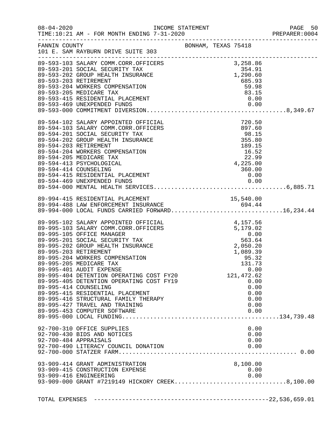|               |                                                                                                                                                                                                                                                                                                                                                                                                                                                                                                                                                                                                                                                          |                                                                                          |                                                       |                                                                                                                            | PAGE 50<br>PREPARER: 0004 |
|---------------|----------------------------------------------------------------------------------------------------------------------------------------------------------------------------------------------------------------------------------------------------------------------------------------------------------------------------------------------------------------------------------------------------------------------------------------------------------------------------------------------------------------------------------------------------------------------------------------------------------------------------------------------------------|------------------------------------------------------------------------------------------|-------------------------------------------------------|----------------------------------------------------------------------------------------------------------------------------|---------------------------|
| FANNIN COUNTY | 101 E. SAM RAYBURN DRIVE SUITE 303                                                                                                                                                                                                                                                                                                                                                                                                                                                                                                                                                                                                                       |                                                                                          | BONHAM, TEXAS 75418                                   |                                                                                                                            |                           |
|               | 89-593-103 SALARY COMM.CORR.OFFICERS 3,258.86<br>89-593-201 SOCIAL SECURITY TAX 354.91<br>89-593-202 GROUP HEALTH INSURANCE 1,290.60<br>89-593-203 RETIREMENT<br>89-593-204 WORKERS COMPENSATION<br>89-593-205 MEDICARE TAX                                                                                                                                                                                                                                                                                                                                                                                                                              |                                                                                          |                                                       | $685.93$<br>$59.98$<br>83.15                                                                                               |                           |
|               | 89-594-102 SALARY APPOINTED OFFICIAL<br>89-594-103 SALARY COMM.CORR.OFFICERS<br>89-594-201 SOCIAL SECURITY TAX<br>89-594-202 GROUP HEALTH INSURANCE<br>89-594-203 RETIREMENT<br>89-594-204 WORKERS COMPENSATION<br>89-594-205 MEDICARE TAX<br>89-594-413 PSYCHOLOGICAL<br>89-594-414 COUNSELING                                                                                                                                                                                                                                                                                                                                                          | CIAL<br>CERS 897.60<br>98.15<br>E<br>E<br>355.80<br>189.15<br>16.52<br>22.99<br>4,225.00 |                                                       | 360.00                                                                                                                     |                           |
|               | 89-994-415 RESIDENTIAL PLACEMENT<br>89-994-488 LAW ENFORCEMENT INSURANCE<br>89-994-000 LOCAL FUNDS CARRIED FORWARD16,234.44                                                                                                                                                                                                                                                                                                                                                                                                                                                                                                                              |                                                                                          |                                                       | 15,540.00                                                                                                                  |                           |
|               | 89-995-102 SALARY APPOINTED OFFICIAL<br>89-995-103 SALARY COMM.CORR.OFFICERS<br>89-995-105 OFFICE MANAGER<br>89-995-201 SOCIAL SECURITY TAX<br>89-995-202 GROUP HEALTH INSURANCE<br>89-995-203 RETIREMENT<br>89-995-204 WORKERS COMPENSATION<br>89-995-205 MEDICARE TAX<br>89-995-401 AUDIT EXPENSE<br>89-995-404 DETENTION OPERATING COST FY20<br>89-995-405 DETENTION OPERATING COST FY19<br>89-995-414 COUNSELING<br>89-995-415 RESIDENTIAL PLACEMENT<br>89-995-416 STRUCTURAL FAMILY THERAPY<br>89-995-427 TRAVEL AND TRAINING<br>89-995-453 COMPUTER SOFTWARE<br>92-700-310 OFFICE SUPPLIES<br>92-700-430 BIDS AND NOTICES<br>92-700-484 APPRAISALS |                                                                                          | 4, 157.56<br>5, 179.02<br>0.00<br>563.64<br>2, 050.20 | 1,089.39<br>95.32<br>131.73<br>0.00<br>121, 472.62<br>0.00<br>0.00<br>0.00<br>0.00<br>0.00<br>0.00<br>0.00<br>0.00<br>0.00 |                           |
|               | 92-700-490 LITERACY COUNCIL DONATION                                                                                                                                                                                                                                                                                                                                                                                                                                                                                                                                                                                                                     |                                                                                          |                                                       | 0.00                                                                                                                       |                           |
|               | 93-909-414 GRANT ADMINISTRATION<br>93-909-415 CONSTRUCTION EXPENSE                                                                                                                                                                                                                                                                                                                                                                                                                                                                                                                                                                                       |                                                                                          |                                                       | 8,100.00<br>0.00                                                                                                           |                           |
|               |                                                                                                                                                                                                                                                                                                                                                                                                                                                                                                                                                                                                                                                          |                                                                                          |                                                       |                                                                                                                            |                           |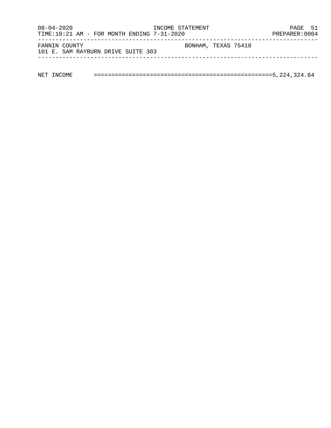| $08 - 04 - 2020$<br>TIME:10:21 AM - FOR MONTH ENDING $7-31-2020$ | INCOME STATEMENT    | PAGE 51<br>PREPARER: 0004 |
|------------------------------------------------------------------|---------------------|---------------------------|
| FANNIN COUNTY<br>101 E. SAM RAYBURN DRIVE SUITE 303              | BONHAM, TEXAS 75418 |                           |
|                                                                  |                     |                           |

| NET |  |  |  |  |  |
|-----|--|--|--|--|--|
|-----|--|--|--|--|--|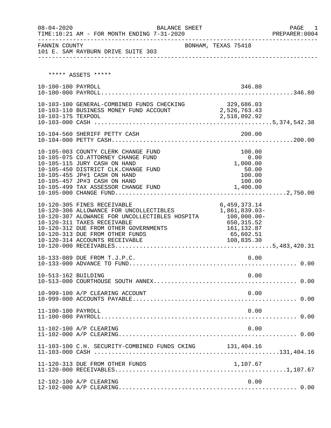| $08 - 04 - 2020$    | TIME:10:21 AM - FOR MONTH ENDING 7-31-2020                                                                                                                                                                                                                            | BALANCE SHEET |                                                                                                        | PAGE<br>1<br>PREPARER: 0004 |
|---------------------|-----------------------------------------------------------------------------------------------------------------------------------------------------------------------------------------------------------------------------------------------------------------------|---------------|--------------------------------------------------------------------------------------------------------|-----------------------------|
|                     | ---------<br>101 E. SAM RAYBURN DRIVE SUITE 303<br>----------------                                                                                                                                                                                                   |               |                                                                                                        |                             |
|                     | ***** ASSETS *****                                                                                                                                                                                                                                                    |               |                                                                                                        |                             |
| 10-100-100 PAYROLL  |                                                                                                                                                                                                                                                                       |               | 346.80                                                                                                 |                             |
| 10-103-175 TEXPOOL  | 10-103-100 GENERAL-COMBINED FUNDS CHECKING 329,686.03<br>10-103-110 BUSINESS MONEY FUND ACCOUNT 2,526,763.43                                                                                                                                                          |               | 2,518,092.92                                                                                           |                             |
|                     | 10-104-560 SHERIFF PETTY CASH                                                                                                                                                                                                                                         |               | 200.00                                                                                                 |                             |
|                     | 10-105-003 COUNTY CLERK CHANGE FUND<br>10-105-075 CO.ATTORNEY CHANGE FUND<br>10-105-115 JURY CASH ON HAND<br>10-105-450 DISTRICT CLK.CHANGE FUND<br>10-105-455 JP#1 CASH ON HAND<br>10-105-457 JP#3 CASH ON HAND<br>10-105-499 TAX ASSESSOR CHANGE FUND               |               | 100.00<br>0.00<br>1,000.00<br>50.00<br>100.00<br>100.00<br>1,400.00                                    |                             |
|                     | 10-120-305 FINES RECEIVABLE<br>10-120-306 ALLOWANCE FOR UNCOLLECTIBLES<br>10-120-307 ALOWANCE FOR UNCOLLECTIBLES HOSPITA<br>10-120-311 TAXES RECEIVABLE<br>10-120-312 DUE FROM OTHER GOVERNMENTS<br>10-120-313 DUE FROM OTHER FUNDS<br>10-120-314 ACCOUNTS RECEIVABLE |               | 6,459,373.14<br>1,861,839.03-<br>$100,000.00-$<br>650,315.52<br>161, 132.87<br>65,602.51<br>108,835.30 |                             |
|                     | 10-133-089 DUE FROM T.J.P.C.                                                                                                                                                                                                                                          |               | $\sim$ 0.00                                                                                            |                             |
| 10-513-162 BUILDING |                                                                                                                                                                                                                                                                       |               | 0.00                                                                                                   |                             |
|                     | 10-999-100 A/P CLEARING ACCOUNT                                                                                                                                                                                                                                       |               | 0.00                                                                                                   |                             |
| 11-100-100 PAYROLL  |                                                                                                                                                                                                                                                                       |               | 0.00                                                                                                   |                             |
|                     | 11-102-100 A/P CLEARING                                                                                                                                                                                                                                               |               | 0.00                                                                                                   |                             |
|                     | 11-103-100 C.H. SECURITY-COMBINED FUNDS CKING 131,404.16                                                                                                                                                                                                              |               |                                                                                                        |                             |
|                     | 11-120-313 DUE FROM OTHER FUNDS                                                                                                                                                                                                                                       |               | 1,107.67                                                                                               |                             |
|                     | 12-102-100 A/P CLEARING                                                                                                                                                                                                                                               |               | 0.00                                                                                                   |                             |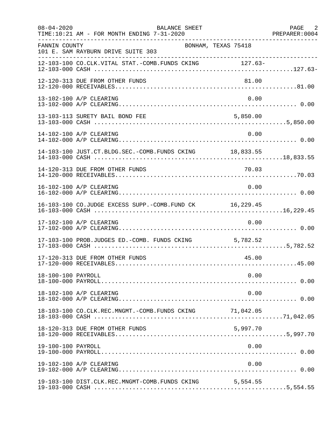| $08 - 04 - 2020$   | BALANCE SHEET<br>TIME:10:21 AM - FOR MONTH ENDING 7-31-2020 |          | PAGE 2<br>PREPARER: 0004 |
|--------------------|-------------------------------------------------------------|----------|--------------------------|
| FANNIN COUNTY      | BONHAM, TEXAS 75418<br>101 E. SAM RAYBURN DRIVE SUITE 303   |          |                          |
|                    | 12-103-100 CO.CLK.VITAL STAT.-COMB.FUNDS CKING 127.63-      |          |                          |
|                    | 12-120-313 DUE FROM OTHER FUNDS                             | 81.00    |                          |
|                    | 13-102-100 A/P CLEARING                                     | 0.00     |                          |
|                    | 13-103-113 SURETY BAIL BOND FEE                             | 5,850.00 |                          |
|                    | 14-102-100 A/P CLEARING                                     | 0.00     |                          |
|                    | 14-103-100 JUST.CT.BLDG.SEC.-COMB.FUNDS CKING 18,833.55     |          |                          |
|                    |                                                             |          |                          |
|                    | 16-102-100 A/P CLEARING                                     | 0.00     |                          |
|                    | 16-103-100 CO.JUDGE EXCESS SUPP.-COMB.FUND CK 16,229.45     |          |                          |
|                    | 17-102-100 A/P CLEARING                                     | 0.00     |                          |
|                    | 17-103-100 PROB.JUDGES ED.-COMB. FUNDS CKING 5,782.52       |          |                          |
|                    | 17-120-313 DUE FROM OTHER FUNDS                             | 45.00    |                          |
| 18-100-100 PAYROLL |                                                             | 0.00     |                          |
|                    | 18-102-100 A/P CLEARING                                     | 0.00     |                          |
|                    | 18-103-100 CO.CLK.REC.MNGMT.-COMB.FUNDS CKING 71,042.05     |          |                          |
|                    | 18-120-313 DUE FROM OTHER FUNDS                             | 5,997.70 |                          |
| 19-100-100 PAYROLL |                                                             | 0.00     |                          |
|                    | 19-102-100 A/P CLEARING                                     | 0.00     |                          |
|                    | 19-103-100 DIST.CLK.REC.MNGMT-COMB.FUNDS CKING 5,554.55     |          |                          |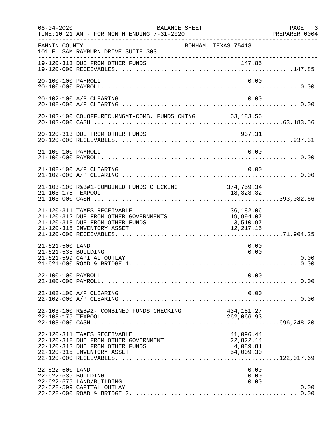| $08 - 04 - 2020$                       | BALANCE SHEET<br>TIME:10:21 AM - FOR MONTH ENDING 7-31-2020<br>--------------------------------------                                 |                                                 | PAGE 3<br>PREPARER: 0004 |
|----------------------------------------|---------------------------------------------------------------------------------------------------------------------------------------|-------------------------------------------------|--------------------------|
| FANNIN COUNTY                          | BONHAM, TEXAS 75418<br>101 E. SAM RAYBURN DRIVE SUITE 303                                                                             |                                                 |                          |
|                                        | 19-120-313 DUE FROM OTHER FUNDS                                                                                                       |                                                 |                          |
| 20-100-100 PAYROLL                     |                                                                                                                                       | 0.00                                            |                          |
|                                        | 20-102-100 A/P CLEARING                                                                                                               | 0.00                                            |                          |
|                                        | 20-103-100 CO.OFF.REC.MNGMT-COMB. FUNDS CKING 63,183.56                                                                               |                                                 |                          |
|                                        | 20-120-313 DUE FROM OTHER FUNDS                                                                                                       | 937.31                                          |                          |
| 21-100-100 PAYROLL                     |                                                                                                                                       | 0.00                                            |                          |
|                                        | 21-102-100 A/P CLEARING                                                                                                               | 0.00                                            |                          |
|                                        | 21-103-100 R&B#1-COMBINED FUNDS CHECKING                                                                                              | 374,759.34                                      |                          |
|                                        | 21-120-311 TAXES RECEIVABLE<br>21-120-312 DUE FROM OTHER GOVERNMENTS<br>21-120-313 DUE FROM OTHER FUNDS<br>21-120-315 INVENTORY ASSET | 36,182.06<br>19,994.07<br>3,510.97<br>12,217.15 |                          |
| 21-621-500 LAND<br>21-621-535 BUILDING | 21-621-599 CAPITAL OUTLAY                                                                                                             | 0.00<br>0.00                                    | 0.00                     |
| 22-100-100 PAYROLL                     |                                                                                                                                       | 0.00                                            |                          |
|                                        | 22-102-100 A/P CLEARING                                                                                                               | 0.00                                            |                          |
| 22-103-175 TEXPOOL                     | 22-103-100 R&B#2- COMBINED FUNDS CHECKING                                                                                             | 434,181.27<br>262,066.93                        |                          |
|                                        | 22-120-311 TAXES RECEIVABLE<br>22-120-312 DUE FROM OTHER GOVERNMENT<br>22-120-313 DUE FROM OTHER FUNDS<br>22-120-315 INVENTORY ASSET  | 41,096.44<br>22,822.14<br>4,089.81<br>54,009.30 |                          |
| 22-622-500 LAND<br>22-622-535 BUILDING | 22-622-575 LAND/BUILDING<br>22-622-599 CAPITAL OUTLAY                                                                                 | 0.00<br>0.00<br>0.00                            | 0.00                     |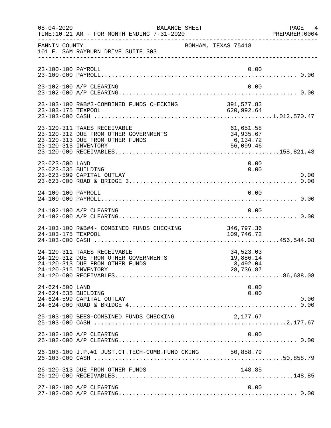| $08 - 04 - 2020$                       | BALANCE SHEET<br>TIME:10:21 AM - FOR MONTH ENDING 7-31-2020                                             |                                                 | PAGE 4<br>PREPARER:0004 |
|----------------------------------------|---------------------------------------------------------------------------------------------------------|-------------------------------------------------|-------------------------|
| FANNIN COUNTY                          | 101 E. SAM RAYBURN DRIVE SUITE 303                                                                      | BONHAM, TEXAS 75418                             |                         |
| 23-100-100 PAYROLL                     |                                                                                                         | 0.00                                            |                         |
|                                        | 23-102-100 A/P CLEARING                                                                                 | 0.00                                            |                         |
| 23-103-175 TEXPOOL                     | 23-103-100 R&B#3-COMBINED FUNDS CHECKING                                                                | 391, 577.83<br>620,992.64                       |                         |
| 23-120-315 INVENTORY                   | 23-120-311 TAXES RECEIVABLE<br>23-120-312 DUE FROM OTHER GOVERNMENTS<br>23-120-313 DUE FROM OTHER FUNDS | 61,651.58<br>34,935.67<br>6,134.72<br>56,099.46 |                         |
| 23-623-500 LAND<br>23-623-535 BUILDING | 23-623-599 CAPITAL OUTLAY                                                                               | 0.00<br>0.00                                    | 0.00                    |
| 24-100-100 PAYROLL                     |                                                                                                         | 0.00                                            |                         |
|                                        | 24-102-100 A/P CLEARING                                                                                 | 0.00                                            |                         |
| 24-103-175 TEXPOOL                     | 24-103-100 R&B#4- COMBINED FUNDS CHECKING                                                               | 346,797.36<br>109,746.72                        |                         |
| 24-120-315 INVENTORY                   | 24-120-311 TAXES RECEIVABLE<br>24-120-312 DUE FROM OTHER GOVERNMENTS<br>24-120-313 DUE FROM OTHER FUNDS | 34,523.03<br>19,886.14<br>3,492.04<br>28,736.87 |                         |
| 24-624-500 LAND<br>24-624-535 BUILDING | 24-624-599 CAPITAL OUTLAY                                                                               | 0.00<br>0.00                                    | 0.00                    |
|                                        | 25-103-100 BEES-COMBINED FUNDS CHECKING                                                                 | 2,177.67                                        |                         |
|                                        | 26-102-100 A/P CLEARING                                                                                 | 0.00                                            |                         |
|                                        | 26-103-100 J.P.#1 JUST.CT.TECH-COMB.FUND CKING 50,858.79                                                |                                                 |                         |
|                                        | 26-120-313 DUE FROM OTHER FUNDS                                                                         | 148.85                                          |                         |
|                                        | 27-102-100 A/P CLEARING                                                                                 | 0.00                                            |                         |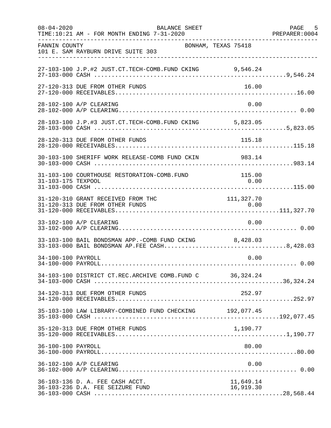| $08 - 04 - 2020$   | BALANCE SHEET<br>TIME:10:21 AM - FOR MONTH ENDING 7-31-2020                                            |                        | PAGE 5<br>PREPARER: 0004 |
|--------------------|--------------------------------------------------------------------------------------------------------|------------------------|--------------------------|
| FANNIN COUNTY      | BONHAM, TEXAS 75418<br>101 E. SAM RAYBURN DRIVE SUITE 303                                              |                        |                          |
|                    | 27-103-100 J.P.#2 JUST.CT.TECH-COMB.FUND CKING 9,546.24                                                |                        |                          |
|                    | 27-120-313 DUE FROM OTHER FUNDS                                                                        | 16.00                  |                          |
|                    | 28-102-100 A/P CLEARING                                                                                | 0.00                   |                          |
|                    | 28-103-100 J.P.#3 JUST.CT.TECH-COMB.FUND CKING 5,823.05                                                |                        |                          |
|                    | 28-120-313 DUE FROM OTHER FUNDS                                                                        | 115.18                 |                          |
|                    | 30-103-100 SHERIFF WORK RELEASE-COMB FUND CKIN 983.14                                                  |                        |                          |
| 31-103-175 TEXPOOL | 31-103-100 COURTHOUSE RESTORATION-COMB.FUND                                                            | 115.00<br>0.00         |                          |
|                    | 31-120-310 GRANT RECEIVED FROM THC                                                                     | 111, 327.70            |                          |
|                    | 33-102-100 A/P CLEARING                                                                                | 0.00                   |                          |
|                    | 33-103-100 BAIL BONDSMAN APP.-COMB FUND CKING 8,428.03<br>33-103-000 BAIL BONDSMAN AP.FEE CASH8,428.03 |                        |                          |
| 34-100-100 PAYROLL |                                                                                                        | 0.00                   |                          |
|                    | 34-103-100 DISTRICT CT.REC.ARCHIVE COMB.FUND C 36,324.24                                               |                        |                          |
|                    | 34-120-313 DUE FROM OTHER FUNDS                                                                        | 252.97                 |                          |
|                    | 35-103-100 LAW LIBRARY-COMBINED FUND CHECKING 192,077.45                                               |                        |                          |
|                    | 35-120-313 DUE FROM OTHER FUNDS                                                                        | 1,190.77               |                          |
| 36-100-100 PAYROLL |                                                                                                        | 80.00                  |                          |
|                    | 36-102-100 A/P CLEARING                                                                                | 0.00                   |                          |
|                    | 36-103-136 D. A. FEE CASH ACCT.<br>36-103-236 D.A. FEE SEIZURE FUND                                    | 11,649.14<br>16,919.30 |                          |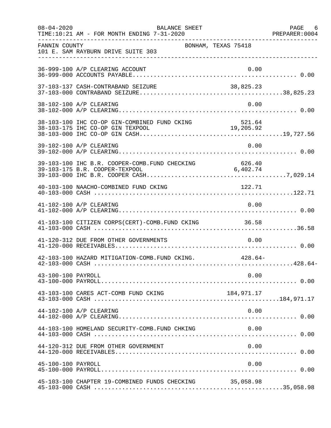| $08 - 04 - 2020$   | BALANCE SHEET<br>TIME:10:21 AM - FOR MONTH ENDING 7-31-2020 |        | PAGE 6 |
|--------------------|-------------------------------------------------------------|--------|--------|
| FANNIN COUNTY      | BONHAM, TEXAS 75418<br>101 E. SAM RAYBURN DRIVE SUITE 303   |        |        |
|                    | 36-999-100 A/P CLEARING ACCOUNT                             | 0.00   |        |
|                    |                                                             |        |        |
|                    | 38-102-100 A/P CLEARING                                     | 0.00   |        |
|                    |                                                             |        |        |
|                    | 39-102-100 A/P CLEARING                                     | 0.00   |        |
|                    |                                                             |        |        |
|                    | 40-103-100 NAACHO-COMBINED FUND CKING                       | 122.71 |        |
|                    | 41-102-100 A/P CLEARING                                     | 0.00   |        |
|                    | 41-103-100 CITIZEN CORPS(CERT)-COMB. FUND CKING 36.58       |        |        |
|                    | 41-120-312 DUE FROM OTHER GOVERNMENTS                       | 0.00   |        |
|                    | 42-103-100 HAZARD MITIGATION-COMB. FUND CKING. 428.64-      |        |        |
| 43-100-100 PAYROLL |                                                             | 0.00   |        |
|                    | 43-103-100 CARES ACT-COMB FUND CKING                        |        |        |
|                    | 44-102-100 A/P CLEARING                                     | 0.00   |        |
|                    | 44-103-100 HOMELAND SECURITY-COMB.FUND CHKING               | 0.00   |        |
|                    | 44-120-312 DUE FROM OTHER GOVERNMENT                        | 0.00   |        |
| 45-100-100 PAYROLL |                                                             | 0.00   |        |
|                    | 45-103-100 CHAPTER 19-COMBINED FUNDS CHECKING 35,058.98     |        |        |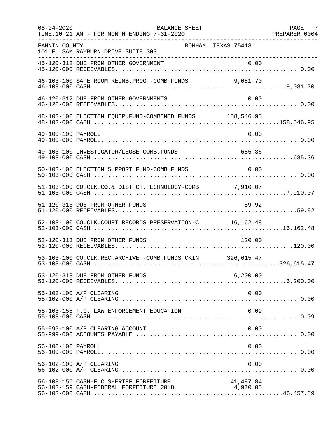| $08 - 04 - 2020$   | <b>BALANCE SHEET</b><br>TIME:10:21 AM - FOR MONTH ENDING 7-31-2020                |                       | PAGE<br>- 7<br>PREPARER: 0004 |
|--------------------|-----------------------------------------------------------------------------------|-----------------------|-------------------------------|
| FANNIN COUNTY      | BONHAM, TEXAS 75418<br>101 E. SAM RAYBURN DRIVE SUITE 303                         |                       |                               |
|                    |                                                                                   |                       |                               |
|                    | 46-103-100 SAFE ROOM REIMB. PROG. - COMB. FUNDS 9,081.70                          |                       |                               |
|                    | 46-120-312 DUE FROM OTHER GOVERNMENTS                                             | 0.00                  |                               |
|                    | 48-103-100 ELECTION EQUIP. FUND-COMBINED FUNDS 158,546.95                         |                       |                               |
| 49-100-100 PAYROLL |                                                                                   | 0.00                  |                               |
|                    | 49-103-100 INVESTIGATOR/LEOSE-COMB.FUNDS                                          | 685.36                |                               |
|                    | 50-103-100 ELECTION SUPPORT FUND-COMB.FUNDS                                       | 0.00                  |                               |
|                    | 51-103-100 CO.CLK.CO.& DIST.CT.TECHNOLOGY-COMB 7,910.07                           |                       |                               |
|                    | 51-120-313 DUE FROM OTHER FUNDS                                                   | 59.92                 |                               |
|                    | 52-103-100 CO.CLK.COURT RECORDS PRESERVATION-C 16,162.48                          |                       |                               |
|                    | 52-120-313 DUE FROM OTHER FUNDS                                                   | 120.00                |                               |
|                    | 53-103-100 CO.CLK.REC.ARCHIVE -COMB.FUNDS CKIN 326,615.47                         |                       |                               |
|                    | 53-120-313 DUE FROM OTHER FUNDS                                                   | 6, 200.00             |                               |
|                    | 55-102-100 A/P CLEARING                                                           | 0.00                  |                               |
|                    | 55-103-155 F.C. LAW ENFORCEMENT EDUCATION                                         | 0.09                  |                               |
|                    | 55-999-100 A/P CLEARING ACCOUNT                                                   | 0.00                  |                               |
| 56-100-100 PAYROLL |                                                                                   | 0.00                  |                               |
|                    | 56-102-100 A/P CLEARING                                                           | 0.00                  |                               |
|                    | 56-103-156 CASH-F C SHERIFF FORFEITURE<br>56-103-159 CASH-FEDERAL FORFEITURE 2018 | 41,487.84<br>4,970.05 |                               |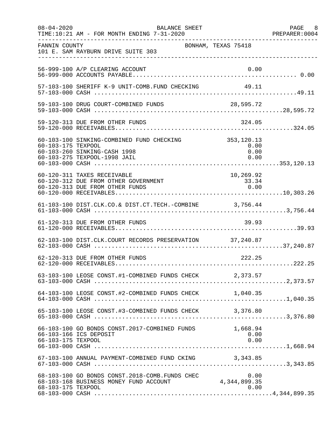| $08 - 04 - 2020$   | BALANCE SHEET<br>TIME:10:21 AM - FOR MONTH ENDING 7-31-2020                                               |                                     | PAGE 8<br>PREPARER:0004 |
|--------------------|-----------------------------------------------------------------------------------------------------------|-------------------------------------|-------------------------|
| FANNIN COUNTY      | BONHAM, TEXAS 75418<br>101 E. SAM RAYBURN DRIVE SUITE 303                                                 |                                     |                         |
|                    | 56-999-100 A/P CLEARING ACCOUNT                                                                           | 0.00                                |                         |
|                    | 57-103-100 SHERIFF K-9 UNIT-COMB.FUND CHECKING 49.11                                                      |                                     |                         |
|                    | 59-103-100 DRUG COURT-COMBINED FUNDS 28,595.72                                                            |                                     |                         |
|                    | 59-120-313 DUE FROM OTHER FUNDS                                                                           | 324.05                              |                         |
| 60-103-175 TEXPOOL | 60-103-100 SINKING-COMBINED FUND CHECKING<br>60-103-260 SINKING-CASH 1998<br>60-103-275 TEXPOOL-1998 JAIL | 353, 120.13<br>0.00<br>0.00<br>0.00 |                         |
|                    | 60-120-311 TAXES RECEIVABLE<br>60-120-312 DUE FROM OTHER GOVERNMENT<br>60-120-313 DUE FROM OTHER FUNDS    | 10, 269.92<br>33.34<br>0.00         |                         |
|                    | 61-103-100 DIST.CLK.CO.& DIST.CT.TECH.-COMBINE 3,756.44                                                   |                                     |                         |
|                    | 61-120-313 DUE FROM OTHER FUNDS                                                                           | 39.93                               |                         |
|                    | 62-103-100 DIST.CLK.COURT RECORDS PRESERVATION 37,240.87                                                  |                                     |                         |
|                    | 62-120-313 DUE FROM OTHER FUNDS                                                                           | 222.25                              |                         |
|                    | 63-103-100 LEOSE CONST.#1-COMBINED FUNDS CHECK 2,373.57                                                   |                                     |                         |
|                    |                                                                                                           |                                     |                         |
|                    | 65-103-100 LEOSE CONST.#3-COMBINED FUNDS CHECK 3,376.80                                                   |                                     |                         |
| 66-103-175 TEXPOOL | 66-103-100 GO BONDS CONST.2017-COMBINED FUNDS<br>66-103-166 ICS DEPOSIT                                   | 1,668.94<br>0.00<br>0.00            |                         |
|                    | 67-103-100 ANNUAL PAYMENT-COMBINED FUND CKING 3,343.85                                                    |                                     |                         |
| 68-103-175 TEXPOOL | 68-103-100 GO BONDS CONST. 2018-COMB. FUNDS CHEC<br>68-103-168 BUSINESS MONEY FUND ACCOUNT                | 0.00<br>4,344,899.35<br>0.00        |                         |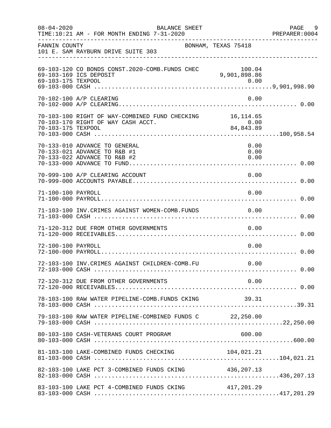| $08 - 04 - 2020$   | BALANCE SHEET<br>TIME:10:21 AM - FOR MONTH ENDING 7-31-2020                                     |                                  | PAGE 9<br>PREPARER:0004 |
|--------------------|-------------------------------------------------------------------------------------------------|----------------------------------|-------------------------|
| FANNIN COUNTY      | 101 E. SAM RAYBURN DRIVE SUITE 303<br>____________________________________                      | BONHAM, TEXAS 75418              |                         |
| 69-103-175 TEXPOOL | 69-103-120 CO BONDS CONST. 2020-COMB. FUNDS CHEC<br>69-103-169 ICS DEPOSIT                      | 100.04<br>100.04<br>9,901,898.86 |                         |
|                    | 70-102-100 A/P CLEARING                                                                         | 0.00                             |                         |
| 70-103-175 TEXPOOL | 70-103-100 RIGHT OF WAY-COMBINED FUND CHECKING 16, 114.65<br>70-103-170 RIGHT OF WAY CASH ACCT. | 0.00<br>84,843.89                |                         |
|                    | 70-133-010 ADVANCE TO GENERAL<br>70-133-021 ADVANCE TO R&B #1<br>70-133-022 ADVANCE TO R&B #2   | 0.00<br>0.00<br>0.00             |                         |
|                    | 70-999-100 A/P CLEARING ACCOUNT                                                                 | 0.00                             |                         |
| 71-100-100 PAYROLL |                                                                                                 | 0.00                             |                         |
|                    | 71-103-100 INV. CRIMES AGAINST WOMEN-COMB. FUNDS                                                | 0.00                             |                         |
|                    | 71-120-312 DUE FROM OTHER GOVERNMENTS                                                           | 0.00                             |                         |
| 72-100-100 PAYROLL |                                                                                                 | 0.00                             |                         |
|                    | 72-103-100 INV.CRIMES AGAINST CHILDREN-COMB.FU                                                  | 0.00                             |                         |
|                    | 72-120-312 DUE FROM OTHER GOVERNMENTS                                                           | 0.00                             |                         |
|                    | 78-103-100 RAW WATER PIPELINE-COMB.FUNDS CKING                                                  | 39.31                            |                         |
|                    | 79-103-100 RAW WATER PIPELINE-COMBINED FUNDS C 22,250.00                                        |                                  |                         |
|                    | 80-103-180 CASH-VETERANS COURT PROGRAM                                                          | 600.00                           |                         |
|                    |                                                                                                 |                                  |                         |
|                    | 82-103-100 LAKE PCT 3-COMBINED FUNDS CKING 436,207.13                                           |                                  |                         |
|                    | 83-103-100 LAKE PCT 4-COMBINED FUNDS CKING                                                      | 417,201.29                       |                         |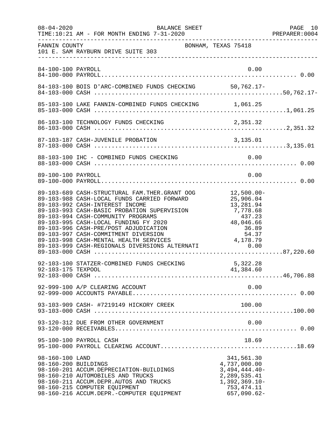| $08 - 04 - 2020$                        | BALANCE SHEET<br>TIME:10:21 AM - FOR MONTH ENDING 7-31-2020                                                                                                                                                                                                                                                                                                                                                                                     |                                                                                                                                                  | PAGE 10<br>PREPARER:0004 |
|-----------------------------------------|-------------------------------------------------------------------------------------------------------------------------------------------------------------------------------------------------------------------------------------------------------------------------------------------------------------------------------------------------------------------------------------------------------------------------------------------------|--------------------------------------------------------------------------------------------------------------------------------------------------|--------------------------|
| FANNIN COUNTY                           | 101 E. SAM RAYBURN DRIVE SUITE 303                                                                                                                                                                                                                                                                                                                                                                                                              | BONHAM, TEXAS 75418                                                                                                                              |                          |
| 84-100-100 PAYROLL                      |                                                                                                                                                                                                                                                                                                                                                                                                                                                 | 0.00                                                                                                                                             |                          |
|                                         | 84-103-100 BOIS D'ARC-COMBINED FUNDS CHECKING 50,762.17-                                                                                                                                                                                                                                                                                                                                                                                        |                                                                                                                                                  |                          |
|                                         |                                                                                                                                                                                                                                                                                                                                                                                                                                                 |                                                                                                                                                  |                          |
|                                         |                                                                                                                                                                                                                                                                                                                                                                                                                                                 |                                                                                                                                                  |                          |
|                                         |                                                                                                                                                                                                                                                                                                                                                                                                                                                 |                                                                                                                                                  |                          |
|                                         | 88-103-100 IHC - COMBINED FUNDS CHECKING                                                                                                                                                                                                                                                                                                                                                                                                        | 0.00                                                                                                                                             |                          |
| 89-100-100 PAYROLL                      |                                                                                                                                                                                                                                                                                                                                                                                                                                                 | 0.00                                                                                                                                             |                          |
|                                         | 89-103-689 CASH-STRUCTURAL FAM.THER.GRANT OOG<br>89-103-988 CASH-LOCAL FUNDS CARRIED FORWARD<br>89-103-992 CASH-INTEREST INCOME<br>89-103-993 CASH-BASIC PROBATION SUPERVISION<br>89-103-994 CASH-COMMUNITY PROGRAMS<br>89-103-995 CASH-LOCAL FUNDING FY 2020<br>89-103-996 CASH-PRE/POST ADJUDICATION<br>89-103-997 CASH-COMMITMENT DIVERSION<br>89-103-998 CASH-MENTAL HEALTH SERVICES<br>89-103-999 CASH-REGIONALS DIVERSIONS ALTERNATI 0.00 | $12,500.00-$<br>25,906.04<br>13,281.94<br>7,778.68<br>437.23<br>$\begin{array}{r} 137.23 \\ 48,046.66 \\ 36.89 \\ 54.37 \\ 4,178.79 \end{array}$ |                          |
| 92-103-175 TEXPOOL                      | 92-103-100 STATZER-COMBINED FUNDS CHECKING                                                                                                                                                                                                                                                                                                                                                                                                      | 5,322.28<br>41,384.60                                                                                                                            |                          |
|                                         | 92-999-100 A/P CLEARING ACCOUNT                                                                                                                                                                                                                                                                                                                                                                                                                 | 0.00                                                                                                                                             |                          |
|                                         | 93-103-909 CASH- #7219149 HICKORY CREEK                                                                                                                                                                                                                                                                                                                                                                                                         | 100.00                                                                                                                                           |                          |
|                                         | 93-120-312 DUE FROM OTHER GOVERNMENT                                                                                                                                                                                                                                                                                                                                                                                                            | 0.00                                                                                                                                             |                          |
|                                         | 95-100-100 PAYROLL CASH                                                                                                                                                                                                                                                                                                                                                                                                                         | 18.69                                                                                                                                            |                          |
| 98-160-100 LAND<br>98-160-200 BUILDINGS | 98-160-201 ACCUM.DEPRECIATION-BUILDINGS<br>98-160-210 AUTOMOBILES AND TRUCKS<br>98-160-211 ACCUM.DEPR.AUTOS AND TRUCKS<br>98-160-215 COMPUTER EQUIPMENT<br>98-160-216 ACCUM.DEPR.-COMPUTER EQUIPMENT                                                                                                                                                                                                                                            | 341,561.30<br>4,737,000.00<br>$3,494,444.40-$<br>2,289,535.41<br>$1,392,369.10-$<br>753, 474.11<br>$657,090.62-$                                 |                          |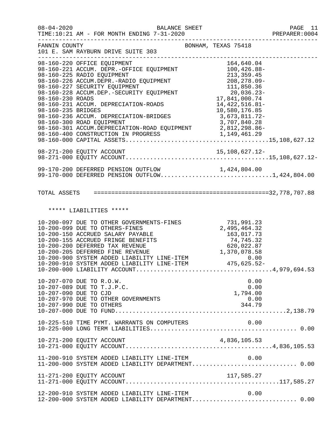| $08 - 04 - 2020$   | BALANCE SHEET<br>TIME:10:21 AM - FOR MONTH ENDING 7-31-2020                                                                                                                                                                                                                                                                                                                                                                                                                                           |                                                             | PAGE 11<br>PREPARER: 0004 |
|--------------------|-------------------------------------------------------------------------------------------------------------------------------------------------------------------------------------------------------------------------------------------------------------------------------------------------------------------------------------------------------------------------------------------------------------------------------------------------------------------------------------------------------|-------------------------------------------------------------|---------------------------|
| FANNIN COUNTY      | 101 E. SAM RAYBURN DRIVE SUITE 303<br>___________________________________                                                                                                                                                                                                                                                                                                                                                                                                                             | ------------------------------------<br>BONHAM, TEXAS 75418 |                           |
| 98-160-235 BRIDGES | 98-160-220 OFFICE EQUIPMENT<br>98-160-221 ACCUM. DEPR.-OFFICE EQUIPMENT<br>98-160-225 RADIO EQUIPMENT<br>98-160-226 ACCUM.DEPR.-RADIO EQUIPMENT<br>98-160-226 ACCUM.DEPR.-RADIO EQUIPMENT<br>208,278.09-278.09-<br>98-160-226 ACCUM.DEPR.-RADIO EQUIFFENT<br>98-160-227 SECURITY EQUIPMENT<br>98-160-228 ACCUM.DEP.-SECURITY EQUIPMENT<br>17,841,000.74<br>17,841,000.74<br>98-160-231 ACCUM. DEPRECIATION-ROADS<br>98-160-236 ACCUM. DEPRECIATION-BRIDGES 3,673,811.72-<br>98-160-300 ROAD EQUIPMENT | 14, 422, 516.81-<br>10,580,176.85<br>3,707,840.28           |                           |
|                    |                                                                                                                                                                                                                                                                                                                                                                                                                                                                                                       |                                                             |                           |
|                    | 99-170-200 DEFERRED PENSION OUTFLOW 1,424,804.00<br>99-170-000 DEFERRED PENSION OUTFLOW1,424,804.00                                                                                                                                                                                                                                                                                                                                                                                                   |                                                             |                           |
|                    |                                                                                                                                                                                                                                                                                                                                                                                                                                                                                                       |                                                             |                           |
|                    | ***** LIABILITIES *****                                                                                                                                                                                                                                                                                                                                                                                                                                                                               |                                                             |                           |
|                    | 10-200-097 DUE TO OTHER GOVERNMENTS-FINES 731,991.23<br>10-200-099 DUE TO OTHERS-FINES 2,495,464.32<br>10-200-150 ACCRUED SALARY PAYABLE 163,017.73<br>10-200-155 ACCRUED FRINGE BENEFITS 74,745.32<br>10-200-200 DEFERRED TAX REVENUE                                                                                                                                                                                                                                                                |                                                             |                           |
|                    | 10-207-070 DUE TO R.O.W.<br>10-207-089 DUE TO T.J.P.C.<br>10-207-090 DUE TO CJD<br>10-207-970 DUE TO OTHER GOVERNMENTS<br>10-207-990 DUE TO OTHERS                                                                                                                                                                                                                                                                                                                                                    | 0.00<br>0.00<br>1,794.00<br>0.00<br>344.79                  |                           |
|                    | 10-225-510 TIME PYMT. WARRANTS ON COMPUTERS                                                                                                                                                                                                                                                                                                                                                                                                                                                           | 0.00                                                        |                           |
|                    |                                                                                                                                                                                                                                                                                                                                                                                                                                                                                                       |                                                             |                           |
|                    | 11-200-910 SYSTEM ADDED LIABILITY LINE-ITEM                                                                                                                                                                                                                                                                                                                                                                                                                                                           | 0.00                                                        |                           |
|                    | 11-271-200 EQUITY ACCOUNT                                                                                                                                                                                                                                                                                                                                                                                                                                                                             | 117,585.27                                                  |                           |
|                    | 12-200-910 SYSTEM ADDED LIABILITY LINE-ITEM<br>12-200-000 SYSTEM ADDED LIABILITY DEPARTMENT 0.00                                                                                                                                                                                                                                                                                                                                                                                                      | 0.00                                                        |                           |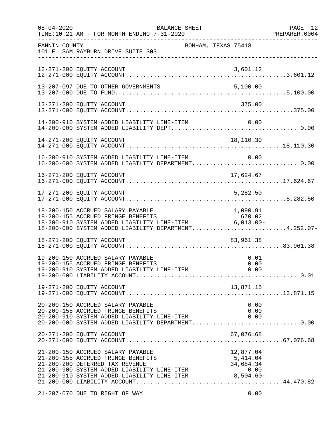| $08 - 04 - 2020$ | BALANCE SHEET<br>TIME:10:21 AM - FOR MONTH ENDING 7-31-2020                                                                                                                                                                                    |                                            | PAGE 12<br>PREPARER:0004 |
|------------------|------------------------------------------------------------------------------------------------------------------------------------------------------------------------------------------------------------------------------------------------|--------------------------------------------|--------------------------|
| FANNIN COUNTY    | BONHAM, TEXAS 75418<br>101 E. SAM RAYBURN DRIVE SUITE 303                                                                                                                                                                                      |                                            |                          |
|                  | 12-271-200 EQUITY ACCOUNT                                                                                                                                                                                                                      | 3,601.12                                   |                          |
|                  | 13-207-097 DUE TO OTHER GOVERNMENTS                                                                                                                                                                                                            | 5,100.00                                   |                          |
|                  | 13-271-200 EQUITY ACCOUNT                                                                                                                                                                                                                      | 375.00                                     |                          |
|                  | 14-200-910 SYSTEM ADDED LIABILITY LINE-ITEM                                                                                                                                                                                                    | 0.00                                       |                          |
|                  | 14-271-200 EQUITY ACCOUNT                                                                                                                                                                                                                      | 18,110.30                                  |                          |
|                  | 16-200-910 SYSTEM ADDED LIABILITY LINE-ITEM<br>16-200-000 SYSTEM ADDED LIABILITY DEPARTMENT 0.00                                                                                                                                               | 0.00                                       |                          |
|                  | 16-271-200 EQUITY ACCOUNT                                                                                                                                                                                                                      | 17,624.67                                  |                          |
|                  | 17-271-200 EQUITY ACCOUNT                                                                                                                                                                                                                      | 5,282.50                                   |                          |
|                  | 18-200-150 ACCRUED SALARY PAYABLE<br>18-200-155 ACCRUED FRINGE BENEFITS<br>b/u.oz/ b/u.oz/ BENEFITS/ b/u.oz/ b/u.oz/ b/u.oz/<br>18-200-910 SYSTEM ADDED LIABILITY LINE-ITEM 6,013.00-<br>18-200-000 SYSTEM ADDED LIABILITY DEPARTMENT4,252.07- | 1,090.91<br>670.02                         |                          |
|                  | 18-271-200 EQUITY ACCOUNT                                                                                                                                                                                                                      | 83,961.38                                  |                          |
|                  | 19-200-150 ACCRUED SALARY PAYABLE<br>19-200-155 ACCRUED FRINGE BENEFITS                                                                                                                                                                        | 0.01<br>0.00                               |                          |
|                  | 19-271-200 EQUITY ACCOUNT                                                                                                                                                                                                                      | 13,871.15                                  |                          |
|                  | 20-200-150 ACCRUED SALARY PAYABLE<br>20-200-155 ACCRUED FRINGE BENEFITS<br>20-200-910 SYSTEM ADDED LIABILITY LINE-ITEM<br>20-200-000 SYSTEM ADDED LIABILITY DEPARTMENT 0.00                                                                    | 0.00<br>0.00<br>0.00                       |                          |
|                  | 20-271-200 EQUITY ACCOUNT                                                                                                                                                                                                                      | 67,076.68                                  |                          |
|                  | 21-200-150 ACCRUED SALARY PAYABLE<br>21-200-155 ACCRUED FRINGE BENEFITS<br>21-200-200 DEFERRED TAX REVENUE<br>21-200-900 SYSTEM ADDED LIABILITY LINE-ITEM<br>21-200-910 SYSTEM ADDED LIABILITY LINE-ITEM 8,504.60-                             | 12,877.04<br>5,414.04<br>34,684.34<br>0.00 |                          |
|                  | 21-207-070 DUE TO RIGHT OF WAY                                                                                                                                                                                                                 | 0.00                                       |                          |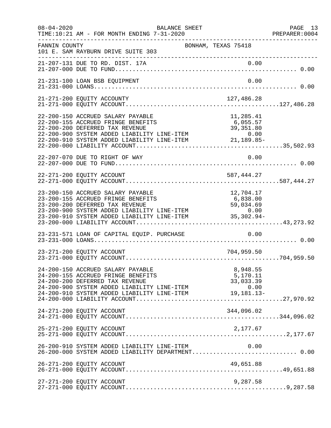| $08 - 04 - 2020$ | BALANCE SHEET<br>TIME:10:21 AM - FOR MONTH ENDING 7-31-2020                                                                                                                                                                                                                                                       |                                     | PAGE 13<br>PREPARER: 0004<br>---------------------- |
|------------------|-------------------------------------------------------------------------------------------------------------------------------------------------------------------------------------------------------------------------------------------------------------------------------------------------------------------|-------------------------------------|-----------------------------------------------------|
| FANNIN COUNTY    | BONHAM, TEXAS 75418<br>101 E. SAM RAYBURN DRIVE SUITE 303                                                                                                                                                                                                                                                         |                                     |                                                     |
|                  |                                                                                                                                                                                                                                                                                                                   |                                     |                                                     |
|                  | 21-231-100 LOAN BSB EQUIPMENT                                                                                                                                                                                                                                                                                     | 0.00                                |                                                     |
|                  | 21-271-200 EQUITY ACCOUNTY                                                                                                                                                                                                                                                                                        | 127,486.28                          |                                                     |
|                  | 22-200-150 ACCRUED SALARY PAYABLE<br>22-200-155 ACCRUED FRINGE BENEFITS<br>22-200-200 DEFERRED TAX REVENUE<br>22-200-900 SYSTEM ADDED LIABILITY LINE-ITEM 0.00<br>22-200-910 SYSTEM ADDED LIABILITY LINE-ITEM 21,189.85-                                                                                          | 11,285.41<br>6,055.57<br>39, 351.80 |                                                     |
|                  |                                                                                                                                                                                                                                                                                                                   |                                     |                                                     |
|                  | 22-271-200 EQUITY ACCOUNT                                                                                                                                                                                                                                                                                         | 587,444.27                          |                                                     |
|                  | 23-200-150 ACCRUED SALARY PAYABLE<br>23-200-155 ACCRUED FRINGE BENEFITS<br>23-200-200 DEFERRED TAX REVENUE<br>23-200-900 SYSTEM ADDED LIABILITY LINE-ITEM 0.00<br>23-200-910 SYSTEM ADDED LIABILITY LINE-ITEM 0.00<br>23-200-910 SYSTEM ADDED LIABILITY LINE-ITEM 35,302.94-                                      | 12,704.17<br>6,838.00<br>59,034.69  |                                                     |
|                  | 23-231-571 LOAN OF CAPITAL EQUIP. PURCHASE                                                                                                                                                                                                                                                                        | 0.00                                |                                                     |
|                  | 23-271-200 EQUITY ACCOUNT                                                                                                                                                                                                                                                                                         | 704,959.50                          |                                                     |
|                  | 24-200-150 ACCRUED SALARY PAYABLE<br>24-200-155 ACCRUED FRINGE BENEFITS<br>24-200-155 ACCRUED FRINGE BENEFITS 5,170.11<br>24-200-200 DEFERRED TAX REVENUE 33,033.39<br>24-200-900 SYSTEM ADDED LIABILITY LINE-ITEM 0.00<br>24-200-910 SYSTEM ADDED LIABILITY LINE-ITEM 19,181.13-<br>24-200-000 LIABILITY ACCOUNT | 8,948.55<br>5,170.11                |                                                     |
|                  | 24-271-200 EQUITY ACCOUNT                                                                                                                                                                                                                                                                                         | 344,096.02                          |                                                     |
|                  | 25-271-200 EQUITY ACCOUNT                                                                                                                                                                                                                                                                                         | 2,177.67                            |                                                     |
|                  | 26-200-910 SYSTEM ADDED LIABILITY LINE-ITEM<br>26-200-000 SYSTEM ADDED LIABILITY DEPARTMENT 0.00                                                                                                                                                                                                                  | 0.00                                |                                                     |
|                  | 26-271-200 EQUITY ACCOUNT                                                                                                                                                                                                                                                                                         | 49,651.88                           |                                                     |
|                  | 27-271-200 EQUITY ACCOUNT                                                                                                                                                                                                                                                                                         | 9,287.58                            |                                                     |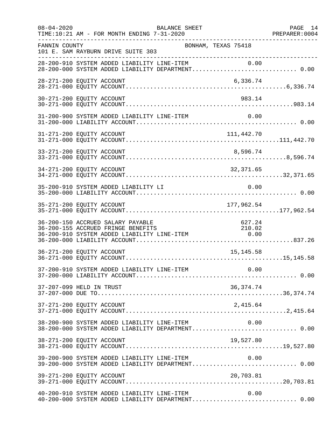| $08 - 04 - 2020$<br><b>BALANCE SHEET</b><br>TIME:10:21 AM - FOR MONTH ENDING 7-31-2020                                                                                   | PAGE 14<br>PAGE 14<br>PREPARER:0004<br>----------------- |
|--------------------------------------------------------------------------------------------------------------------------------------------------------------------------|----------------------------------------------------------|
| FANNIN COUNTY<br>101 E. SAM RAYBURN DRIVE SUITE 303                                                                                                                      | BONHAM, TEXAS 75418                                      |
| 28-200-910 SYSTEM ADDED LIABILITY LINE-ITEM 0.00<br>28-200-000 SYSTEM ADDED LIABILITY DEPARTMENT 0.00                                                                    |                                                          |
| 28-271-200 EQUITY ACCOUNT                                                                                                                                                | 6,336.74                                                 |
| 30-271-200 EQUITY ACCOUNT                                                                                                                                                | 983.14                                                   |
| 31-200-900 SYSTEM ADDED LIABILITY LINE-ITEM                                                                                                                              | 0.00                                                     |
| 31-271-200 EQUITY ACCOUNT                                                                                                                                                | 111,442.70                                               |
| 33-271-200 EQUITY ACCOUNT                                                                                                                                                | 8,596.74                                                 |
| 34-271-200 EQUITY ACCOUNT                                                                                                                                                | 32,371.65                                                |
| 35-200-910 SYSTEM ADDED LIABILITY LI                                                                                                                                     | 0.00                                                     |
|                                                                                                                                                                          |                                                          |
| 36-200-150 ACCRUED SALARY PAYABLE<br>36-200-155 ACCRUED FRINGE BENEFITS<br>210.02/36-200-155 ACCRUED FRINGE BENEFITS<br>36-200-910 SYSTEM ADDED LIABILITY LINE-ITEM 6.00 | 627.24<br>210.02                                         |
| 36-271-200 EQUITY ACCOUNT                                                                                                                                                | 15, 145.58                                               |
|                                                                                                                                                                          |                                                          |
| 37-207-099 HELD IN TRUST                                                                                                                                                 | 36, 374.74                                               |
| 37-271-200 EQUITY ACCOUNT                                                                                                                                                |                                                          |
| 38-200-900 SYSTEM ADDED LIABILITY LINE-ITEM<br>38-200-000 SYSTEM ADDED LIABILITY DEPARTMENT 0.00                                                                         | 0.00                                                     |
| 38-271-200 EQUITY ACCOUNT                                                                                                                                                | 19,527.80                                                |
| 39-200-900 SYSTEM ADDED LIABILITY LINE-ITEM 0.00<br>39-200-000 SYSTEM ADDED LIABILITY DEPARTMENT 0.00                                                                    |                                                          |
| 39-271-200 EQUITY ACCOUNT                                                                                                                                                | 20,703.81                                                |
| 40-200-910 SYSTEM ADDED LIABILITY LINE-ITEM<br>40-200-000 SYSTEM ADDED LIABILITY DEPARTMENT 0.00                                                                         | 0.00                                                     |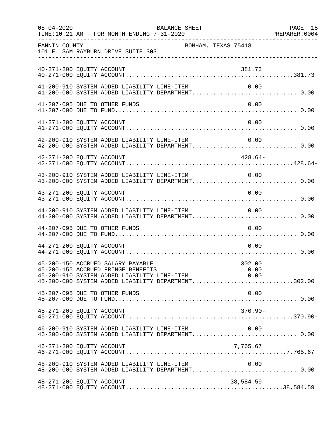| $08 - 04 - 2020$          | BALANCE SHEET<br>TIME:10:21 AM - FOR MONTH ENDING 7-31-2020                                                                                                                       |                | PAGE 15 |
|---------------------------|-----------------------------------------------------------------------------------------------------------------------------------------------------------------------------------|----------------|---------|
| FANNIN COUNTY             | BONHAM, TEXAS 75418<br>101 E. SAM RAYBURN DRIVE SUITE 303<br>----------------------------------                                                                                   |                |         |
| 40-271-200 EQUITY ACCOUNT |                                                                                                                                                                                   | 381.73         |         |
|                           | 41-200-910 SYSTEM ADDED LIABILITY LINE-ITEM<br>41-200-000 SYSTEM ADDED LIABILITY DEPARTMENT 0.00                                                                                  | 0.00           |         |
|                           | 41-207-095 DUE TO OTHER FUNDS                                                                                                                                                     | 0.00           |         |
| 41-271-200 EQUITY ACCOUNT |                                                                                                                                                                                   | 0.00           |         |
|                           | 42-200-910 SYSTEM ADDED LIABILITY LINE-ITEM<br>42-200-000 SYSTEM ADDED LIABILITY DEPARTMENT 0.00                                                                                  | 0.00           |         |
| 42-271-200 EQUITY ACCOUNT |                                                                                                                                                                                   | 428.64-        |         |
|                           | 43-200-910 SYSTEM ADDED LIABILITY LINE-ITEM<br>43-200-000 SYSTEM ADDED LIABILITY DEPARTMENT 0.00                                                                                  | 0.00           |         |
| 43-271-200 EQUITY ACCOUNT |                                                                                                                                                                                   | 0.00           |         |
|                           | 44-200-910 SYSTEM ADDED LIABILITY LINE-ITEM                                                                                                                                       | 0.00           |         |
|                           | 44-207-095 DUE TO OTHER FUNDS                                                                                                                                                     | 0.00           |         |
| 44-271-200 EQUITY ACCOUNT |                                                                                                                                                                                   | 0.00           |         |
|                           | 45-200-150 ACCRUED SALARY PAYABLE<br>45-200-155 ACCRUED FRINGE BENEFITS<br>45-200-910 SYSTEM ADDED LIABILITY LINE-ITEM 0.00<br>45-200-000 SYSTEM ADDED LIABILITY DEPARTMENT302.00 | 302.00<br>0.00 |         |
|                           | 45-207-095 DUE TO OTHER FUNDS                                                                                                                                                     | 0.00           |         |
| 45-271-200 EQUITY ACCOUNT |                                                                                                                                                                                   | 370.90-        |         |
|                           | 46-200-910 SYSTEM ADDED LIABILITY LINE-ITEM<br>46-200-000 SYSTEM ADDED LIABILITY DEPARTMENT 0.00                                                                                  | 0.00           |         |
| 46-271-200 EQUITY ACCOUNT |                                                                                                                                                                                   | 7,765.67       |         |
|                           | 48-200-910 SYSTEM ADDED LIABILITY LINE-ITEM                                                                                                                                       | 0.00           |         |
| 48-271-200 EQUITY ACCOUNT |                                                                                                                                                                                   | 38,584.59      |         |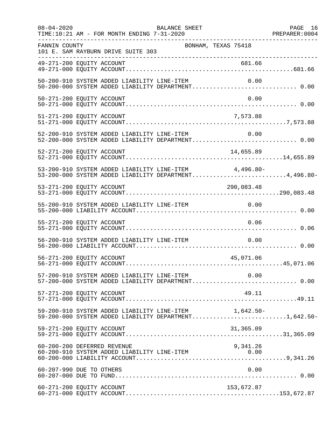| $08 - 04 - 2020$ | BALANCE SHEET<br>TIME:10:21 AM - FOR MONTH ENDING 7-31-2020                                                    | PAGE 16 |
|------------------|----------------------------------------------------------------------------------------------------------------|---------|
| FANNIN COUNTY    | BONHAM, TEXAS 75418<br>101 E. SAM RAYBURN DRIVE SUITE 303<br>------------------------------------              |         |
|                  |                                                                                                                |         |
|                  | 50-200-910 SYSTEM ADDED LIABILITY LINE-ITEM<br>0.00                                                            |         |
|                  | 50-271-200 EQUITY ACCOUNT<br>0.00                                                                              |         |
|                  | 51-271-200 EQUITY ACCOUNT<br>7,573.88                                                                          |         |
|                  | 52-200-910 SYSTEM ADDED LIABILITY LINE-ITEM $0.00$<br>52-200-000 SYSTEM ADDED LIABILITY DEPARTMENT0.00         |         |
|                  | 52-271-200 EQUITY ACCOUNT<br>14,655.89                                                                         |         |
|                  | 53-200-910 SYSTEM ADDED LIABILITY LINE-ITEM 4,496.80-<br>53-200-000 SYSTEM ADDED LIABILITY DEPARTMENT4,496.80- |         |
|                  | 290,083.48<br>53-271-200 EQUITY ACCOUNT                                                                        |         |
|                  |                                                                                                                |         |
|                  | 55-271-200 EQUITY ACCOUNT<br>0.06                                                                              |         |
|                  | 56-200-910 SYSTEM ADDED LIABILITY LINE-ITEM<br>0.00                                                            |         |
|                  | 56-271-200 EQUITY ACCOUNT<br>45,071.06                                                                         |         |
|                  | 57-200-910 SYSTEM ADDED LIABILITY LINE-ITEM 0.00<br>57-200-000 SYSTEM ADDED LIABILITY DEPARTMENT 0.00          |         |
|                  | 57-271-200 EQUITY ACCOUNT<br>49.11                                                                             |         |
|                  | 59-200-910 SYSTEM ADDED LIABILITY LINE-ITEM 1,642.50-<br>59-200-000 SYSTEM ADDED LIABILITY DEPARTMENT1,642.50- |         |
|                  | 59-271-200 EQUITY ACCOUNT<br>31,365.09                                                                         |         |
|                  | 60-200-200 DEFERRED REVENUE<br>9,341.26                                                                        |         |
|                  | 60-207-990 DUE TO OTHERS<br>0.00                                                                               |         |
|                  | 60-271-200 EQUITY ACCOUNT<br>153,672.87                                                                        |         |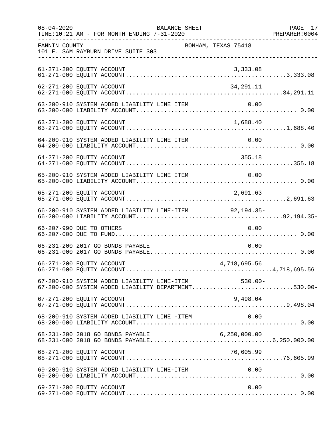| $08 - 04 - 2020$ | TIME:10:21 AM - FOR MONTH ENDING 7-31-2020                                                                 | BALANCE SHEET       |              | PAGE 17 |
|------------------|------------------------------------------------------------------------------------------------------------|---------------------|--------------|---------|
| FANNIN COUNTY    | 101 E. SAM RAYBURN DRIVE SUITE 303                                                                         | BONHAM, TEXAS 75418 |              |         |
|                  | 61-271-200 EQUITY ACCOUNT                                                                                  |                     |              |         |
|                  | 62-271-200 EQUITY ACCOUNT                                                                                  |                     | 34,291.11    |         |
|                  | 63-200-910 SYSTEM ADDED LIABILITY LINE ITEM                                                                |                     | 0.00         |         |
|                  | 63-271-200 EQUITY ACCOUNT                                                                                  |                     | 1,688.40     |         |
|                  | 64-200-910 SYSTEM ADDED LIABILITY LINE ITEM                                                                |                     | 0.00         |         |
|                  | 64-271-200 EQUITY ACCOUNT                                                                                  |                     | 355.18       |         |
|                  | 65-200-910 SYSTEM ADDED LIABILITY LINE ITEM                                                                |                     | 0.00         |         |
|                  | 65-271-200 EQUITY ACCOUNT                                                                                  |                     | 2,691.63     |         |
|                  | 66-200-910 SYSTEM ADDED LIABILITY LINE-ITEM 92,194.35-                                                     |                     |              |         |
|                  | 66-207-990 DUE TO OTHERS                                                                                   |                     | 0.00         |         |
|                  | 66-231-200 2017 GO BONDS PAYABLE                                                                           |                     | 0.00         |         |
|                  | 66-271-200 EQUITY ACCOUNT                                                                                  |                     | 4,718,695.56 |         |
|                  | 67-200-910 SYSTEM ADDED LIABILITY LINE-ITEM 530.00-<br>67-200-000 SYSTEM ADDED LIABILITY DEPARTMENT530.00- |                     |              |         |
|                  | 67-271-200 EQUITY ACCOUNT                                                                                  |                     | 9,498.04     |         |
|                  | 68-200-910 SYSTEM ADDED LIABILITY LINE -ITEM                                                               |                     | 0.00         |         |
|                  | 68-231-200 2018 GO BONDS PAYABLE                                                                           | 6,250,000.00        |              |         |
|                  | 68-271-200 EQUITY ACCOUNT                                                                                  |                     | 76,605.99    |         |
|                  | 69-200-910 SYSTEM ADDED LIABILITY LINE-ITEM                                                                |                     | 0.00         |         |
|                  | 69-271-200 EQUITY ACCOUNT                                                                                  |                     | 0.00         |         |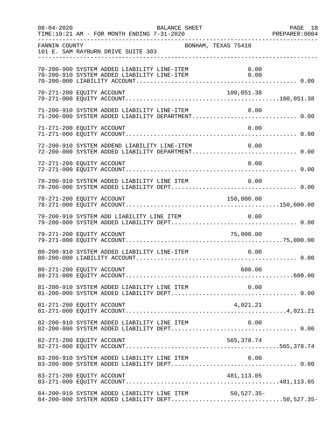| $08 - 04 - 2020$          | BALANCE SHEET                                |                                                  |                                                                                                       | PAGE 18<br>PREPARER: 0004 |
|---------------------------|----------------------------------------------|--------------------------------------------------|-------------------------------------------------------------------------------------------------------|---------------------------|
| FANNIN COUNTY             | 101 E. SAM RAYBURN DRIVE SUITE 303           | BONHAM, TEXAS 75418                              |                                                                                                       |                           |
|                           | 70-200-900 SYSTEM ADDED LIABILITY LINE-ITEM  | 70-200-910 SYSTEM ADDED LIABILITY LINE-ITEM 0.00 | 0.00                                                                                                  |                           |
| 70-271-200 EQUITY ACCOUNT |                                              |                                                  | 100,051.38                                                                                            |                           |
|                           |                                              |                                                  | 71-200-910 SYSTEM ADDED LIABILITY LINE-ITEM 0.00<br>71-200-000 SYSTEM ADDED LIABILITY DEPARTMENT 0.00 |                           |
| 71-271-200 EQUITY ACCOUNT |                                              |                                                  | 0.00                                                                                                  |                           |
|                           | 72-200-910 SYSTEM ADDEND LIABILITY LINE-ITEM |                                                  | 0.00<br>72-200-000 SYSTEM ADDED LIABILITY DEPARTMENT 0.00                                             |                           |
| 72-271-200 EQUITY ACCOUNT |                                              |                                                  | 0.00                                                                                                  |                           |
|                           |                                              | 78-200-910 SYSTEM ADDED LIABILITY LINE ITEM 0.00 |                                                                                                       |                           |
| 78-271-200 EQUITY ACCOUNT |                                              |                                                  | 150,000.00                                                                                            |                           |
|                           | 79-200-910 SYSTEM ADD LIABILITY LINE ITEM    |                                                  | 0.00                                                                                                  |                           |
| 79-271-200 EQUITY ACCOUNT |                                              |                                                  | 75,000.00                                                                                             |                           |
|                           | 80-200-910 SYSTEM ADDED LIABILITY LINE-ITEM  |                                                  | 0.00                                                                                                  |                           |
|                           |                                              |                                                  |                                                                                                       |                           |
|                           |                                              |                                                  |                                                                                                       |                           |
| 81-271-200 EQUITY ACCOUNT |                                              |                                                  |                                                                                                       |                           |
|                           |                                              | 82-200-910 SYSTEM ADDED LIABILITY LINE ITEM      | 0.00                                                                                                  |                           |
| 82-271-200 EQUITY ACCOUNT |                                              |                                                  | 565,378.74                                                                                            |                           |
|                           | 83-200-910 SYSTEM ADDED LIABILITY LINE ITEM  |                                                  | 0.00                                                                                                  |                           |
|                           |                                              |                                                  |                                                                                                       |                           |
|                           |                                              | 84-200-910 SYSTEM ADDED LIABILITY LINE ITEM      | $50, 527.35 -$<br>84-200-000 SYSTEM ADDED LIABILITY DEPT50,527.35-                                    |                           |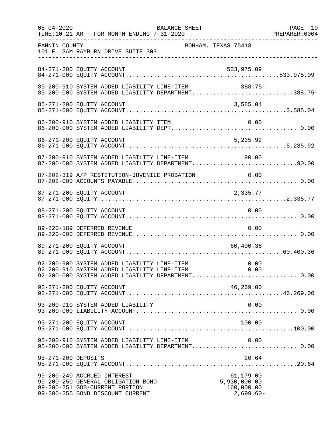| $08 - 04 - 2020$    | TIME:10:21 AM - FOR MONTH ENDING 7-31-2020                                                                                                               | BALANCE SHEET |                                                        | PAGE 19 |
|---------------------|----------------------------------------------------------------------------------------------------------------------------------------------------------|---------------|--------------------------------------------------------|---------|
| FANNIN COUNTY       | 101 E. SAM RAYBURN DRIVE SUITE 303                                                                                                                       |               | BONHAM, TEXAS 75418                                    |         |
|                     | 84-271-200 EQUITY ACCOUNT                                                                                                                                |               | 533,975.09                                             |         |
|                     | 85-200-910 SYSTEM ADDED LIABILITY LINE-ITEM<br>85-200-000 SYSTEM ADDED LIABILITY DEPARTMENT388.75-                                                       |               | 388.75-                                                |         |
|                     |                                                                                                                                                          |               |                                                        |         |
|                     |                                                                                                                                                          |               |                                                        |         |
|                     |                                                                                                                                                          |               |                                                        |         |
|                     | 87-200-910 SYSTEM ADDED LIABILITY LINE-ITEM<br>87-200-000 SYSTEM ADDED LIABILITY DEPARTMENT90.00                                                         |               | 90.00                                                  |         |
|                     | 87-202-319 A/P RESTITUTION-JUVENILE PROBATION 0.00                                                                                                       |               |                                                        |         |
|                     | 87-271-200 EQUITY ACCOUNT                                                                                                                                |               | 2,335.77                                               |         |
|                     | 88-271-200 EQUITY ACCOUNT                                                                                                                                |               | 0.00                                                   |         |
|                     | 89-220-189 DEFERRED REVENUE                                                                                                                              |               | 0.00                                                   |         |
|                     | 89-271-200 EQUITY ACCOUNT                                                                                                                                |               | 60,400.36                                              |         |
|                     | 92-200-900 SYSTEM ADDED LIABILITY LINE-ITEM 0.00<br>92-200-910 SYSTEM ADDED LIABILITY LINE-ITEM 0.00<br>92-200-000 SYSTEM ADDED LIABILITY DEPARTMENT0.00 |               |                                                        |         |
|                     | 92-271-200 EQUITY ACCOUNT                                                                                                                                |               | 46,269.00                                              |         |
|                     | 93-200-910 SYSTEM ADDED LIABILITY                                                                                                                        |               | 0.00                                                   |         |
|                     | 93-271-200 EQUITY ACCOUNT                                                                                                                                |               | 100.00                                                 |         |
|                     | 95-200-910 SYSTEM ADDED LIABILITY LINE-ITEM<br>95-200-000 SYSTEM ADDED LIABILITY DEPARTMENT 0.00                                                         |               | 0.00                                                   |         |
| 95-271-200 DEPOSITS |                                                                                                                                                          |               | 20.64                                                  |         |
|                     | 99-200-240 ACCRUED INTEREST<br>99-200-250 GENERAL OBLIGATION BOND<br>99-200-251 GOB-CURRENT PORTION<br>99-200-255 BOND DISCOUNT CURRENT                  |               | 61,179.00<br>5,930,000.00<br>160,000.00<br>$2,699.60-$ |         |